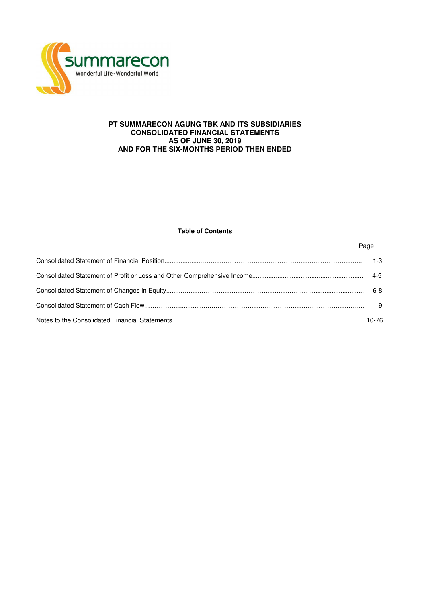

# **PT SUMMARECON AGUNG TBK AND ITS SUBSIDIARIES CONSOLIDATED FINANCIAL STATEMENTS AS OF JUNE 30, 2019 AND FOR THE SIX-MONTHS PERIOD THEN ENDED**

# **Table of Contents**

Page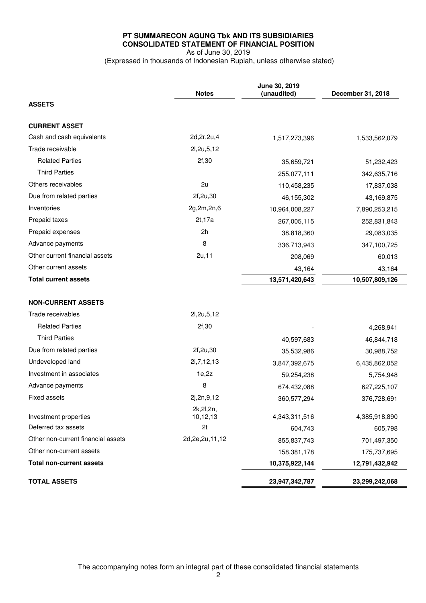# **PT SUMMARECON AGUNG Tbk AND ITS SUBSIDIARIES CONSOLIDATED STATEMENT OF FINANCIAL POSITION**  As of June 30, 2019

(Expressed in thousands of Indonesian Rupiah, unless otherwise stated)

|                                    | <b>Notes</b>            | June 30, 2019<br>(unaudited) | December 31, 2018 |
|------------------------------------|-------------------------|------------------------------|-------------------|
| <b>ASSETS</b>                      |                         |                              |                   |
| <b>CURRENT ASSET</b>               |                         |                              |                   |
| Cash and cash equivalents          | 2d, 2r, 2u, 4           | 1,517,273,396                | 1,533,562,079     |
| Trade receivable                   | 21,2u,5,12              |                              |                   |
| <b>Related Parties</b>             | 2f,30                   | 35,659,721                   | 51,232,423        |
| <b>Third Parties</b>               |                         | 255,077,111                  | 342,635,716       |
| Others receivables                 | 2u                      | 110,458,235                  | 17,837,038        |
| Due from related parties           | 2f,2u,30                | 46,155,302                   | 43,169,875        |
| Inventories                        | 2g,2m,2n,6              | 10,964,008,227               | 7,890,253,215     |
| Prepaid taxes                      | 2t, 17a                 | 267,005,115                  | 252,831,843       |
| Prepaid expenses                   | 2h                      | 38,818,360                   | 29,083,035        |
| Advance payments                   | 8                       | 336,713,943                  | 347,100,725       |
| Other current financial assets     | 2u, 11                  | 208,069                      | 60,013            |
| Other current assets               |                         | 43,164                       | 43,164            |
| <b>Total current assets</b>        |                         | 13,571,420,643               | 10,507,809,126    |
|                                    |                         |                              |                   |
| <b>NON-CURRENT ASSETS</b>          |                         |                              |                   |
| Trade receivables                  | 21,2u,5,12              |                              |                   |
| <b>Related Parties</b>             | 2f,30                   |                              | 4,268,941         |
| <b>Third Parties</b>               |                         | 40,597,683                   | 46,844,718        |
| Due from related parties           | 2f, 2u, 30              | 35,532,986                   | 30,988,752        |
| Undeveloped land                   | 2i, 7, 12, 13           | 3,847,392,675                | 6,435,862,052     |
| Investment in associates           | 1e,2z                   | 59,254,238                   | 5,754,948         |
| Advance payments                   | 8                       | 674,432,088                  | 627,225,107       |
| <b>Fixed assets</b>                | 2j,2n,9,12              | 360,577,294                  | 376,728,691       |
| Investment properties              | 2k, 2l, 2n,<br>10,12,13 | 4,343,311,516                | 4,385,918,890     |
| Deferred tax assets                | 2t                      | 604,743                      | 605,798           |
| Other non-current financial assets | 2d, 2e, 2u, 11, 12      | 855,837,743                  | 701,497,350       |
| Other non-current assets           |                         | 158,381,178                  | 175,737,695       |
| <b>Total non-current assets</b>    |                         | 10,375,922,144               | 12,791,432,942    |
| <b>TOTAL ASSETS</b>                |                         | 23,947,342,787               | 23,299,242,068    |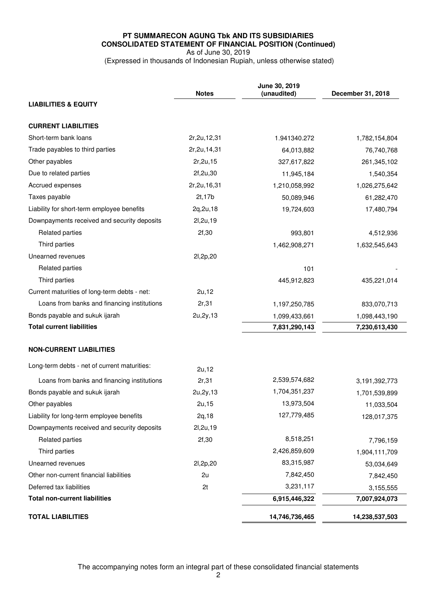# **PT SUMMARECON AGUNG Tbk AND ITS SUBSIDIARIES CONSOLIDATED STATEMENT OF FINANCIAL POSITION (Continued)**  As of June 30, 2019

(Expressed in thousands of Indonesian Rupiah, unless otherwise stated)

|                                              | <b>Notes</b>   | June 30, 2019<br>(unaudited) | December 31, 2018 |
|----------------------------------------------|----------------|------------------------------|-------------------|
| <b>LIABILITIES &amp; EQUITY</b>              |                |                              |                   |
| <b>CURRENT LIABILITIES</b>                   |                |                              |                   |
| Short-term bank loans                        | 2r, 2u, 12, 31 | 1.941340.272                 | 1,782,154,804     |
| Trade payables to third parties              | 2r, 2u, 14, 31 | 64,013,882                   | 76,740,768        |
| Other payables                               | 2r, 2u, 15     | 327,617,822                  | 261,345,102       |
| Due to related parties                       | 2f,2u,30       | 11,945,184                   | 1,540,354         |
| Accrued expenses                             | 2r, 2u, 16, 31 | 1,210,058,992                | 1,026,275,642     |
| Taxes payable                                | 2t, 17b        | 50,089,946                   | 61,282,470        |
| Liability for short-term employee benefits   | 2q,2u,18       | 19,724,603                   | 17,480,794        |
| Downpayments received and security deposits  | 2l, 2u, 19     |                              |                   |
| Related parties                              | 2f,30          | 993,801                      | 4,512,936         |
| Third parties                                |                | 1,462,908,271                | 1,632,545,643     |
| Unearned revenues                            | 2l, 2p, 20     |                              |                   |
| <b>Related parties</b>                       |                | 101                          |                   |
| Third parties                                |                | 445,912,823                  | 435,221,014       |
| Current maturities of long-term debts - net: | 2u, 12         |                              |                   |
| Loans from banks and financing institutions  | 2r,31          | 1,197,250,785                | 833,070,713       |
| Bonds payable and sukuk ijarah               | 2u, 2y, 13     | 1,099,433,661                | 1,098,443,190     |
| <b>Total current liabilities</b>             |                | 7,831,290,143                | 7,230,613,430     |
| <b>NON-CURRENT LIABILITIES</b>               |                |                              |                   |
| Long-term debts - net of current maturities: | 2u, 12         |                              |                   |
| Loans from banks and financing institutions  | 2r,31          | 2,539,574,682                | 3,191,392,773     |
| Bonds payable and sukuk ijarah               | 2u, 2y, 13     | 1,704,351,237                | 1,701,539,899     |
| Other payables                               | 2u, 15         | 13,973,504                   | 11,033,504        |
| Liability for long-term employee benefits    | 2q, 18         | 127,779,485                  | 128,017,375       |
| Downpayments received and security deposits  | 21, 2u, 19     |                              |                   |
| Related parties                              | 2f,30          | 8,518,251                    | 7,796,159         |
| Third parties                                |                | 2,426,859,609                | 1,904,111,709     |
| Unearned revenues                            | 2l, 2p, 20     | 83,315,987                   | 53,034,649        |
| Other non-current financial liabilities      | 2u             | 7,842,450                    | 7,842,450         |
| Deferred tax liabilities                     | 2t             | 3,231,117                    | 3,155,555         |
| <b>Total non-current liabilities</b>         |                | 6,915,446,322                | 7,007,924,073     |
| <b>TOTAL LIABILITIES</b>                     |                | 14,746,736,465               | 14,238,537,503    |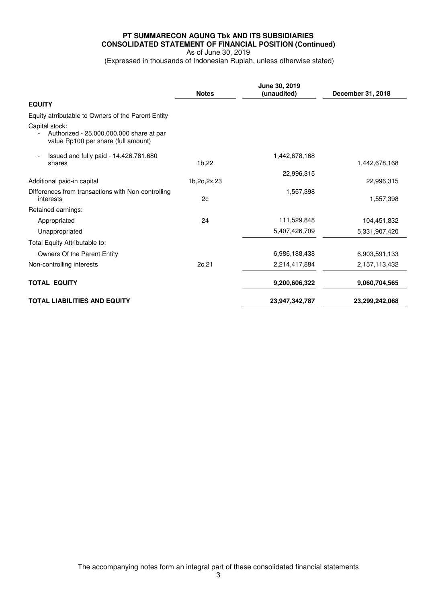# **PT SUMMARECON AGUNG Tbk AND ITS SUBSIDIARIES CONSOLIDATED STATEMENT OF FINANCIAL POSITION (Continued)**  As of June 30, 2019

(Expressed in thousands of Indonesian Rupiah, unless otherwise stated)

|                                                                                                   | <b>Notes</b> | June 30, 2019<br>(unaudited) | December 31, 2018 |
|---------------------------------------------------------------------------------------------------|--------------|------------------------------|-------------------|
| <b>EQUITY</b>                                                                                     |              |                              |                   |
| Equity atrributable to Owners of the Parent Entity                                                |              |                              |                   |
| Capital stock:<br>Authorized - 25.000.000.000 share at par<br>value Rp100 per share (full amount) |              |                              |                   |
| Issued and fully paid - 14.426.781.680<br>shares                                                  | 1b,22        | 1,442,678,168                | 1,442,678,168     |
|                                                                                                   |              | 22,996,315                   |                   |
| Additional paid-in capital                                                                        | 1b,2o,2x,23  |                              | 22,996,315        |
| Differences from transactions with Non-controlling<br>interests                                   | 2c           | 1,557,398                    | 1,557,398         |
| Retained earnings:                                                                                |              |                              |                   |
| Appropriated                                                                                      | 24           | 111,529,848                  | 104,451,832       |
| Unappropriated                                                                                    |              | 5,407,426,709                | 5,331,907,420     |
| Total Equity Attributable to:                                                                     |              |                              |                   |
| Owners Of the Parent Entity                                                                       |              | 6,986,188,438                | 6,903,591,133     |
| Non-controlling interests                                                                         | 2c,21        | 2,214,417,884                | 2,157,113,432     |
| <b>TOTAL EQUITY</b>                                                                               |              | 9,200,606,322                | 9,060,704,565     |
| <b>TOTAL LIABILITIES AND EQUITY</b>                                                               |              | 23,947,342,787               | 23,299,242,068    |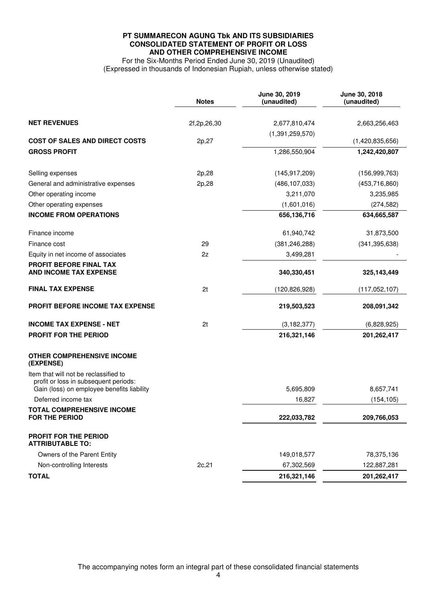# **PT SUMMARECON AGUNG Tbk AND ITS SUBSIDIARIES CONSOLIDATED STATEMENT OF PROFIT OR LOSS AND OTHER COMPREHENSIVE INCOME**

For the Six-Months Period Ended June 30, 2019 (Unaudited) (Expressed in thousands of Indonesian Rupiah, unless otherwise stated)

|                                                                                                                              | <b>Notes</b> | June 30, 2019<br>(unaudited) | June 30, 2018<br>(unaudited) |
|------------------------------------------------------------------------------------------------------------------------------|--------------|------------------------------|------------------------------|
| <b>NET REVENUES</b>                                                                                                          | 2f,2p,26,30  | 2,677,810,474                | 2,663,256,463                |
|                                                                                                                              |              | (1,391,259,570)              |                              |
| <b>COST OF SALES AND DIRECT COSTS</b>                                                                                        | 2p,27        |                              | (1,420,835,656)              |
| <b>GROSS PROFIT</b>                                                                                                          |              | 1,286,550,904                | 1,242,420,807                |
| Selling expenses                                                                                                             | 2p,28        | (145, 917, 209)              | (156, 999, 763)              |
| General and administrative expenses                                                                                          | 2p,28        | (486, 107, 033)              | (453, 716, 860)              |
| Other operating income                                                                                                       |              | 3,211,070                    | 3,235,985                    |
| Other operating expenses                                                                                                     |              | (1,601,016)                  | (274, 582)                   |
| <b>INCOME FROM OPERATIONS</b>                                                                                                |              | 656,136,716                  | 634,665,587                  |
| Finance income                                                                                                               |              | 61,940,742                   | 31,873,500                   |
| Finance cost                                                                                                                 | 29           | (381, 246, 288)              | (341, 395, 638)              |
| Equity in net income of associates                                                                                           | 2z           | 3,499,281                    |                              |
| PROFIT BEFORE FINAL TAX<br><b>AND INCOME TAX EXPENSE</b>                                                                     |              | 340,330,451                  | 325, 143, 449                |
| <b>FINAL TAX EXPENSE</b>                                                                                                     | 2t           | (120, 826, 928)              | (117, 052, 107)              |
| <b>PROFIT BEFORE INCOME TAX EXPENSE</b>                                                                                      |              | 219,503,523                  | 208,091,342                  |
| <b>INCOME TAX EXPENSE - NET</b>                                                                                              | 2t           | (3, 182, 377)                | (6,828,925)                  |
| PROFIT FOR THE PERIOD                                                                                                        |              | 216,321,146                  | 201, 262, 417                |
| <b>OTHER COMPREHENSIVE INCOME</b><br>(EXPENSE)                                                                               |              |                              |                              |
| Item that will not be reclassified to<br>profit or loss in subsequent periods:<br>Gain (loss) on employee benefits liability |              | 5,695,809                    | 8,657,741                    |
| Deferred income tax                                                                                                          |              | 16,827                       | (154, 105)                   |
| TOTAL COMPREHENSIVE INCOME                                                                                                   |              |                              |                              |
| <b>FOR THE PERIOD</b>                                                                                                        |              | 222,033,782                  | 209,766,053                  |
| PROFIT FOR THE PERIOD<br><b>ATTRIBUTABLE TO:</b>                                                                             |              |                              |                              |
| Owners of the Parent Entity                                                                                                  |              | 149,018,577                  | 78,375,136                   |
| Non-controlling Interests                                                                                                    | 2c,21        | 67,302,569                   | 122,887,281                  |
| <b>TOTAL</b>                                                                                                                 |              | 216,321,146                  | 201,262,417                  |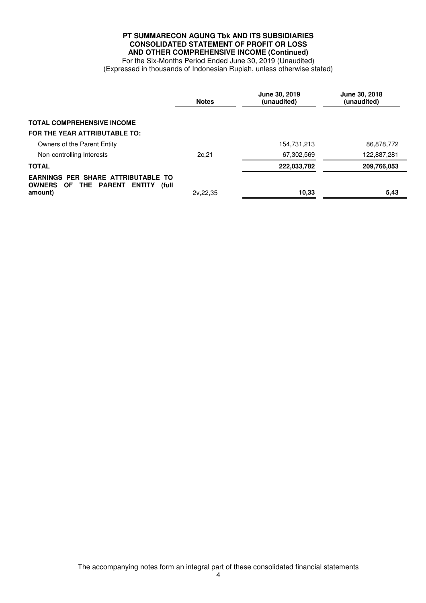# **PT SUMMARECON AGUNG Tbk AND ITS SUBSIDIARIES CONSOLIDATED STATEMENT OF PROFIT OR LOSS AND OTHER COMPREHENSIVE INCOME (Continued)**

For the Six-Months Period Ended June 30, 2019 (Unaudited) (Expressed in thousands of Indonesian Rupiah, unless otherwise stated)

|                                                                                                                             | <b>Notes</b> | June 30, 2019<br>(unaudited) | <b>June 30, 2018</b><br>(unaudited) |
|-----------------------------------------------------------------------------------------------------------------------------|--------------|------------------------------|-------------------------------------|
| <b>TOTAL COMPREHENSIVE INCOME</b>                                                                                           |              |                              |                                     |
| FOR THE YEAR ATTRIBUTABLE TO:                                                                                               |              |                              |                                     |
| Owners of the Parent Entity                                                                                                 |              | 154,731,213                  | 86,878,772                          |
| Non-controlling Interests                                                                                                   | 2c,21        | 67,302,569                   | 122,887,281                         |
| <b>TOTAL</b>                                                                                                                |              | 222.033,782                  | 209,766,053                         |
| <b>EARNINGS PER SHARE ATTRIBUTABLE TO</b><br><b>THE PARENT</b><br><b>OWNERS</b><br>OF.<br><b>ENTITY</b><br>(full<br>amount) | 2v.22.35     | 10.33                        | 5,43                                |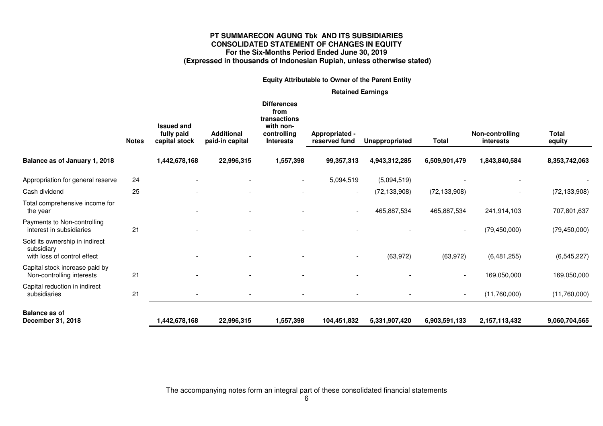# **PT SUMMARECON AGUNG Tbk AND ITS SUBSIDIARIES CONSOLIDATED STATEMENT OF CHANGES IN EQUITY For the Six-Months Period Ended June 30, 2019 (Expressed in thousands of Indonesian Rupiah, unless otherwise stated)**

|                                                                             |              |                                                  | Equity Attributable to Owner of the Parent Entity |                                                                                            |                                 |                |                          |                                     |                        |
|-----------------------------------------------------------------------------|--------------|--------------------------------------------------|---------------------------------------------------|--------------------------------------------------------------------------------------------|---------------------------------|----------------|--------------------------|-------------------------------------|------------------------|
|                                                                             |              |                                                  |                                                   |                                                                                            | <b>Retained Earnings</b>        |                |                          |                                     |                        |
|                                                                             | <b>Notes</b> | <b>Issued and</b><br>fully paid<br>capital stock | <b>Additional</b><br>paid-in capital              | <b>Differences</b><br>from<br>transactions<br>with non-<br>controlling<br><b>Interests</b> | Appropriated -<br>reserved fund | Unappropriated | <b>Total</b>             | Non-controlling<br><b>interests</b> | <b>Total</b><br>equity |
| Balance as of January 1, 2018                                               |              | 1,442,678,168                                    | 22,996,315                                        | 1,557,398                                                                                  | 99,357,313                      | 4,943,312,285  | 6,509,901,479            | 1,843,840,584                       | 8,353,742,063          |
| Appropriation for general reserve                                           | 24           |                                                  |                                                   |                                                                                            | 5,094,519                       | (5,094,519)    |                          |                                     |                        |
| Cash dividend                                                               | 25           |                                                  |                                                   |                                                                                            | $\overline{\phantom{a}}$        | (72, 133, 908) | (72, 133, 908)           |                                     | (72, 133, 908)         |
| Total comprehensive income for<br>the year                                  |              |                                                  |                                                   |                                                                                            | $\overline{\phantom{a}}$        | 465,887,534    | 465,887,534              | 241,914,103                         | 707,801,637            |
| Payments to Non-controlling<br>interest in subsidiaries                     | 21           |                                                  |                                                   |                                                                                            |                                 |                | $\overline{\phantom{a}}$ | (79, 450, 000)                      | (79, 450, 000)         |
| Sold its ownership in indirect<br>subsidiary<br>with loss of control effect |              |                                                  |                                                   |                                                                                            | $\overline{\phantom{a}}$        | (63, 972)      | (63, 972)                | (6,481,255)                         | (6, 545, 227)          |
| Capital stock increase paid by<br>Non-controlling interests                 | 21           |                                                  |                                                   |                                                                                            |                                 |                |                          | 169,050,000                         | 169,050,000            |
| Capital reduction in indirect<br>subsidiaries                               | 21           |                                                  |                                                   |                                                                                            |                                 |                | $\overline{\phantom{a}}$ | (11,760,000)                        | (11,760,000)           |
| <b>Balance as of</b><br>December 31, 2018                                   |              | 1,442,678,168                                    | 22,996,315                                        | 1,557,398                                                                                  | 104,451,832                     | 5,331,907,420  | 6,903,591,133            | 2,157,113,432                       | 9,060,704,565          |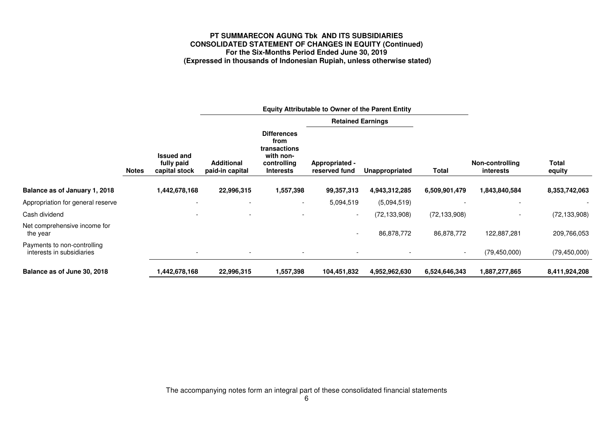# **PT SUMMARECON AGUNG Tbk AND ITS SUBSIDIARIES CONSOLIDATED STATEMENT OF CHANGES IN EQUITY (Continued) For the Six-Months Period Ended June 30, 2019 (Expressed in thousands of Indonesian Rupiah, unless otherwise stated)**

|                                                          |              |                                                  |                                      |                                                                                            |                                 |                |                |                              |                        | <b>Retained Earnings</b> |  |  |  |
|----------------------------------------------------------|--------------|--------------------------------------------------|--------------------------------------|--------------------------------------------------------------------------------------------|---------------------------------|----------------|----------------|------------------------------|------------------------|--------------------------|--|--|--|
|                                                          | <b>Notes</b> | <b>Issued and</b><br>fully paid<br>capital stock | <b>Additional</b><br>paid-in capital | <b>Differences</b><br>from<br>transactions<br>with non-<br>controlling<br><b>Interests</b> | Appropriated -<br>reserved fund | Unappropriated | <b>Total</b>   | Non-controlling<br>interests | <b>Total</b><br>equity |                          |  |  |  |
| Balance as of January 1, 2018                            |              | 1,442,678,168                                    | 22,996,315                           | 1,557,398                                                                                  | 99,357,313                      | 4,943,312,285  | 6,509,901,479  | 1,843,840,584                | 8,353,742,063          |                          |  |  |  |
| Appropriation for general reserve                        |              |                                                  |                                      |                                                                                            | 5,094,519                       | (5,094,519)    |                |                              |                        |                          |  |  |  |
| Cash dividend                                            |              |                                                  |                                      |                                                                                            |                                 | (72,133,908)   | (72, 133, 908) |                              | (72, 133, 908)         |                          |  |  |  |
| Net comprehensive income for<br>the year                 |              |                                                  |                                      |                                                                                            | $\overline{\phantom{0}}$        | 86,878,772     | 86,878,772     | 122,887,281                  | 209,766,053            |                          |  |  |  |
| Payments to non-controlling<br>interests in subsidiaries |              |                                                  |                                      |                                                                                            |                                 |                |                | (79, 450, 000)               | (79, 450, 000)         |                          |  |  |  |
| Balance as of June 30, 2018                              |              | 1,442,678,168                                    | 22,996,315                           | 1,557,398                                                                                  | 104,451,832                     | 4,952,962,630  | 6,524,646,343  | 1,887,277,865                | 8,411,924,208          |                          |  |  |  |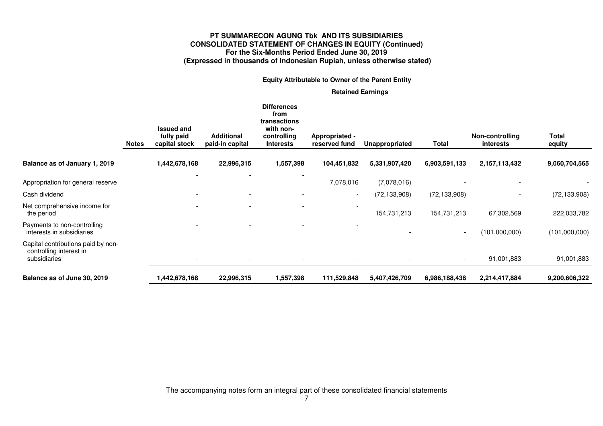# **PT SUMMARECON AGUNG Tbk AND ITS SUBSIDIARIES CONSOLIDATED STATEMENT OF CHANGES IN EQUITY (Continued) For the Six-Months Period Ended June 30, 2019 (Expressed in thousands of Indonesian Rupiah, unless otherwise stated)**

|                                                                               |              |                                                  |                                      | <b>Equity Attributable to Owner of the Parent Entity</b>                                   |                                 |                |                |                                     |                        |
|-------------------------------------------------------------------------------|--------------|--------------------------------------------------|--------------------------------------|--------------------------------------------------------------------------------------------|---------------------------------|----------------|----------------|-------------------------------------|------------------------|
|                                                                               |              |                                                  |                                      |                                                                                            | <b>Retained Earnings</b>        |                |                |                                     |                        |
|                                                                               | <b>Notes</b> | <b>Issued and</b><br>fully paid<br>capital stock | <b>Additional</b><br>paid-in capital | <b>Differences</b><br>from<br>transactions<br>with non-<br>controlling<br><b>Interests</b> | Appropriated -<br>reserved fund | Unappropriated | <b>Total</b>   | Non-controlling<br><i>interests</i> | <b>Total</b><br>equity |
| Balance as of January 1, 2019                                                 |              | 1,442,678,168                                    | 22,996,315                           | 1,557,398                                                                                  | 104,451,832                     | 5,331,907,420  | 6,903,591,133  | 2,157,113,432                       | 9,060,704,565          |
| Appropriation for general reserve                                             |              |                                                  |                                      |                                                                                            | 7,078,016                       | (7,078,016)    |                |                                     |                        |
| Cash dividend                                                                 |              |                                                  |                                      |                                                                                            | $\overline{\phantom{a}}$        | (72, 133, 908) | (72, 133, 908) |                                     | (72, 133, 908)         |
| Net comprehensive income for<br>the period                                    |              |                                                  |                                      |                                                                                            |                                 | 154,731,213    | 154,731,213    | 67,302,569                          | 222,033,782            |
| Payments to non-controlling<br>interests in subsidiaries                      |              |                                                  |                                      |                                                                                            |                                 |                |                | (101,000,000)                       | (101,000,000)          |
| Capital contributions paid by non-<br>controlling interest in<br>subsidiaries |              |                                                  |                                      |                                                                                            |                                 |                |                | 91,001,883                          | 91,001,883             |
| Balance as of June 30, 2019                                                   |              | 1,442,678,168                                    | 22,996,315                           | 1,557,398                                                                                  | 111,529,848                     | 5,407,426,709  | 6,986,188,438  | 2,214,417,884                       | 9,200,606,322          |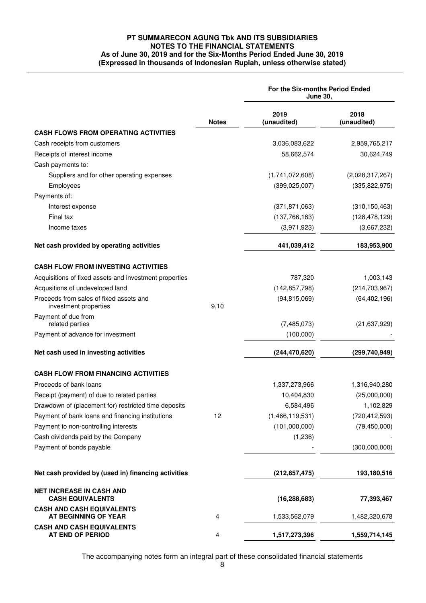# **PT SUMMARECON AGUNG Tbk AND ITS SUBSIDIARIES NOTES TO THE FINANCIAL STATEMENTS As of June 30, 2019 and for the Six-Months Period Ended June 30, 2019 (Expressed in thousands of Indonesian Rupiah, unless otherwise stated)**

|                                                                  |              | For the Six-months Period Ended<br><b>June 30,</b> |                     |  |  |
|------------------------------------------------------------------|--------------|----------------------------------------------------|---------------------|--|--|
|                                                                  | <b>Notes</b> | 2019<br>(unaudited)                                | 2018<br>(unaudited) |  |  |
| <b>CASH FLOWS FROM OPERATING ACTIVITIES</b>                      |              |                                                    |                     |  |  |
| Cash receipts from customers                                     |              | 3,036,083,622                                      | 2,959,765,217       |  |  |
| Receipts of interest income                                      |              | 58,662,574                                         | 30,624,749          |  |  |
| Cash payments to:                                                |              |                                                    |                     |  |  |
| Suppliers and for other operating expenses                       |              | (1,741,072,608)                                    | (2,028,317,267)     |  |  |
| Employees                                                        |              | (399, 025, 007)                                    | (335, 822, 975)     |  |  |
| Payments of:                                                     |              |                                                    |                     |  |  |
| Interest expense                                                 |              | (371, 871, 063)                                    | (310, 150, 463)     |  |  |
| Final tax                                                        |              | (137, 766, 183)                                    | (128, 478, 129)     |  |  |
| Income taxes                                                     |              | (3,971,923)                                        | (3,667,232)         |  |  |
| Net cash provided by operating activities                        |              | 441,039,412                                        | 183,953,900         |  |  |
| <b>CASH FLOW FROM INVESTING ACTIVITIES</b>                       |              |                                                    |                     |  |  |
| Acquisitions of fixed assets and investment properties           |              | 787,320                                            | 1,003,143           |  |  |
| Acqusitions of undeveloped land                                  |              | (142, 857, 798)                                    | (214, 703, 967)     |  |  |
| Proceeds from sales of fixed assets and<br>investment properties | 9,10         | (94, 815, 069)                                     | (64, 402, 196)      |  |  |
| Payment of due from<br>related parties                           |              | (7,485,073)                                        | (21, 637, 929)      |  |  |
| Payment of advance for investment                                |              | (100,000)                                          |                     |  |  |
| Net cash used in investing activities                            |              | (244, 470, 620)                                    | (299, 740, 949)     |  |  |
| <b>CASH FLOW FROM FINANCING ACTIVITIES</b>                       |              |                                                    |                     |  |  |
| Proceeds of bank loans                                           |              | 1,337,273,966                                      | 1,316,940,280       |  |  |
| Receipt (payment) of due to related parties                      |              | 10,404,830                                         | (25,000,000)        |  |  |
| Drawdown of (placement for) restricted time deposits             |              | 6,584,496                                          | 1,102,829           |  |  |
| Payment of bank loans and financing institutions                 | 12           | (1,466,119,531)                                    | (720, 412, 593)     |  |  |
| Payment to non-controlling interests                             |              | (101,000,000)                                      | (79, 450, 000)      |  |  |
| Cash dividends paid by the Company                               |              | (1,236)                                            |                     |  |  |
| Payment of bonds payable                                         |              |                                                    | (300,000,000)       |  |  |
| Net cash provided by (used in) financing activities              |              | (212, 857, 475)                                    | 193,180,516         |  |  |
| <b>NET INCREASE IN CASH AND</b><br><b>CASH EQUIVALENTS</b>       |              | (16, 288, 683)                                     | 77,393,467          |  |  |
| <b>CASH AND CASH EQUIVALENTS</b><br>AT BEGINNING OF YEAR         | 4            | 1,533,562,079                                      | 1,482,320,678       |  |  |
| <b>CASH AND CASH EQUIVALENTS</b><br>AT END OF PERIOD             | 4            | 1,517,273,396                                      | 1,559,714,145       |  |  |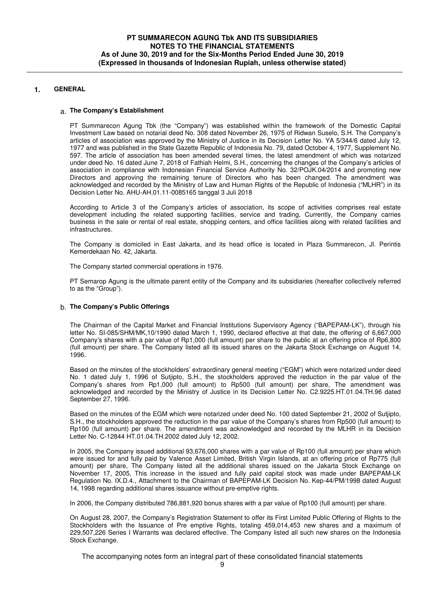# **1. GENERAL**

## a. **The Company's Establishment**

PT Summarecon Agung Tbk (the "Company") was established within the framework of the Domestic Capital Investment Law based on notarial deed No. 308 dated November 26, 1975 of Ridwan Suselo, S.H. The Company's articles of association was approved by the Ministry of Justice in its Decision Letter No. YA 5/344/6 dated July 12, 1977 and was published in the State Gazette Republic of Indonesia No. 79, dated October 4, 1977, Supplement No. 597. The article of association has been amended several times, the latest amendment of which was notarized under deed No. 16 dated June 7, 2018 of Fathiah Helmi, S.H., concerning the changes of the Company's articles of association in compliance with Indonesian Financial Service Authority No. 32/POJK.04/2014 and promoting new Directors and approving the remaining tenure of Directors who has been changed. The amendment was acknowledged and recorded by the Ministry of Law and Human Rights of the Republic of Indonesia ("MLHR") in its Decision Letter No. AHU-AH.01.11-0085165 tanggal 3 Juli 2018

According to Article 3 of the Company's articles of association, its scope of activities comprises real estate development including the related supporting facilities, service and trading, Currently, the Company carries business in the sale or rental of real estate, shopping centers, and office facilities along with related facilities and infrastructures.

The Company is domiciled in East Jakarta, and its head office is located in Plaza Summarecon, Jl. Perintis Kemerdekaan No. 42, Jakarta.

The Company started commercial operations in 1976.

PT Semarop Agung is the ultimate parent entity of the Company and its subsidiaries (hereafter collectively referred to as the "Group").

## b. **The Company's Public Offerings**

The Chairman of the Capital Market and Financial Institutions Supervisory Agency ("BAPEPAM-LK"), through his letter No. SI-085/SHM/MK,10/1990 dated March 1, 1990, declared effective at that date, the offering of 6,667,000 Company's shares with a par value of Rp1,000 (full amount) per share to the public at an offering price of Rp6,800 (full amount) per share. The Company listed all its issued shares on the Jakarta Stock Exchange on August 14, 1996.

Based on the minutes of the stockholders' extraordinary general meeting ("EGM") which were notarized under deed No. 1 dated July 1, 1996 of Sutjipto, S.H., the stockholders approved the reduction in the par value of the Company's shares from Rp1,000 (full amount) to Rp500 (full amount) per share, The amendment was acknowledged and recorded by the Ministry of Justice in its Decision Letter No. C2.9225.HT.01.04.TH.96 dated September 27, 1996.

Based on the minutes of the EGM which were notarized under deed No. 100 dated September 21, 2002 of Sutjipto, S.H., the stockholders approved the reduction in the par value of the Company's shares from Rp500 (full amount) to Rp100 (full amount) per share. The amendment was acknowledged and recorded by the MLHR in its Decision Letter No. C-12844 HT.01.04.TH.2002 dated July 12, 2002.

In 2005, the Company issued additional 93,676,000 shares with a par value of Rp100 (full amount) per share which were issued for and fully paid by Valence Asset Limited, British Virgin Islands, at an offering price of Rp775 (full amount) per share, The Company listed all the additional shares issued on the Jakarta Stock Exchange on November 17, 2005, This increase in the issued and fully paid capital stock was made under BAPEPAM-LK Regulation No. IX.D.4., Attachment to the Chairman of BAPEPAM-LK Decision No. Kep-44/PM/1998 dated August 14, 1998 regarding additional shares issuance without pre-emptive rights.

In 2006, the Company distributed 786,881,920 bonus shares with a par value of Rp100 (full amount) per share.

On August 28, 2007, the Company's Registration Statement to offer its First Limited Public Offering of Rights to the Stockholders with the Issuance of Pre emptive Rights, totaling 459,014,453 new shares and a maximum of 229,507,226 Series I Warrants was declared effective. The Company listed all such new shares on the Indonesia Stock Exchange.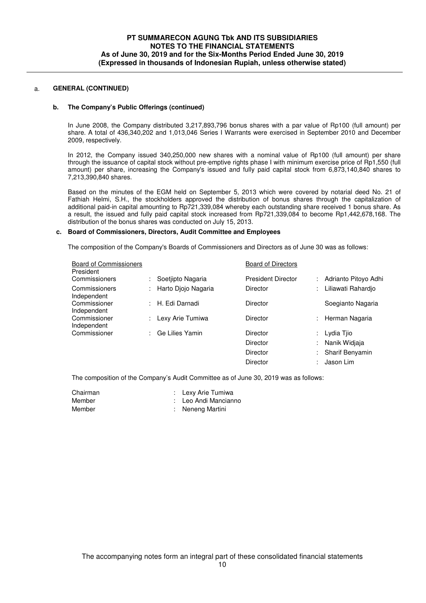## **b. The Company's Public Offerings (continued)**

In June 2008, the Company distributed 3,217,893,796 bonus shares with a par value of Rp100 (full amount) per share. A total of 436,340,202 and 1,013,046 Series I Warrants were exercised in September 2010 and December 2009, respectively.

In 2012, the Company issued 340,250,000 new shares with a nominal value of Rp100 (full amount) per share through the issuance of capital stock without pre-emptive rights phase I with minimum exercise price of Rp1,550 (full amount) per share, increasing the Company's issued and fully paid capital stock from 6,873,140,840 shares to 7,213,390,840 shares.

Based on the minutes of the EGM held on September 5, 2013 which were covered by notarial deed No. 21 of Fathiah Helmi, S.H., the stockholders approved the distribution of bonus shares through the capitalization of additional paid-in capital amounting to Rp721,339,084 whereby each outstanding share received 1 bonus share. As a result, the issued and fully paid capital stock increased from Rp721,339,084 to become Rp1,442,678,168. The distribution of the bonus shares was conducted on July 15, 2013.

## **c. Board of Commissioners, Directors, Audit Committee and Employees**

The composition of the Company's Boards of Commissioners and Directors as of June 30 was as follows:

| <b>Board of Commissioners</b><br>President |                     | <b>Board of Directors</b> |    |                      |
|--------------------------------------------|---------------------|---------------------------|----|----------------------|
| Commissioners                              | Soetiipto Nagaria   | <b>President Director</b> |    | Adrianto Pitoyo Adhi |
| Commissioners<br>Independent               | Harto Djojo Nagaria | Director                  | t. | Liliawati Rahardio   |
| Commissioner<br>Independent                | : H. Edi Darnadi    | Director                  |    | Soegianto Nagaria    |
| Commissioner<br>Independent                | Lexy Arie Tumiwa    | Director                  | ÷. | Herman Nagaria       |
| Commissioner                               | Ge Lilies Yamin     | <b>Director</b>           |    | : Lydia Tjio         |
|                                            |                     | Director                  | ÷. | Nanik Widiaja        |
|                                            |                     | Director                  |    | Sharif Benyamin      |
|                                            |                     | Director                  |    | Jason Lim            |
|                                            |                     |                           |    |                      |

The composition of the Company's Audit Committee as of June 30, 2019 was as follows:

| Chairman | : Lexy Arie Tumiwa   |
|----------|----------------------|
| Member   | : Leo Andi Mancianno |
| Member   | : Neneng Martini     |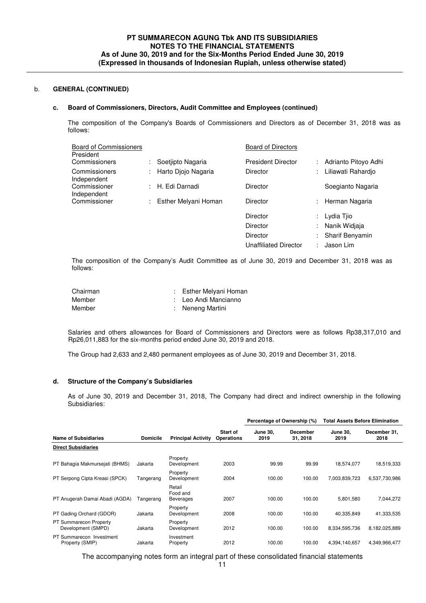#### **c. Board of Commissioners, Directors, Audit Committee and Employees (continued)**

The composition of the Company's Boards of Commissioners and Directors as of December 31, 2018 was as follows:

| <b>Board of Commissioners</b><br>President |                      | <b>Board of Directors</b> |                           |                        |
|--------------------------------------------|----------------------|---------------------------|---------------------------|------------------------|
| Commissioners                              | Soetjipto Nagaria    | <b>President Director</b> |                           | Adrianto Pitoyo Adhi   |
| Commissioners<br>Independent               | Harto Djojo Nagaria  | Director                  | $\mathbb{Z}^{\mathbb{Z}}$ | Liliawati Rahardio     |
| Commissioner<br>Independent                | : H. Edi Darnadi     | Director                  |                           | Soegianto Nagaria      |
| Commissioner                               | Esther Melyani Homan | Director                  | ÷.                        | Herman Nagaria         |
|                                            |                      | Director                  |                           | Lydia Tjio             |
|                                            |                      | <b>Director</b>           |                           | Nanik Widjaja          |
|                                            |                      | Director                  |                           | <b>Sharif Benyamin</b> |

The composition of the Company's Audit Committee as of June 30, 2019 and December 31, 2018 was as follows:

Unaffiliated Director : Jason Lim

| Chairman | : Esther Melyani Homan |
|----------|------------------------|
| Member   | : Leo Andi Mancianno   |
| Member   | : Neneng Martini       |

Salaries and others allowances for Board of Commissioners and Directors were as follows Rp38,317,010 and Rp26,011,883 for the six-months period ended June 30, 2019 and 2018.

The Group had 2,633 and 2,480 permanent employees as of June 30, 2019 and December 31, 2018.

## **d. Structure of the Company's Subsidiaries**

As of June 30, 2019 and December 31, 2018, The Company had direct and indirect ownership in the following Subsidiaries:

|                                              |                 |                                 |                                      | Percentage of Ownership (%) |                             | Total Assets Before Elimination |                      |
|----------------------------------------------|-----------------|---------------------------------|--------------------------------------|-----------------------------|-----------------------------|---------------------------------|----------------------|
| <b>Name of Subsidiaries</b>                  | <b>Domicile</b> | <b>Principal Activity</b>       | <b>Start of</b><br><b>Operations</b> | <b>June 30.</b><br>2019     | <b>December</b><br>31, 2018 | <b>June 30.</b><br>2019         | December 31,<br>2018 |
| <b>Direct Subsidiaries</b>                   |                 |                                 |                                      |                             |                             |                                 |                      |
| PT Bahagia Makmursejati (BHMS)               | Jakarta         | Property<br>Development         | 2003                                 | 99.99                       | 99.99                       | 18.574.077                      | 18,519,333           |
| PT Serpong Cipta Kreasi (SPCK)               | Tangerang       | Property<br>Development         | 2004                                 | 100.00                      | 100.00                      | 7,003,839,723                   | 6,537,730,986        |
| PT Anugerah Damai Abadi (AGDA)               | Tangerang       | Retail<br>Food and<br>Beverages | 2007                                 | 100.00                      | 100.00                      | 5,801,580                       | 7,044,272            |
| PT Gading Orchard (GDOR)                     | Jakarta         | Property<br>Development         | 2008                                 | 100.00                      | 100.00                      | 40,335,849                      | 41,333,535           |
| PT Summarecon Property<br>Development (SMPD) | Jakarta         | Property<br>Development         | 2012                                 | 100.00                      | 100.00                      | 8,334,595,736                   | 8,182,025,889        |
| PT Summarecon Investment<br>Property (SMIP)  | Jakarta         | Investment<br>Property          | 2012                                 | 100.00                      | 100.00                      | 4,394,140,657                   | 4,349,966,477        |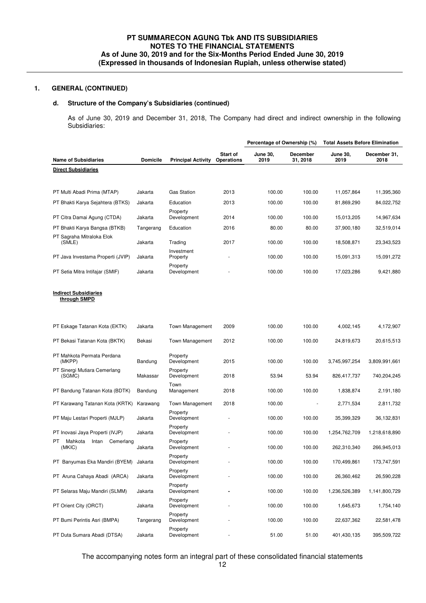# **d. Structure of the Company's Subsidiaries (continued)**

As of June 30, 2019 and December 31, 2018, The Company had direct and indirect ownership in the following Subsidiaries:

|                                                |                 |                           |                               | Percentage of Ownership (%) |                      | <b>Total Assets Before Elimination</b> |                      |
|------------------------------------------------|-----------------|---------------------------|-------------------------------|-----------------------------|----------------------|----------------------------------------|----------------------|
| <b>Name of Subsidiaries</b>                    | <b>Domicile</b> | <b>Principal Activity</b> | Start of<br><b>Operations</b> | <b>June 30,</b><br>2019     | December<br>31, 2018 | <b>June 30,</b><br>2019                | December 31,<br>2018 |
| <b>Direct Subsidiaries</b>                     |                 |                           |                               |                             |                      |                                        |                      |
|                                                |                 |                           |                               |                             |                      |                                        |                      |
| PT Multi Abadi Prima (MTAP)                    | Jakarta         | <b>Gas Station</b>        | 2013                          | 100.00                      | 100.00               | 11,057,864                             | 11,395,360           |
| PT Bhakti Karya Sejahtera (BTKS)               | Jakarta         | Education                 | 2013                          | 100.00                      | 100.00               | 81,869,290                             | 84,022,752           |
| PT Citra Damai Agung (CTDA)                    | Jakarta         | Property<br>Development   | 2014                          | 100.00                      | 100.00               | 15,013,205                             | 14,967,634           |
| PT Bhakti Karya Bangsa (BTKB)                  | Tangerang       | Education                 | 2016                          | 80.00                       | 80.00                | 37,900,180                             | 32,519,014           |
| PT Sagraha Mitraloka Elok                      |                 |                           |                               |                             |                      |                                        |                      |
| (SMLE)                                         | Jakarta         | Trading                   | 2017                          | 100.00                      | 100.00               | 18,508,871                             | 23,343,523           |
| PT Java Investama Properti (JVIP)              | Jakarta         | Investment<br>Property    |                               | 100.00                      | 100.00               | 15,091,313                             | 15,091,272           |
| PT Setia Mitra Intifajar (SMIF)                | Jakarta         | Property<br>Development   |                               | 100.00                      | 100.00               | 17,023,286                             | 9,421,880            |
| <b>Indirect Subsidiaries</b>                   |                 |                           |                               |                             |                      |                                        |                      |
| through SMPD                                   |                 |                           |                               |                             |                      |                                        |                      |
| PT Eskage Tatanan Kota (EKTK)                  | Jakarta         | <b>Town Management</b>    | 2009                          | 100.00                      | 100.00               | 4,002,145                              | 4,172,907            |
| PT Bekasi Tatanan Kota (BKTK)                  | Bekasi          | <b>Town Management</b>    | 2012                          | 100.00                      | 100.00               | 24,819,673                             | 20,615,513           |
| PT Mahkota Permata Perdana<br>(MKPP)           | Bandung         | Property<br>Development   | 2015                          | 100.00                      | 100.00               | 3,745,997,254                          | 3,809,991,661        |
| PT Sinergi Mutiara Cemerlang<br>(SGMC)         | Makassar        | Property<br>Development   | 2018                          | 53.94                       | 53.94                | 826,417,737                            | 740,204,245          |
| PT Bandung Tatanan Kota (BDTK)                 | Bandung         | Town<br>Management        | 2018                          | 100.00                      | 100.00               | 1,838,874                              | 2,191,180            |
| PT Karawang Tatanan Kota (KRTK)                | Karawang        | Town Management           | 2018                          | 100.00                      |                      | 2,771,534                              | 2,811,732            |
| PT Maju Lestari Properti (MJLP)                | Jakarta         | Property<br>Development   |                               | 100.00                      | 100.00               | 35,399,329                             | 36,132,831           |
| PT Inovasi Jaya Properti (IVJP)                | Jakarta         | Property<br>Development   |                               | 100.00                      | 100.00               | 1,254,762,709                          | 1,218,618,890        |
| PT.<br>Mahkota<br>Cemerlang<br>Intan<br>(MKIC) | Jakarta         | Property<br>Development   |                               | 100.00                      | 100.00               | 262,310,340                            | 266,945,013          |
| PT Banyumas Eka Mandiri (BYEM) Jakarta         |                 | Property<br>Development   |                               | 100.00                      | 100.00               | 170,499,861                            | 173,747,591          |
| PT Aruna Cahaya Abadi (ARCA)                   | Jakarta         | Property<br>Development   |                               | 100.00                      | 100.00               | 26,360,462                             | 26,590,228           |
| PT Selaras Maju Mandiri (SLMM)                 | Jakarta         | Property<br>Development   |                               | 100.00                      | 100.00               | 1,236,526,389                          | 1,141,800,729        |
| PT Orient City (ORCT)                          | Jakarta         | Property<br>Development   |                               | 100.00                      | 100.00               | 1,645,673                              | 1,754,140            |
| PT Bumi Perintis Asri (BMPA)                   | Tangerang       | Property<br>Development   |                               | 100.00                      | 100.00               | 22,637,362                             | 22,581,478           |
| PT Duta Sumara Abadi (DTSA)                    | Jakarta         | Property<br>Development   |                               | 51.00                       | 51.00                | 401,430,135                            | 395,509,722          |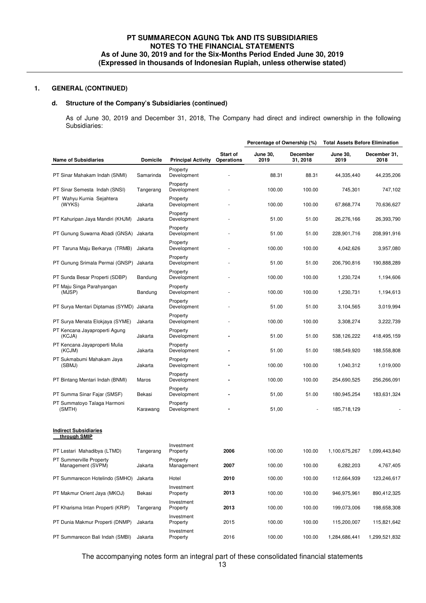# **d. Structure of the Company's Subsidiaries (continued)**

As of June 30, 2019 and December 31, 2018, The Company had direct and indirect ownership in the following Subsidiaries:

|                                              |                 |                           |                               | Percentage of Ownership (%) |                             | <b>Total Assets Before Elimination</b> |                      |
|----------------------------------------------|-----------------|---------------------------|-------------------------------|-----------------------------|-----------------------------|----------------------------------------|----------------------|
| <b>Name of Subsidiaries</b>                  | <b>Domicile</b> | <b>Principal Activity</b> | Start of<br><b>Operations</b> | <b>June 30,</b><br>2019     | <b>December</b><br>31, 2018 | <b>June 30,</b><br>2019                | December 31,<br>2018 |
| PT Sinar Mahakam Indah (SNMI)                | Samarinda       | Property<br>Development   |                               | 88.31                       | 88.31                       | 44,335,440                             | 44,235,206           |
| PT Sinar Semesta Indah (SNSI)                | Tangerang       | Property<br>Development   |                               | 100.00                      | 100.00                      | 745,301                                | 747,102              |
| PT Wahyu Kurnia Sejahtera<br>(WYKS)          | Jakarta         | Property<br>Development   |                               | 100.00                      | 100.00                      | 67,868,774                             | 70,636,627           |
| PT Kahuripan Jaya Mandiri (KHJM)             | Jakarta         | Property<br>Development   |                               | 51.00                       | 51.00                       | 26,276,166                             | 26,393,790           |
| PT Gunung Suwarna Abadi (GNSA)               | Jakarta         | Property<br>Development   |                               | 51.00                       | 51.00                       | 228,901,716                            | 208,991,916          |
| PT Taruna Maju Berkarya (TRMB)               | Jakarta         | Property<br>Development   |                               | 100.00                      | 100.00                      | 4,042,626                              | 3,957,080            |
| PT Gunung Srimala Permai (GNSP)              | Jakarta         | Property<br>Development   |                               | 51.00                       | 51.00                       | 206,790,816                            | 190,888,289          |
| PT Sunda Besar Properti (SDBP)               | Bandung         | Property<br>Development   |                               | 100.00                      | 100.00                      | 1,230,724                              | 1,194,606            |
| PT Maju Singa Parahyangan<br>(MJSP)          | Bandung         | Property<br>Development   |                               | 100.00                      | 100.00                      | 1,230,731                              | 1,194,613            |
| PT Surya Mentari Diptamas (SYMD)             | Jakarta         | Property<br>Development   |                               | 51.00                       | 51.00                       | 3,104,565                              | 3,019,994            |
| PT Surya Menata Elokjaya (SYME)              | Jakarta         | Property<br>Development   |                               | 100.00                      | 100.00                      | 3,308,274                              | 3,222,739            |
| PT Kencana Jayaproperti Agung<br>(KCJA)      | Jakarta         | Property<br>Development   |                               | 51.00                       | 51.00                       | 538,126,222                            | 418,495,159          |
| PT Kencana Jayaproperti Mulia<br>(KCJM)      | Jakarta         | Property<br>Development   |                               | 51.00                       | 51.00                       | 188,549,920                            | 188,558,808          |
| PT Sukmabumi Mahakam Jaya<br>(SBMJ)          | Jakarta         | Property<br>Development   |                               | 100.00                      | 100.00                      | 1,040,312                              | 1,019,000            |
| PT Bintang Mentari Indah (BNMI)              | Maros           | Property<br>Development   |                               | 100.00                      | 100.00                      | 254,690,525                            | 256,266,091          |
| PT Summa Sinar Fajar (SMSF)                  | Bekasi          | Property<br>Development   |                               | 51,00                       | 51.00                       | 180,945,254                            | 183,631,324          |
| PT Summatoyo Talaga Harmoni<br>(SMTH)        | Karawang        | Property<br>Development   |                               | 51,00                       |                             | 185,718,129                            |                      |
| <b>Indirect Subsidiaries</b><br>through SMIP |                 |                           |                               |                             |                             |                                        |                      |
| PT Lestari Mahadibya (LTMD)                  | Tangerang       | Investment<br>Property    | 2006                          | 100.00                      | 100.00                      | 1,100,675,267                          | 1,099,443,840        |
| PT Summerville Property<br>Management (SVPM) | Jakarta         | Property<br>Management    | 2007                          | 100.00                      | 100.00                      | 6,282,203                              | 4,767,405            |
| PT Summarecon Hotelindo (SMHO)               | Jakarta         | Hotel                     | 2010                          | 100.00                      | 100.00                      | 112,664,939                            | 123,246,617          |
| PT Makmur Orient Jaya (MKOJ)                 | Bekasi          | Investment<br>Property    | 2013                          | 100.00                      | 100.00                      | 946,975,961                            | 890,412,325          |
| PT Kharisma Intan Properti (KRIP)            | Tangerang       | Investment<br>Property    | 2013                          | 100.00                      | 100.00                      | 199,073,006                            | 198,658,308          |
| PT Dunia Makmur Properti (DNMP)              | Jakarta         | Investment<br>Property    | 2015                          | 100.00                      | 100.00                      | 115,200,007                            | 115,821,642          |
| PT Summarecon Bali Indah (SMBI)              | Jakarta         | Investment<br>Property    | 2016                          | 100.00                      | 100.00                      | 1,284,686,441                          | 1,299,521,832        |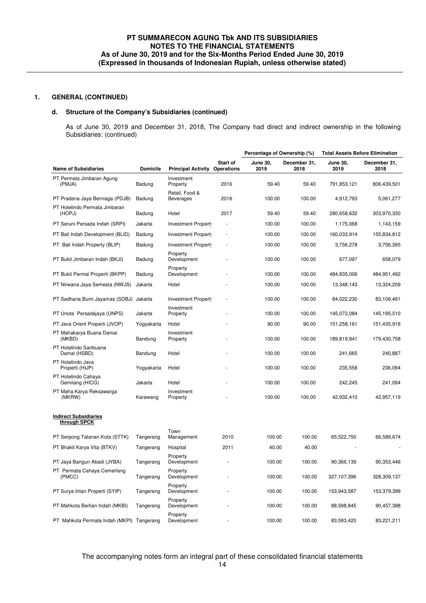# **d. Structure of the Company's Subsidiaries (continued)**

As of June 30, 2019 and December 31, 2018, The Company had direct and indirect ownership in the following Subsidiaries: (continued)

|                                              |                 |                                    |                               | Percentage of Ownership (%) |                      | <b>Total Assets Before Elimination</b> |                      |
|----------------------------------------------|-----------------|------------------------------------|-------------------------------|-----------------------------|----------------------|----------------------------------------|----------------------|
| <b>Name of Subsidiaries</b>                  | <b>Domicile</b> | <b>Principal Activity</b>          | Start of<br><b>Operations</b> | <b>June 30,</b><br>2019     | December 31,<br>2018 | <b>June 30,</b><br>2019                | December 31.<br>2018 |
| PT Permata Jimbaran Agung<br>(PMJA)          | Badung          | Investment<br>Property             | 2016                          | 59.40                       | 59.40                | 791,853,121                            | 806,439,501          |
| PT Pradana Jaya Berniaga (PDJB)              | Badung          | Retail, Food &<br><b>Beverages</b> | 2016                          | 100.00                      | 100.00               | 4,912,793                              | 5,061,277            |
| PT Hotelindo Permata Jimbaran<br>(HOPJ)      | Badung          | Hotel                              | 2017                          | 59.40                       | 59.40                | 280,658,632                            | 303,970,330          |
| PT Seruni Persada Indah (SRPI)               | Jakarta         | Investment Property                |                               | 100.00                      | 100.00               | 1,175,068                              | 1,143,159            |
| PT Bali Indah Development (BLID)             | Badung          | Investment Property                |                               | 100.00                      | 100.00               | 160,033,914                            | 155,834,812          |
| PT Bali Indah Property (BLIP)                | Badung          | Investment Property                |                               | 100.00                      | 100.00               | 3,756,278                              | 3,756,395            |
| PT Bukit Jimbaran Indah (BKJI)               | Badung          | Property<br>Development            |                               | 100.00                      | 100.00               | 677,097                                | 658,079              |
| PT Bukit Permai Properti (BKPP)              | Badung          | Property<br>Development            |                               | 100.00                      | 100.00               | 484,835,006                            | 484,951,492          |
| PT Nirwana Jaya Semesta (NWJS)               | Jakarta         | Hotel                              |                               | 100.00                      | 100.00               | 13,348,143                             | 13,324,209           |
| PT Sadhana Bumi Jayamas (SDBJ) Jakarta       |                 | Investment Property                |                               | 100.00                      | 100.00               | 84,022,230                             | 83,109,461           |
| PT Unota Persadajaya (UNPS)                  | Jakarta         | Investment<br>Property             |                               | 100.00                      | 100.00               | 145,072,084                            | 145,195,510          |
| PT Java Orient Properti (JVOP)               | Yogyakarta      | Hotel                              |                               | 90.00                       | 90.00                | 151,258,161                            | 151,435,916          |
| PT Mahakarya Buana Damai<br>(MKBD)           | Bandung         | Investment<br>Property             |                               | 100.00                      | 100.00               | 189,819,841                            | 179,430,758          |
| PT Hotelindo Saribuana<br>Damai (HSBD)       | Bandung         | Hotel                              |                               | 100.00                      | 100.00               | 241,665                                | 240,887              |
| PT Hotelindo Java<br>Properti (HIJP)         | Yogyakarta      | Hotel                              |                               | 100.00                      | 100.00               | 235,558                                | 236,094              |
| PT Hotelindo Cahaya<br>Gemilang (HICG)       | Jakarta         | Hotel                              |                               | 100.00                      | 100.00               | 242,245                                | 241,094              |
| PT Maha Karya Reksawarga<br>(MKRW)           | Karawang        | Investment<br>Property             |                               | 100.00                      | 100.00               | 42,932,410                             | 42,957,119           |
| <b>Indirect Subsidiaries</b><br>through SPCK |                 |                                    |                               |                             |                      |                                        |                      |
| PT Serpong Tatanan Kota (STTK)               | Tangerang       | Town<br>Management                 | 2010                          | 100.00                      | 100.00               | 65,522,750                             | 66,589,674           |
| PT Bhakti Karya Vita (BTKV)                  | Tangerang       | Hospital                           | 2011                          | 40.00                       | 40.00                |                                        |                      |
| PT Jaya Bangun Abadi (JYBA)                  | Tangerang       | Property<br>Development            |                               | 100.00                      | 100.00               | 90,366,139                             | 90,353,446           |
| PT Permata Cahaya Cemerlang<br>(PMCC)        | Tangerang       | Property<br>Development            |                               | 100.00                      | 100.00               | 327,107,396                            | 328,309,137          |
| PT Surva Intan Properti (SYIP)               | Tangerang       | Property<br>Development            |                               | 100.00                      | 100.00               | 153,943,587                            | 153,379,399          |
| PT Mahkota Berlian Indah (MKBI)              | Tangerang       | Property<br>Development            |                               | 100.00                      | 100.00               | 88,598,845                             | 90,457,388           |
| PT Mahkota Permata Indah (MKPI) Tangerang    |                 | Property<br>Development            |                               | 100.00                      | 100.00               | 83,593,420                             | 83,221,211           |
|                                              |                 |                                    |                               |                             |                      |                                        |                      |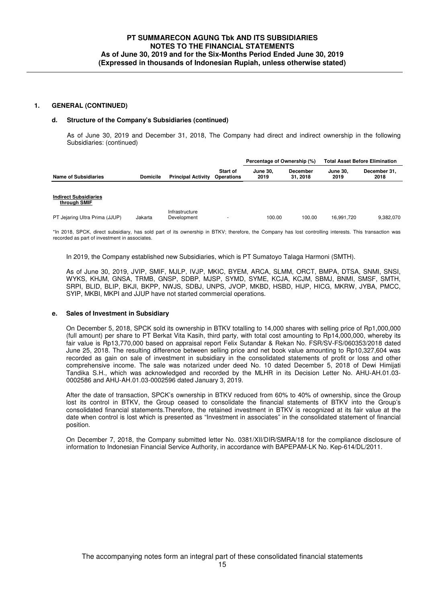#### **d. Structure of the Company's Subsidiaries (continued)**

As of June 30, 2019 and December 31, 2018, The Company had direct and indirect ownership in the following Subsidiaries: (continued)

|                                              |                 |                               |                               | Percentage of Ownership (%) |                            |                         | <b>Total Asset Before Elimination</b> |
|----------------------------------------------|-----------------|-------------------------------|-------------------------------|-----------------------------|----------------------------|-------------------------|---------------------------------------|
| <b>Name of Subsidiaries</b>                  | <b>Domicile</b> | <b>Principal Activity</b>     | Start of<br><b>Operations</b> | <b>June 30.</b><br>2019     | <b>December</b><br>31.2018 | <b>June 30.</b><br>2019 | December 31.<br>2018                  |
| <b>Indirect Subsidiaries</b><br>through SMIF |                 |                               |                               |                             |                            |                         |                                       |
| PT Jejaring Ultra Prima (JJUP)               | Jakarta         | Infrastructure<br>Development | ٠                             | 100.00                      | 100.00                     | 16.991.720              | 9,382,070                             |

\*In 2018, SPCK, direct subsidiary, has sold part of its ownership in BTKV; therefore, the Company has lost controlling interests. This transaction was recorded as part of investment in associates.

In 2019, the Company established new Subsidiaries, which is PT Sumatoyo Talaga Harmoni (SMTH).

As of June 30, 2019, JVIP, SMIF, MJLP, IVJP, MKIC, BYEM, ARCA, SLMM, ORCT, BMPA, DTSA, SNMI, SNSI, WYKS, KHJM, GNSA, TRMB, GNSP, SDBP, MJSP, SYMD, SYME, KCJA, KCJM, SBMJ, BNMI, SMSF, SMTH, SRPI, BLID, BLIP, BKJI, BKPP, NWJS, SDBJ, UNPS, JVOP, MKBD, HSBD, HIJP, HICG, MKRW, JYBA, PMCC, SYIP, MKBI, MKPI and JJUP have not started commercial operations.

## **e. Sales of Investment in Subsidiary**

On December 5, 2018, SPCK sold its ownership in BTKV totalling to 14,000 shares with selling price of Rp1,000,000 (full amount) per share to PT Berkat Vita Kasih, third party, with total cost amounting to Rp14,000,000, whereby its fair value is Rp13,770,000 based on appraisal report Felix Sutandar & Rekan No. FSR/SV-FS/060353/2018 dated June 25, 2018. The resulting difference between selling price and net book value amounting to Rp10,327,604 was recorded as gain on sale of investment in subsidiary in the consolidated statements of profit or loss and other comprehensive income. The sale was notarized under deed No. 10 dated December 5, 2018 of Dewi Himijati Tandika S.H., which was acknowledged and recorded by the MLHR in its Decision Letter No. AHU-AH.01.03- 0002586 and AHU-AH.01.03-0002596 dated January 3, 2019.

After the date of transaction, SPCK's ownership in BTKV reduced from 60% to 40% of ownership, since the Group lost its control in BTKV, the Group ceased to consolidate the financial statements of BTKV into the Group's consolidated financial statements.Therefore, the retained investment in BTKV is recognized at its fair value at the date when control is lost which is presented as "Investment in associates" in the consolidated statement of financial position.

On December 7, 2018, the Company submitted letter No. 0381/XII/DIR/SMRA/18 for the compliance disclosure of information to Indonesian Financial Service Authority, in accordance with BAPEPAM-LK No. Kep-614/DL/2011.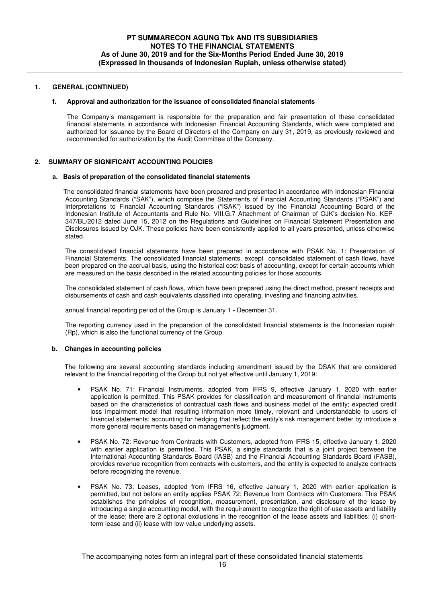## **f. Approval and authorization for the issuance of consolidated financial statements**

The Company's management is responsible for the preparation and fair presentation of these consolidated financial statements in accordance with Indonesian Financial Accounting Standards, which were completed and authorized for issuance by the Board of Directors of the Company on July 31, 2019, as previously reviewed and recommended for authorization by the Audit Committee of the Company.

## **2. SUMMARY OF SIGNIFICANT ACCOUNTING POLICIES**

#### **a. Basis of preparation of the consolidated financial statements**

The consolidated financial statements have been prepared and presented in accordance with Indonesian Financial Accounting Standards ("SAK"), which comprise the Statements of Financial Accounting Standards ("PSAK") and Interpretations to Financial Accounting Standards ("ISAK") issued by the Financial Accounting Board of the Indonesian Institute of Accountants and Rule No. VIII.G.7 Attachment of Chairman of OJK's decision No. KEP-347/BL/2012 dated June 15, 2012 on the Regulations and Guidelines on Financial Statement Presentation and Disclosures issued by OJK. These policies have been consistently applied to all years presented, unless otherwise stated.

The consolidated financial statements have been prepared in accordance with PSAK No. 1: Presentation of Financial Statements. The consolidated financial statements, except consolidated statement of cash flows, have been prepared on the accrual basis, using the historical cost basis of accounting, except for certain accounts which are measured on the basis described in the related accounting policies for those accounts.

The consolidated statement of cash flows, which have been prepared using the direct method, present receipts and disbursements of cash and cash equivalents classified into operating, investing and financing activities.

annual financial reporting period of the Group is January 1 - December 31.

The reporting currency used in the preparation of the consolidated financial statements is the Indonesian rupiah (Rp), which is also the functional currency of the Group.

## **b. Changes in accounting policies**

The following are several accounting standards including amendment issued by the DSAK that are considered relevant to the financial reporting of the Group but not yet effective until January 1, 2019:

- PSAK No. 71: Financial Instruments, adopted from IFRS 9, effective January 1, 2020 with earlier application is permitted. This PSAK provides for classification and measurement of financial instruments based on the characteristics of contractual cash flows and business model of the entity; expected credit loss impairment model that resulting information more timely, relevant and understandable to users of financial statements; accounting for hedging that reflect the entity's risk management better by introduce a more general requirements based on management's judgment.
- PSAK No. 72: Revenue from Contracts with Customers, adopted from IFRS 15, effective January 1, 2020 with earlier application is permitted. This PSAK, a single standards that is a joint project between the International Accounting Standards Board (IASB) and the Financial Accounting Standards Board (FASB), provides revenue recognition from contracts with customers, and the entity is expected to analyze contracts before recognizing the revenue.
- PSAK No. 73: Leases, adopted from IFRS 16, effective January 1, 2020 with earlier application is permitted, but not before an entity applies PSAK 72: Revenue from Contracts with Customers. This PSAK establishes the principles of recognition, measurement, presentation, and disclosure of the lease by introducing a single accounting model, with the requirement to recognize the right-of-use assets and liability of the lease; there are 2 optional exclusions in the recognition of the lease assets and liabilities: (i) shortterm lease and (ii) lease with low-value underlying assets.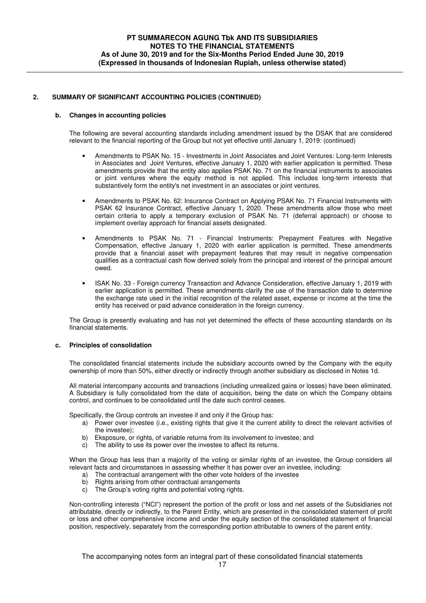## **b. Changes in accounting policies**

The following are several accounting standards including amendment issued by the DSAK that are considered relevant to the financial reporting of the Group but not yet effective until January 1, 2019: (continued)

- Amendments to PSAK No. 15 Investments in Joint Associates and Joint Ventures: Long-term Interests in Associates and Joint Ventures, effective January 1, 2020 with earlier application is permitted. These amendments provide that the entity also applies PSAK No. 71 on the financial instruments to associates or joint ventures where the equity method is not applied. This includes long-term interests that substantively form the entity's net investment in an associates or joint ventures.
- Amendments to PSAK No. 62: Insurance Contract on Applying PSAK No. 71 Financial Instruments with PSAK 62 Insurance Contract, effective January 1, 2020. These amendments allow those who meet certain criteria to apply a temporary exclusion of PSAK No. 71 (deferral approach) or choose to implement overlay approach for financial assets designated.
- Amendments to PSAK No. 71 Financial Instruments: Prepayment Features with Negative Compensation, effective January 1, 2020 with earlier application is permitted. These amendments provide that a financial asset with prepayment features that may result in negative compensation qualifies as a contractual cash flow derived solely from the principal and interest of the principal amount owed.
- ISAK No. 33 Foreign currency Transaction and Advance Consideration, effective January 1, 2019 with earlier application is permitted. These amendments clarify the use of the transaction date to determine the exchange rate used in the initial recognition of the related asset, expense or income at the time the entity has received or paid advance consideration in the foreign currency.

The Group is presently evaluating and has not yet determined the effects of these accounting standards on its financial statements.

## **c. Principles of consolidation**

The consolidated financial statements include the subsidiary accounts owned by the Company with the equity ownership of more than 50%, either directly or indirectly through another subsidiary as disclosed in Notes 1d.

All material intercompany accounts and transactions (including unrealized gains or losses) have been eliminated. A Subsidiary is fully consolidated from the date of acquisition, being the date on which the Company obtains control, and continues to be consolidated until the date such control ceases.

Specifically, the Group controls an investee if and only if the Group has:

- a) Power over investee (i.e., existing rights that give it the current ability to direct the relevant activities of the investee);
- b) Eksposure, or rights, of variable returns from its involvement to investee; and
- c) The ability to use its power over the investee to affect its returns.

When the Group has less than a majority of the voting or similar rights of an investee, the Group considers all relevant facts and circumstances in assessing whether it has power over an investee, including:

- a) The contractual arrangement with the other vote holders of the investee
- b) Rights arising from other contractual arrangements
- c) The Group's voting rights and potential voting rights.

Non-controlling interests ("NCI") represent the portion of the profit or loss and net assets of the Subsidiaries not attributable, directly or indirectly, to the Parent Entity, which are presented in the consolidated statement of profit or loss and other comprehensive income and under the equity section of the consolidated statement of financial position, respectively, separately from the corresponding portion attributable to owners of the parent entity.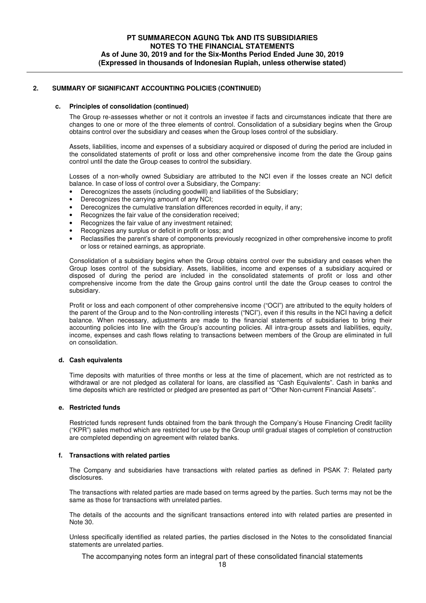## **c. Principles of consolidation (continued)**

The Group re-assesses whether or not it controls an investee if facts and circumstances indicate that there are changes to one or more of the three elements of control. Consolidation of a subsidiary begins when the Group obtains control over the subsidiary and ceases when the Group loses control of the subsidiary.

Assets, liabilities, income and expenses of a subsidiary acquired or disposed of during the period are included in the consolidated statements of profit or loss and other comprehensive income from the date the Group gains control until the date the Group ceases to control the subsidiary.

Losses of a non-wholly owned Subsidiary are attributed to the NCI even if the losses create an NCI deficit balance. In case of loss of control over a Subsidiary, the Company:

- Derecognizes the assets (including goodwill) and liabilities of the Subsidiary;
- Derecognizes the carrying amount of any NCI;
- Derecognizes the cumulative translation differences recorded in equity, if any:
- Recognizes the fair value of the consideration received;
- Recognizes the fair value of any investment retained;
- Recognizes any surplus or deficit in profit or loss; and
- Reclassifies the parent's share of components previously recognized in other comprehensive income to profit or loss or retained earnings, as appropriate.

Consolidation of a subsidiary begins when the Group obtains control over the subsidiary and ceases when the Group loses control of the subsidiary. Assets, liabilities, income and expenses of a subsidiary acquired or disposed of during the period are included in the consolidated statements of profit or loss and other comprehensive income from the date the Group gains control until the date the Group ceases to control the subsidiary.

Profit or loss and each component of other comprehensive income ("OCI") are attributed to the equity holders of the parent of the Group and to the Non-controlling interests ("NCI"), even if this results in the NCI having a deficit balance. When necessary, adjustments are made to the financial statements of subsidiaries to bring their accounting policies into line with the Group's accounting policies. All intra-group assets and liabilities, equity, income, expenses and cash flows relating to transactions between members of the Group are eliminated in full on consolidation.

## **d. Cash equivalents**

Time deposits with maturities of three months or less at the time of placement, which are not restricted as to withdrawal or are not pledged as collateral for loans, are classified as "Cash Equivalents". Cash in banks and time deposits which are restricted or pledged are presented as part of "Other Non-current Financial Assets".

## **e. Restricted funds**

Restricted funds represent funds obtained from the bank through the Company's House Financing Credit facility ("KPR") sales method which are restricted for use by the Group until gradual stages of completion of construction are completed depending on agreement with related banks.

# **f. Transactions with related parties**

The Company and subsidiaries have transactions with related parties as defined in PSAK 7: Related party disclosures.

The transactions with related parties are made based on terms agreed by the parties. Such terms may not be the same as those for transactions with unrelated parties.

The details of the accounts and the significant transactions entered into with related parties are presented in Note 30.

Unless specifically identified as related parties, the parties disclosed in the Notes to the consolidated financial statements are unrelated parties.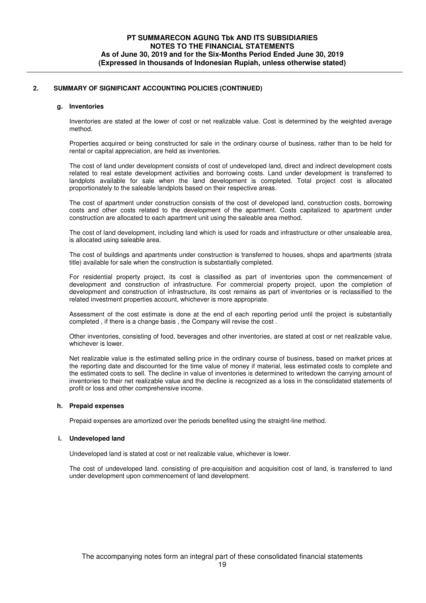## **g. Inventories**

Inventories are stated at the lower of cost or net realizable value. Cost is determined by the weighted average method.

Properties acquired or being constructed for sale in the ordinary course of business, rather than to be held for rental or capital appreciation, are held as inventories.

The cost of land under development consists of cost of undeveloped land, direct and indirect development costs related to real estate development activities and borrowing costs. Land under development is transferred to landplots available for sale when the land development is completed. Total project cost is allocated proportionately to the saleable landplots based on their respective areas.

The cost of apartment under construction consists of the cost of developed land, construction costs, borrowing costs and other costs related to the development of the apartment. Costs capitalized to apartment under construction are allocated to each apartment unit using the saleable area method.

The cost of land development, including land which is used for roads and infrastructure or other unsaleable area, is allocated using saleable area.

The cost of buildings and apartments under construction is transferred to houses, shops and apartments (strata title) available for sale when the construction is substantially completed.

For residential property project, its cost is classified as part of inventories upon the commencement of development and construction of infrastructure. For commercial property project, upon the completion of development and construction of infrastructure, its cost remains as part of inventories or is reclassified to the related investment properties account, whichever is more appropriate.

Assessment of the cost estimate is done at the end of each reporting period until the project is substantially completed , if there is a change basis , the Company will revise the cost .

Other inventories, consisting of food, beverages and other inventories, are stated at cost or net realizable value, whichever is lower.

Net realizable value is the estimated selling price in the ordinary course of business, based on market prices at the reporting date and discounted for the time value of money if material, less estimated costs to complete and the estimated costs to sell. The decline in value of inventories is determined to writedown the carrying amount of inventories to their net realizable value and the decline is recognized as a loss in the consolidated statements of profit or loss and other comprehensive income.

## **h. Prepaid expenses**

Prepaid expenses are amortized over the periods benefited using the straight-line method.

## **i. Undeveloped land**

Undeveloped land is stated at cost or net realizable value, whichever is lower.

The cost of undeveloped land. consisting of pre-acquisition and acquisition cost of land, is transferred to land under development upon commencement of land development.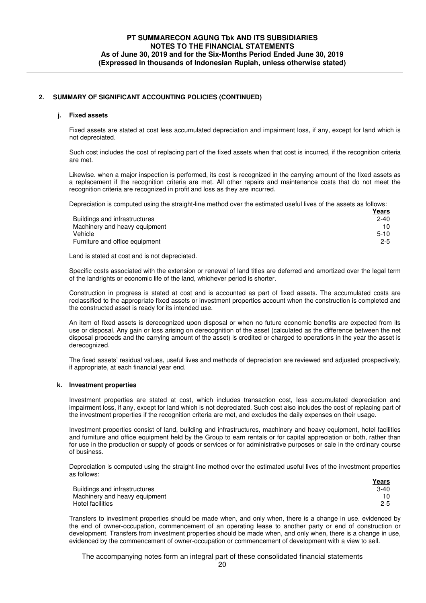# **j. Fixed assets**

Fixed assets are stated at cost less accumulated depreciation and impairment loss, if any, except for land which is not depreciated.

Such cost includes the cost of replacing part of the fixed assets when that cost is incurred, if the recognition criteria are met.

Likewise. when a major inspection is performed, its cost is recognized in the carrying amount of the fixed assets as a replacement if the recognition criteria are met. All other repairs and maintenance costs that do not meet the recognition criteria are recognized in profit and loss as they are incurred.

Depreciation is computed using the straight-line method over the estimated useful lives of the assets as follows:

|                                | Years    |
|--------------------------------|----------|
| Buildings and infrastructures  | $2 - 40$ |
| Machinery and heavy equipment  | 10.      |
| Vehicle                        | $5 - 10$ |
| Furniture and office equipment | $2 - 5$  |

Land is stated at cost and is not depreciated.

Specific costs associated with the extension or renewal of land titles are deferred and amortized over the legal term of the landrights or economic life of the land, whichever period is shorter.

Construction in progress is stated at cost and is accounted as part of fixed assets. The accumulated costs are reclassified to the appropriate fixed assets or investment properties account when the construction is completed and the constructed asset is ready for its intended use.

An item of fixed assets is derecognized upon disposal or when no future economic benefits are expected from its use or disposal. Any gain or loss arising on derecognition of the asset (calculated as the difference between the net disposal proceeds and the carrying amount of the asset) is credited or charged to operations in the year the asset is derecognized.

The fixed assets' residual values, useful lives and methods of depreciation are reviewed and adjusted prospectively, if appropriate, at each financial year end.

## **k. Investment properties**

Investment properties are stated at cost, which includes transaction cost, less accumulated depreciation and impairment loss, if any, except for land which is not depreciated. Such cost also includes the cost of replacing part of the investment properties if the recognition criteria are met, and excludes the daily expenses on their usage.

Investment properties consist of land, building and infrastructures, machinery and heavy equipment, hotel facilities and furniture and office equipment held by the Group to earn rentals or for capital appreciation or both, rather than for use in the production or supply of goods or services or for administrative purposes or sale in the ordinary course of business.

Depreciation is computed using the straight-line method over the estimated useful lives of the investment properties as follows:

|                               | Years   |
|-------------------------------|---------|
| Buildings and infrastructures | $3-40$  |
| Machinery and heavy equipment |         |
| Hotel facilities              | $2 - 5$ |

Transfers to investment properties should be made when, and only when, there is a change in use. evidenced by the end of owner-occupation, commencement of an operating lease to another party or end of construction or development. Transfers from investment properties should be made when, and only when, there is a change in use, evidenced by the commencement of owner-occupation or commencement of development with a view to sell.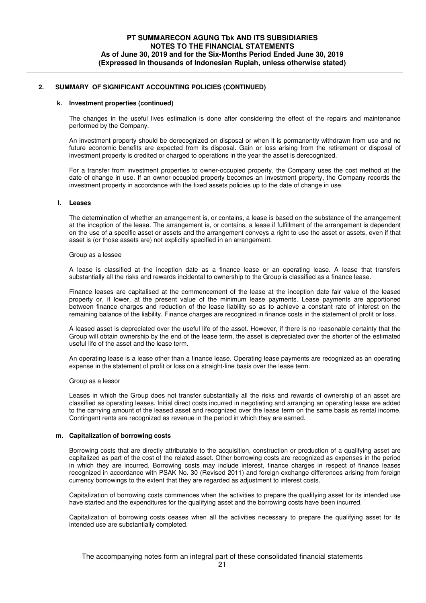#### **k. Investment properties (continued)**

The changes in the useful lives estimation is done after considering the effect of the repairs and maintenance performed by the Company.

An investment property should be derecognized on disposal or when it is permanently withdrawn from use and no future economic benefits are expected from its disposal. Gain or loss arising from the retirement or disposal of investment property is credited or charged to operations in the year the asset is derecognized.

For a transfer from investment properties to owner-occupied property, the Company uses the cost method at the date of change in use. If an owner-occupied property becomes an investment property, the Company records the investment property in accordance with the fixed assets policies up to the date of change in use.

#### **l. Leases**

The determination of whether an arrangement is, or contains, a lease is based on the substance of the arrangement at the inception of the lease. The arrangement is, or contains, a lease if fulfillment of the arrangement is dependent on the use of a specific asset or assets and the arrangement conveys a right to use the asset or assets, even if that asset is (or those assets are) not explicitly specified in an arrangement.

#### Group as a lessee

A lease is classified at the inception date as a finance lease or an operating lease. A lease that transfers substantially all the risks and rewards incidental to ownership to the Group is classified as a finance lease.

Finance leases are capitalised at the commencement of the lease at the inception date fair value of the leased property or, if lower, at the present value of the minimum lease payments. Lease payments are apportioned between finance charges and reduction of the lease liability so as to achieve a constant rate of interest on the remaining balance of the liability. Finance charges are recognized in finance costs in the statement of profit or loss.

A leased asset is depreciated over the useful life of the asset. However, if there is no reasonable certainty that the Group will obtain ownership by the end of the lease term, the asset is depreciated over the shorter of the estimated useful life of the asset and the lease term.

An operating lease is a lease other than a finance lease. Operating lease payments are recognized as an operating expense in the statement of profit or loss on a straight-line basis over the lease term.

#### Group as a lessor

Leases in which the Group does not transfer substantially all the risks and rewards of ownership of an asset are classified as operating leases. Initial direct costs incurred in negotiating and arranging an operating lease are added to the carrying amount of the leased asset and recognized over the lease term on the same basis as rental income. Contingent rents are recognized as revenue in the period in which they are earned.

## **m. Capitalization of borrowing costs**

Borrowing costs that are directly attributable to the acquisition, construction or production of a qualifying asset are capitalized as part of the cost of the related asset. Other borrowing costs are recognized as expenses in the period in which they are incurred. Borrowing costs may include interest, finance charges in respect of finance leases recognized in accordance with PSAK No. 30 (Revised 2011) and foreign exchange differences arising from foreign currency borrowings to the extent that they are regarded as adjustment to interest costs.

Capitalization of borrowing costs commences when the activities to prepare the qualifying asset for its intended use have started and the expenditures for the qualifying asset and the borrowing costs have been incurred.

Capitalization of borrowing costs ceases when all the activities necessary to prepare the qualifying asset for its intended use are substantially completed.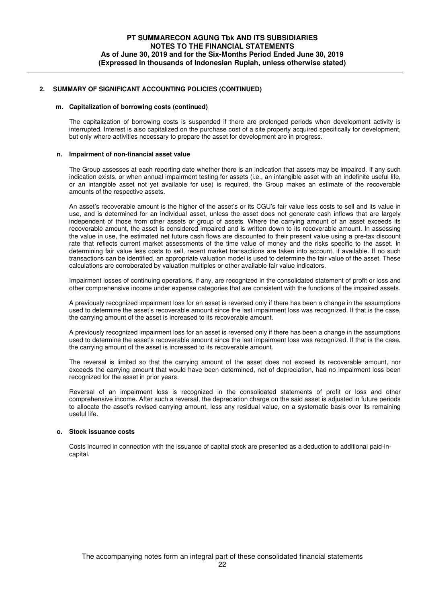## **m. Capitalization of borrowing costs (continued)**

The capitalization of borrowing costs is suspended if there are prolonged periods when development activity is interrupted. Interest is also capitalized on the purchase cost of a site property acquired specifically for development, but only where activities necessary to prepare the asset for development are in progress.

### **n. Impairment of non-financial asset value**

The Group assesses at each reporting date whether there is an indication that assets may be impaired. If any such indication exists, or when annual impairment testing for assets (i.e., an intangible asset with an indefinite useful life, or an intangible asset not yet available for use) is required, the Group makes an estimate of the recoverable amounts of the respective assets.

An asset's recoverable amount is the higher of the asset's or its CGU's fair value less costs to sell and its value in use, and is determined for an individual asset, unless the asset does not generate cash inflows that are largely independent of those from other assets or group of assets. Where the carrying amount of an asset exceeds its recoverable amount, the asset is considered impaired and is written down to its recoverable amount. In assessing the value in use, the estimated net future cash flows are discounted to their present value using a pre-tax discount rate that reflects current market assessments of the time value of money and the risks specific to the asset. In determining fair value less costs to sell, recent market transactions are taken into account, if available. If no such transactions can be identified, an appropriate valuation model is used to determine the fair value of the asset. These calculations are corroborated by valuation multiples or other available fair value indicators.

Impairment losses of continuing operations, if any, are recognized in the consolidated statement of profit or loss and other comprehensive income under expense categories that are consistent with the functions of the impaired assets.

A previously recognized impairment loss for an asset is reversed only if there has been a change in the assumptions used to determine the asset's recoverable amount since the last impairment loss was recognized. If that is the case, the carrying amount of the asset is increased to its recoverable amount.

A previously recognized impairment loss for an asset is reversed only if there has been a change in the assumptions used to determine the asset's recoverable amount since the last impairment loss was recognized. If that is the case, the carrying amount of the asset is increased to its recoverable amount.

The reversal is limited so that the carrying amount of the asset does not exceed its recoverable amount, nor exceeds the carrying amount that would have been determined, net of depreciation, had no impairment loss been recognized for the asset in prior years.

Reversal of an impairment loss is recognized in the consolidated statements of profit or loss and other comprehensive income. After such a reversal, the depreciation charge on the said asset is adjusted in future periods to allocate the asset's revised carrying amount, less any residual value, on a systematic basis over its remaining useful life.

## **o. Stock issuance costs**

Costs incurred in connection with the issuance of capital stock are presented as a deduction to additional paid-incapital.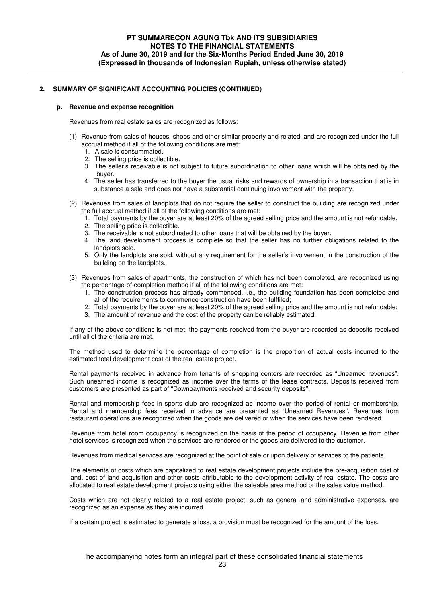## **p. Revenue and expense recognition**

Revenues from real estate sales are recognized as follows:

- (1) Revenue from sales of houses, shops and other similar property and related land are recognized under the full accrual method if all of the following conditions are met:
	- 1. A sale is consummated.
	- 2. The selling price is collectible.
	- 3. The seller's receivable is not subject to future subordination to other loans which will be obtained by the buyer.
	- 4. The seller has transferred to the buyer the usual risks and rewards of ownership in a transaction that is in substance a sale and does not have a substantial continuing involvement with the property.
- (2) Revenues from sales of landplots that do not require the seller to construct the building are recognized under the full accrual method if all of the following conditions are met:
	- 1. Total payments by the buyer are at least 20% of the agreed selling price and the amount is not refundable.
	- 2. The selling price is collectible.
	- 3. The receivable is not subordinated to other loans that will be obtained by the buyer.
	- 4. The land development process is complete so that the seller has no further obligations related to the landplots sold.
	- 5. Only the landplots are sold. without any requirement for the seller's involvement in the construction of the building on the landplots.
- (3) Revenues from sales of apartments, the construction of which has not been completed, are recognized using the percentage-of-completion method if all of the following conditions are met:
	- 1. The construction process has already commenced, i.e., the building foundation has been completed and all of the requirements to commence construction have been fulffiled;
	- 2. Total payments by the buyer are at least 20% of the agreed selling price and the amount is not refundable;
	- 3. The amount of revenue and the cost of the property can be reliably estimated.

If any of the above conditions is not met, the payments received from the buyer are recorded as deposits received until all of the criteria are met.

The method used to determine the percentage of completion is the proportion of actual costs incurred to the estimated total development cost of the real estate project.

Rental payments received in advance from tenants of shopping centers are recorded as "Unearned revenues". Such unearned income is recognized as income over the terms of the lease contracts. Deposits received from customers are presented as part of "Downpayments received and security deposits".

Rental and membership fees in sports club are recognized as income over the period of rental or membership. Rental and membership fees received in advance are presented as "Unearned Revenues". Revenues from restaurant operations are recognized when the goods are delivered or when the services have been rendered.

Revenue from hotel room occupancy is recognized on the basis of the period of occupancy. Revenue from other hotel services is recognized when the services are rendered or the goods are delivered to the customer.

Revenues from medical services are recognized at the point of sale or upon delivery of services to the patients.

The elements of costs which are capitalized to real estate development projects include the pre-acquisition cost of land, cost of land acquisition and other costs attributable to the development activity of real estate. The costs are allocated to real estate development projects using either the saleable area method or the sales value method.

Costs which are not clearly related to a real estate project, such as general and administrative expenses, are recognized as an expense as they are incurred.

If a certain project is estimated to generate a loss, a provision must be recognized for the amount of the loss.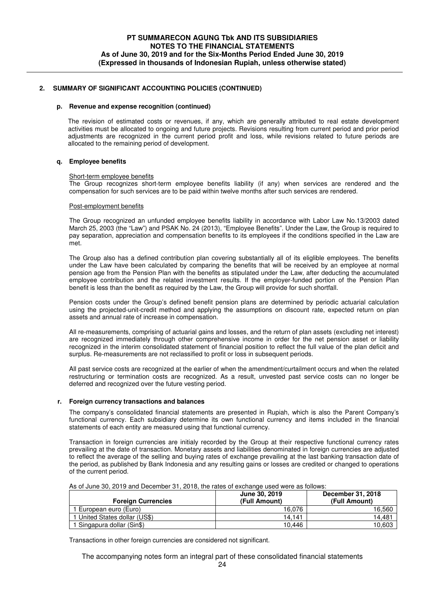#### **p. Revenue and expense recognition (continued)**

The revision of estimated costs or revenues, if any, which are generally attributed to real estate development activities must be allocated to ongoing and future projects. Revisions resulting from current period and prior period adjustments are recognized in the current period profit and loss, while revisions related to future periods are allocated to the remaining period of development.

## **q. Employee benefits**

#### Short-term employee benefits

The Group recognizes short-term employee benefits liability (if any) when services are rendered and the compensation for such services are to be paid within twelve months after such services are rendered.

#### Post-employment benefits

The Group recognized an unfunded employee benefits liability in accordance with Labor Law No.13/2003 dated March 25, 2003 (the "Law") and PSAK No. 24 (2013), "Employee Benefits". Under the Law, the Group is required to pay separation, appreciation and compensation benefits to its employees if the conditions specified in the Law are met.

The Group also has a defined contribution plan covering substantially all of its eliglible employees. The benefits under the Law have been calculated by comparing the benefits that will be received by an employee at normal pension age from the Pension Plan with the benefits as stipulated under the Law, after deducting the accumulated employee contribution and the related investment results. If the employer-funded portion of the Pension Plan benefit is less than the benefit as required by the Law, the Group will provide for such shortfall.

Pension costs under the Group's defined benefit pension plans are determined by periodic actuarial calculation using the projected-unit-credit method and applying the assumptions on discount rate, expected return on plan assets and annual rate of increase in compensation.

All re-measurements, comprising of actuarial gains and losses, and the return of plan assets (excluding net interest) are recognized immediately through other comprehensive income in order for the net pension asset or liability recognized in the interim consolidated statement of financial position to reflect the full value of the plan deficit and surplus. Re-measurements are not reclassified to profit or loss in subsequent periods.

All past service costs are recognized at the earlier of when the amendment/curtailment occurs and when the related restructuring or termination costs are recognized. As a result, unvested past service costs can no longer be deferred and recognized over the future vesting period.

## **r. Foreign currency transactions and balances**

The company's consolidated financial statements are presented in Rupiah, which is also the Parent Company's functional currency. Each subsidiary determine its own functional currency and items included in the financial statements of each entity are measured using that functional currency.

Transaction in foreign currencies are initialy recorded by the Group at their respective functional currency rates prevailing at the date of transaction. Monetary assets and liabilities denominated in foreign currencies are adjusted to reflect the average of the selling and buying rates of exchange prevailing at the last banking transaction date of the period, as published by Bank Indonesia and any resulting gains or losses are credited or changed to operations of the current period.

| <b>Foreign Currencies</b>     | June 30, 2019<br>(Full Amount) | December 31, 2018<br>(Full Amount) |
|-------------------------------|--------------------------------|------------------------------------|
| European euro (Euro)          | 16.076                         | 16,560                             |
| 1 United States dollar (US\$) | 14.141                         | 14.481                             |
| 1 Singapura dollar (Sin\$)    | 10.446                         | 10,603                             |

As of June 30, 2019 and December 31, 2018, the rates of exchange used were as follows:

Transactions in other foreign currencies are considered not significant.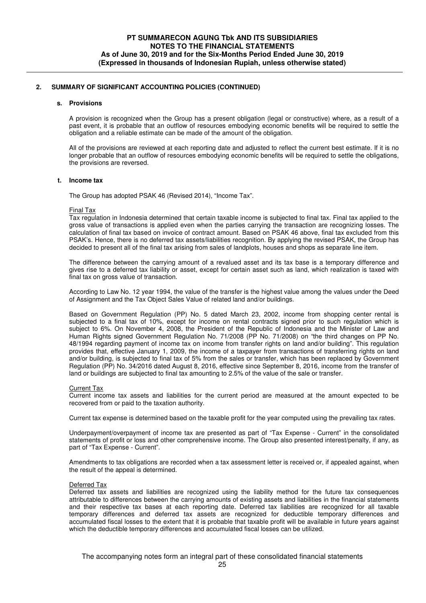#### **s. Provisions**

A provision is recognized when the Group has a present obligation (legal or constructive) where, as a result of a past event, it is probable that an outflow of resources embodying economic benefits will be required to settle the obligation and a reliable estimate can be made of the amount of the obligation.

All of the provisions are reviewed at each reporting date and adjusted to reflect the current best estimate. If it is no longer probable that an outflow of resources embodying economic benefits will be required to settle the obligations, the provisions are reversed.

#### **t. Income tax**

The Group has adopted PSAK 46 (Revised 2014), "Income Tax".

#### Final Tax

Tax regulation in Indonesia determined that certain taxable income is subjected to final tax. Final tax applied to the gross value of transactions is applied even when the parties carrying the transaction are recognizing losses. The calculation of final tax based on invoice of contract amount. Based on PSAK 46 above, final tax excluded from this PSAK's. Hence, there is no deferred tax assets/liabilities recognition. By applying the revised PSAK, the Group has decided to present all of the final tax arising from sales of landplots, houses and shops as separate line item.

The difference between the carrying amount of a revalued asset and its tax base is a temporary difference and gives rise to a deferred tax liability or asset, except for certain asset such as land, which realization is taxed with final tax on gross value of transaction.

According to Law No. 12 year 1994, the value of the transfer is the highest value among the values under the Deed of Assignment and the Tax Object Sales Value of related land and/or buildings.

Based on Government Regulation (PP) No. 5 dated March 23, 2002, income from shopping center rental is subjected to a final tax of 10%, except for income on rental contracts signed prior to such regulation which is subject to 6%. On November 4, 2008, the President of the Republic of Indonesia and the Minister of Law and Human Rights signed Government Regulation No. 71/2008 (PP No. 71/2008) on "the third changes on PP No. 48/1994 regarding payment of income tax on income from transfer rights on land and/or building". This regulation provides that, effective January 1, 2009, the income of a taxpayer from transactions of transferring rights on land and/or building, is subjected to final tax of 5% from the sales or transfer, which has been replaced by Government Regulation (PP) No. 34/2016 dated August 8, 2016, effective since September 8, 2016, income from the transfer of land or buildings are subjected to final tax amounting to 2.5% of the value of the sale or transfer.

#### Current Tax

Current income tax assets and liabilities for the current period are measured at the amount expected to be recovered from or paid to the taxation authority.

Current tax expense is determined based on the taxable profit for the year computed using the prevailing tax rates.

Underpayment/overpayment of income tax are presented as part of "Tax Expense - Current" in the consolidated statements of profit or loss and other comprehensive income. The Group also presented interest/penalty, if any, as part of "Tax Expense - Current".

Amendments to tax obligations are recorded when a tax assessment letter is received or, if appealed against, when the result of the appeal is determined.

#### Deferred Tax

Deferred tax assets and liabilities are recognized using the liability method for the future tax consequences attributable to differences between the carrying amounts of existing assets and liabilities in the financial statements and their respective tax bases at each reporting date. Deferred tax liabilities are recognized for all taxable temporary differences and deferred tax assets are recognized for deductible temporary differences and accumulated fiscal losses to the extent that it is probable that taxable profit will be available in future years against which the deductible temporary differences and accumulated fiscal losses can be utilized.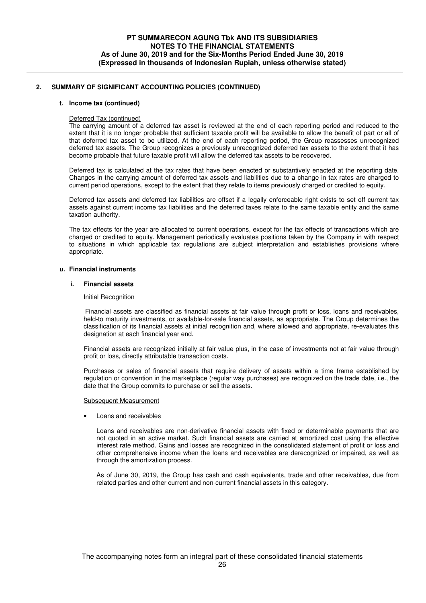#### **t. Income tax (continued)**

#### Deferred Tax (continued)

The carrying amount of a deferred tax asset is reviewed at the end of each reporting period and reduced to the extent that it is no longer probable that sufficient taxable profit will be available to allow the benefit of part or all of that deferred tax asset to be utilized. At the end of each reporting period, the Group reassesses unrecognized deferred tax assets. The Group recognizes a previously unrecognized deferred tax assets to the extent that it has become probable that future taxable profit will allow the deferred tax assets to be recovered.

Deferred tax is calculated at the tax rates that have been enacted or substantively enacted at the reporting date. Changes in the carrying amount of deferred tax assets and liabilities due to a change in tax rates are charged to current period operations, except to the extent that they relate to items previously charged or credited to equity.

Deferred tax assets and deferred tax liabilities are offset if a legally enforceable right exists to set off current tax assets against current income tax liabilities and the deferred taxes relate to the same taxable entity and the same taxation authority.

The tax effects for the year are allocated to current operations, except for the tax effects of transactions which are charged or credited to equity. Management periodically evaluates positions taken by the Company in with respect to situations in which applicable tax regulations are subject interpretation and establishes provisions where appropriate.

## **u. Financial instruments**

#### **i. Financial assets**

### Initial Recognition

 Financial assets are classified as financial assets at fair value through profit or loss, loans and receivables, held-to maturity investments, or available-for-sale financial assets, as appropriate. The Group determines the classification of its financial assets at initial recognition and, where allowed and appropriate, re-evaluates this designation at each financial year end.

 Financial assets are recognized initially at fair value plus, in the case of investments not at fair value through profit or loss, directly attributable transaction costs.

Purchases or sales of financial assets that require delivery of assets within a time frame established by regulation or convention in the marketplace (regular way purchases) are recognized on the trade date, i.e., the date that the Group commits to purchase or sell the assets.

#### Subsequent Measurement

• Loans and receivables

Loans and receivables are non-derivative financial assets with fixed or determinable payments that are not quoted in an active market. Such financial assets are carried at amortized cost using the effective interest rate method. Gains and losses are recognized in the consolidated statement of profit or loss and other comprehensive income when the loans and receivables are derecognized or impaired, as well as through the amortization process.

As of June 30, 2019, the Group has cash and cash equivalents, trade and other receivables, due from related parties and other current and non-current financial assets in this category.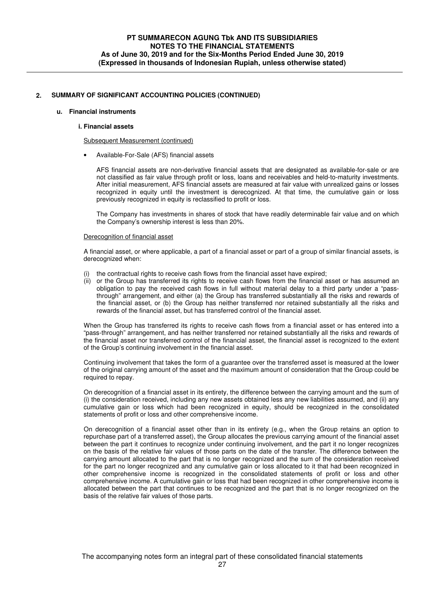#### **u. Financial instruments**

#### **i. Financial assets**

Subsequent Measurement (continued)

• Available-For-Sale (AFS) financial assets

AFS financial assets are non-derivative financial assets that are designated as available-for-sale or are not classified as fair value through profit or loss, loans and receivables and held-to-maturity investments. After initial measurement, AFS financial assets are measured at fair value with unrealized gains or losses recognized in equity until the investment is derecognized. At that time, the cumulative gain or loss previously recognized in equity is reclassified to profit or loss.

The Company has investments in shares of stock that have readily determinable fair value and on which the Company's ownership interest is less than 20%.

#### Derecognition of financial asset

A financial asset, or where applicable, a part of a financial asset or part of a group of similar financial assets, is derecognized when:

- the contractual rights to receive cash flows from the financial asset have expired;
- (ii) or the Group has transferred its rights to receive cash flows from the financial asset or has assumed an obligation to pay the received cash flows in full without material delay to a third party under a "passthrough" arrangement, and either (a) the Group has transferred substantially all the risks and rewards of the financial asset, or (b) the Group has neither transferred nor retained substantially all the risks and rewards of the financial asset, but has transferred control of the financial asset.

When the Group has transferred its rights to receive cash flows from a financial asset or has entered into a "pass-through" arrangement, and has neither transferred nor retained substantially all the risks and rewards of the financial asset nor transferred control of the financial asset, the financial asset is recognized to the extent of the Group's continuing involvement in the financial asset.

Continuing involvement that takes the form of a guarantee over the transferred asset is measured at the lower of the original carrying amount of the asset and the maximum amount of consideration that the Group could be required to repay.

On derecognition of a financial asset in its entirety, the difference between the carrying amount and the sum of (i) the consideration received, including any new assets obtained less any new liabilities assumed, and (ii) any cumulative gain or loss which had been recognized in equity, should be recognized in the consolidated statements of profit or loss and other comprehensive income.

On derecognition of a financial asset other than in its entirety (e.g., when the Group retains an option to repurchase part of a transferred asset), the Group allocates the previous carrying amount of the financial asset between the part it continues to recognize under continuing involvement, and the part it no longer recognizes on the basis of the relative fair values of those parts on the date of the transfer. The difference between the carrying amount allocated to the part that is no longer recognized and the sum of the consideration received for the part no longer recognized and any cumulative gain or loss allocated to it that had been recognized in other comprehensive income is recognized in the consolidated statements of profit or loss and other comprehensive income. A cumulative gain or loss that had been recognized in other comprehensive income is allocated between the part that continues to be recognized and the part that is no longer recognized on the basis of the relative fair values of those parts.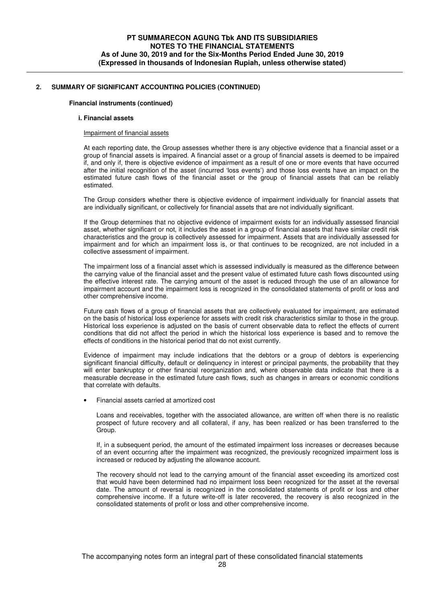## **Financial instruments (continued)**

#### **i. Financial assets**

#### Impairment of financial assets

At each reporting date, the Group assesses whether there is any objective evidence that a financial asset or a group of financial assets is impaired. A financial asset or a group of financial assets is deemed to be impaired if, and only if, there is objective evidence of impairment as a result of one or more events that have occurred after the initial recognition of the asset (incurred 'loss events') and those loss events have an impact on the estimated future cash flows of the financial asset or the group of financial assets that can be reliably estimated.

The Group considers whether there is objective evidence of impairment individually for financial assets that are individually significant, or collectively for financial assets that are not individually significant.

If the Group determines that no objective evidence of impairment exists for an individually assessed financial asset, whether significant or not, it includes the asset in a group of financial assets that have similar credit risk characteristics and the group is collectively assessed for impairment. Assets that are individually assessed for impairment and for which an impairment loss is, or that continues to be recognized, are not included in a collective assessment of impairment.

The impairment loss of a financial asset which is assessed individually is measured as the difference between the carrying value of the financial asset and the present value of estimated future cash flows discounted using the effective interest rate. The carrying amount of the asset is reduced through the use of an allowance for impairment account and the impairment loss is recognized in the consolidated statements of profit or loss and other comprehensive income.

Future cash flows of a group of financial assets that are collectively evaluated for impairment, are estimated on the basis of historical loss experience for assets with credit risk characteristics similar to those in the group. Historical loss experience is adjusted on the basis of current observable data to reflect the effects of current conditions that did not affect the period in which the historical loss experience is based and to remove the effects of conditions in the historical period that do not exist currently.

Evidence of impairment may include indications that the debtors or a group of debtors is experiencing significant financial difficulty, default or delinquency in interest or principal payments, the probability that they will enter bankruptcy or other financial reorganization and, where observable data indicate that there is a measurable decrease in the estimated future cash flows, such as changes in arrears or economic conditions that correlate with defaults.

• Financial assets carried at amortized cost

Loans and receivables, together with the associated allowance, are written off when there is no realistic prospect of future recovery and all collateral, if any, has been realized or has been transferred to the Group.

If, in a subsequent period, the amount of the estimated impairment loss increases or decreases because of an event occurring after the impairment was recognized, the previously recognized impairment loss is increased or reduced by adjusting the allowance account.

The recovery should not lead to the carrying amount of the financial asset exceeding its amortized cost that would have been determined had no impairment loss been recognized for the asset at the reversal date. The amount of reversal is recognized in the consolidated statements of profit or loss and other comprehensive income. If a future write-off is later recovered, the recovery is also recognized in the consolidated statements of profit or loss and other comprehensive income.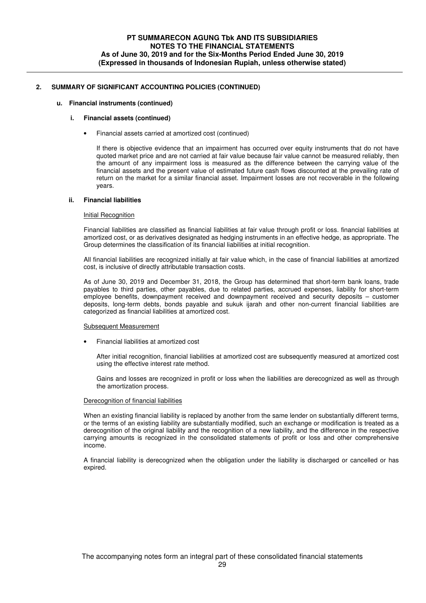#### **u. Financial instruments (continued)**

## **i. Financial assets (continued)**

• Financial assets carried at amortized cost (continued)

If there is objective evidence that an impairment has occurred over equity instruments that do not have quoted market price and are not carried at fair value because fair value cannot be measured reliably, then the amount of any impairment loss is measured as the difference between the carrying value of the financial assets and the present value of estimated future cash flows discounted at the prevailing rate of return on the market for a similar financial asset. Impairment losses are not recoverable in the following years.

## **ii. Financial liabilities**

## Initial Recognition

Financial liabilities are classified as financial liabilities at fair value through profit or loss. financial liabilities at amortized cost, or as derivatives designated as hedging instruments in an effective hedge, as appropriate. The Group determines the classification of its financial liabilities at initial recognition.

All financial liabilities are recognized initially at fair value which, in the case of financial liabilities at amortized cost, is inclusive of directly attributable transaction costs.

As of June 30, 2019 and December 31, 2018, the Group has determined that short-term bank loans, trade payables to third parties, other payables, due to related parties, accrued expenses, liability for short-term employee benefits, downpayment received and downpayment received and security deposits – customer deposits, long-term debts, bonds payable and sukuk ijarah and other non-current financial liabilities are categorized as financial liabilities at amortized cost.

#### Subsequent Measurement

• Financial liabilities at amortized cost

After initial recognition, financial liabilities at amortized cost are subsequently measured at amortized cost using the effective interest rate method.

Gains and losses are recognized in profit or loss when the liabilities are derecognized as well as through the amortization process.

#### Derecognition of financial liabilities

When an existing financial liability is replaced by another from the same lender on substantially different terms, or the terms of an existing liability are substantially modified, such an exchange or modification is treated as a derecognition of the original liability and the recognition of a new liability, and the difference in the respective carrying amounts is recognized in the consolidated statements of profit or loss and other comprehensive income.

A financial liability is derecognized when the obligation under the liability is discharged or cancelled or has expired.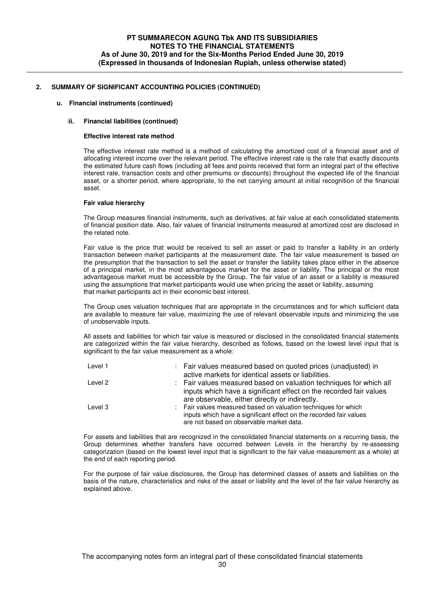## **u. Financial instruments (continued)**

## **iii. Financial liabilities (continued)**

#### **Effective interest rate method**

The effective interest rate method is a method of calculating the amortized cost of a financial asset and of allocating interest income over the relevant period. The effective interest rate is the rate that exactly discounts the estimated future cash flows (including all fees and points received that form an integral part of the effective interest rate, transaction costs and other premiums or discounts) throughout the expected life of the financial asset, or a shorter period, where appropriate, to the net carrying amount at initial recognition of the financial asset.

#### **Fair value hierarchy**

The Group measures financial instruments, such as derivatives, at fair value at each consolidated statements of financial position date. Also, fair values of financial instruments measured at amortized cost are disclosed in the related note.

Fair value is the price that would be received to sell an asset or paid to transfer a liability in an orderly transaction between market participants at the measurement date. The fair value measurement is based on the presumption that the transaction to sell the asset or transfer the liability takes place either in the absence of a principal market, in the most advantageous market for the asset or liability. The principal or the most advantageous market must be accessible by the Group. The fair value of an asset or a liability is measured using the assumptions that market participants would use when pricing the asset or liability, assuming that market participants act in their economic best interest.

The Group uses valuation techniques that are appropriate in the circumstances and for which sufficient data are available to measure fair value, maximizing the use of relevant observable inputs and minimizing the use of unobservable inputs.

All assets and liabilities for which fair value is measured or disclosed in the consolidated financial statements are categorized within the fair value hierarchy, described as follows, based on the lowest level input that is significant to the fair value measurement as a whole:

| Level 1 | : Fair values measured based on quoted prices (unadjusted) in                                                  |
|---------|----------------------------------------------------------------------------------------------------------------|
|         | active markets for identical assets or liabilities.                                                            |
| Level 2 | : Fair values measured based on valuation techniques for which all                                             |
|         | inputs which have a significant effect on the recorded fair values                                             |
|         | are observable, either directly or indirectly.                                                                 |
| Level 3 | : Fair values measured based on valuation techniques for which                                                 |
|         | inputs which have a significant effect on the recorded fair values<br>are not based on observable market data. |

For assets and liabilities that are recognized in the consolidated financial statements on a recurring basis, the Group determines whether transfers have occurred between Levels in the hierarchy by re-assessing categorization (based on the lowest level input that is significant to the fair value measurement as a whole) at the end of each reporting period.

For the purpose of fair value disclosures, the Group has determined classes of assets and liabilities on the basis of the nature, characteristics and risks of the asset or liability and the level of the fair value hierarchy as explained above.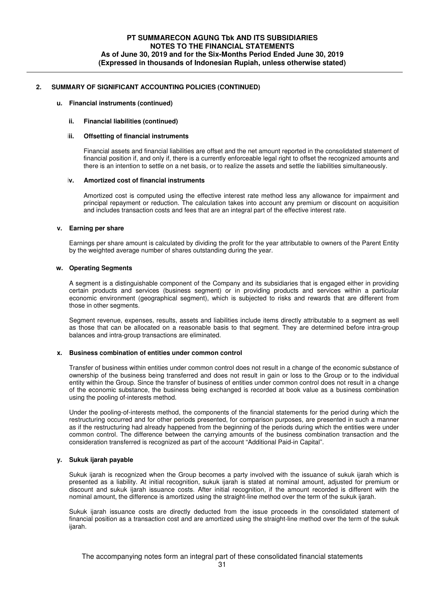## **u. Financial instruments (continued)**

## **ii. Financial liabilities (continued)**

#### **iii. Offsetting of financial instruments**

Financial assets and financial liabilities are offset and the net amount reported in the consolidated statement of financial position if, and only if, there is a currently enforceable legal right to offset the recognized amounts and there is an intention to settle on a net basis, or to realize the assets and settle the liabilities simultaneously.

#### **iv. Amortized cost of financial instruments**

Amortized cost is computed using the effective interest rate method less any allowance for impairment and principal repayment or reduction. The calculation takes into account any premium or discount on acquisition and includes transaction costs and fees that are an integral part of the effective interest rate.

#### **v. Earning per share**

Earnings per share amount is calculated by dividing the profit for the year attributable to owners of the Parent Entity by the weighted average number of shares outstanding during the year.

#### **w. Operating Segments**

A segment is a distinguishable component of the Company and its subsidiaries that is engaged either in providing certain products and services (business segment) or in providing products and services within a particular economic environment (geographical segment), which is subjected to risks and rewards that are different from those in other segments.

Segment revenue, expenses, results, assets and liabilities include items directly attributable to a segment as well as those that can be allocated on a reasonable basis to that segment. They are determined before intra-group balances and intra-group transactions are eliminated.

#### **x. Business combination of entities under common control**

Transfer of business within entities under common control does not result in a change of the economic substance of ownership of the business being transferred and does not result in gain or loss to the Group or to the individual entity within the Group. Since the transfer of business of entities under common control does not result in a change of the economic substance, the business being exchanged is recorded at book value as a business combination using the pooling of-interests method.

Under the pooling-of-interests method, the components of the financial statements for the period during which the restructuring occurred and for other periods presented, for comparison purposes, are presented in such a manner as if the restructuring had already happened from the beginning of the periods during which the entities were under common control. The difference between the carrying amounts of the business combination transaction and the consideration transferred is recognized as part of the account "Additional Paid-in Capital".

## **y. Sukuk ijarah payable**

Sukuk ijarah is recognized when the Group becomes a party involved with the issuance of sukuk ijarah which is presented as a liability. At initial recognition, sukuk ijarah is stated at nominal amount, adjusted for premium or discount and sukuk ijarah issuance costs. After initial recognition, if the amount recorded is different with the nominal amount, the difference is amortized using the straight-line method over the term of the sukuk ijarah.

Sukuk ijarah issuance costs are directly deducted from the issue proceeds in the consolidated statement of financial position as a transaction cost and are amortized using the straight-line method over the term of the sukuk ijarah.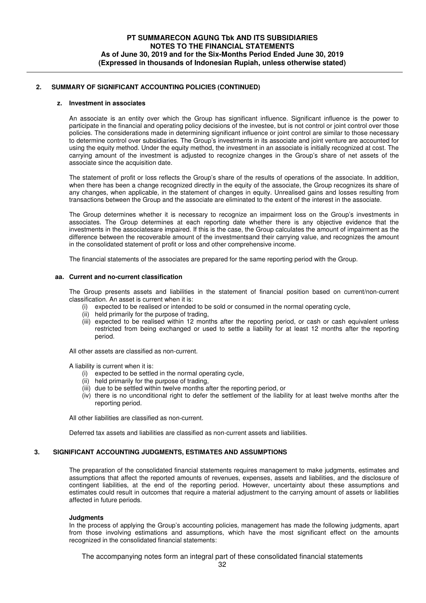#### **z. Investment in associates**

An associate is an entity over which the Group has significant influence. Significant influence is the power to participate in the financial and operating policy decisions of the investee, but is not control or joint control over those policies. The considerations made in determining significant influence or joint control are similar to those necessary to determine control over subsidiaries. The Group's investments in its associate and joint venture are accounted for using the equity method. Under the equity method, the investment in an associate is initially recognized at cost. The carrying amount of the investment is adjusted to recognize changes in the Group's share of net assets of the associate since the acquisition date.

The statement of profit or loss reflects the Group's share of the results of operations of the associate. In addition, when there has been a change recognized directly in the equity of the associate, the Group recognizes its share of any changes, when applicable, in the statement of changes in equity. Unrealised gains and losses resulting from transactions between the Group and the associate are eliminated to the extent of the interest in the associate.

The Group determines whether it is necessary to recognize an impairment loss on the Group's investments in associates. The Group determines at each reporting date whether there is any objective evidence that the investments in the associatesare impaired. If this is the case, the Group calculates the amount of impairment as the difference between the recoverable amount of the investmentsand their carrying value, and recognizes the amount in the consolidated statement of profit or loss and other comprehensive income.

The financial statements of the associates are prepared for the same reporting period with the Group.

#### **aa. Current and no-current classification**

The Group presents assets and liabilities in the statement of financial position based on current/non-current classification. An asset is current when it is:

- (i) expected to be realised or intended to be sold or consumed in the normal operating cycle,
- (ii) held primarily for the purpose of trading,
- (iii) expected to be realised within 12 months after the reporting period, or cash or cash equivalent unless restricted from being exchanged or used to settle a liability for at least 12 months after the reporting period.

All other assets are classified as non-current.

A liability is current when it is:

- (i) expected to be settled in the normal operating cycle,
- (ii) held primarily for the purpose of trading,
- (iii) due to be settled within twelve months after the reporting period, or
- (iv) there is no unconditional right to defer the settlement of the liability for at least twelve months after the reporting period.

All other liabilities are classified as non-current.

Deferred tax assets and liabilities are classified as non-current assets and liabilities.

## **3. SIGNIFICANT ACCOUNTING JUDGMENTS, ESTIMATES AND ASSUMPTIONS**

The preparation of the consolidated financial statements requires management to make judgments, estimates and assumptions that affect the reported amounts of revenues, expenses, assets and liabilities, and the disclosure of contingent liabilities, at the end of the reporting period. However, uncertainty about these assumptions and estimates could result in outcomes that require a material adjustment to the carrying amount of assets or liabilities affected in future periods.

#### **Judgments**

In the process of applying the Group's accounting policies, management has made the following judgments, apart from those involving estimations and assumptions, which have the most significant effect on the amounts recognized in the consolidated financial statements: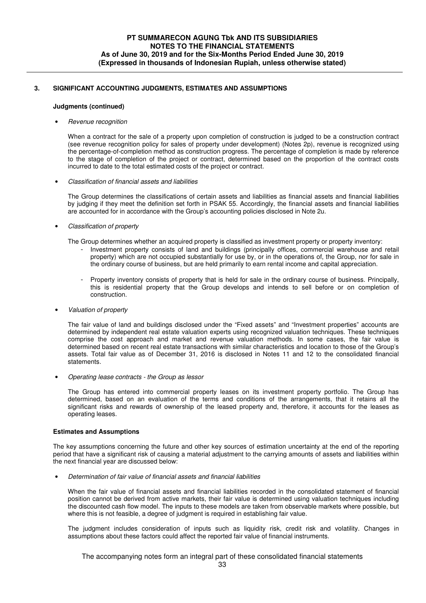# **3. SIGNIFICANT ACCOUNTING JUDGMENTS, ESTIMATES AND ASSUMPTIONS**

## **Judgments (continued)**

## • Revenue recognition

When a contract for the sale of a property upon completion of construction is judged to be a construction contract (see revenue recognition policy for sales of property under development) (Notes 2p), revenue is recognized using the percentage-of-completion method as construction progress. The percentage of completion is made by reference to the stage of completion of the project or contract, determined based on the proportion of the contract costs incurred to date to the total estimated costs of the project or contract.

• Classification of financial assets and liabilities

The Group determines the classifications of certain assets and liabilities as financial assets and financial liabilities by judging if they meet the definition set forth in PSAK 55. Accordingly, the financial assets and financial liabilities are accounted for in accordance with the Group's accounting policies disclosed in Note 2u.

# • Classification of property

The Group determines whether an acquired property is classified as investment property or property inventory:

- Investment property consists of land and buildings (principally offices, commercial warehouse and retail property) which are not occupied substantially for use by, or in the operations of, the Group, nor for sale in the ordinary course of business, but are held primarily to earn rental income and capital appreciation.
- Property inventory consists of property that is held for sale in the ordinary course of business. Principally, this is residential property that the Group develops and intends to sell before or on completion of construction.
- Valuation of property

The fair value of land and buildings disclosed under the "Fixed assets" and "Investment properties" accounts are determined by independent real estate valuation experts using recognized valuation techniques. These techniques comprise the cost approach and market and revenue valuation methods. In some cases, the fair value is determined based on recent real estate transactions with similar characteristics and location to those of the Group's assets. Total fair value as of December 31, 2016 is disclosed in Notes 11 and 12 to the consolidated financial statements.

• Operating lease contracts - the Group as lessor

The Group has entered into commercial property leases on its investment property portfolio. The Group has determined, based on an evaluation of the terms and conditions of the arrangements, that it retains all the significant risks and rewards of ownership of the leased property and, therefore, it accounts for the leases as operating leases.

# **Estimates and Assumptions**

The key assumptions concerning the future and other key sources of estimation uncertainty at the end of the reporting period that have a significant risk of causing a material adjustment to the carrying amounts of assets and liabilities within the next financial year are discussed below:

• Determination of fair value of financial assets and financial liabilities

When the fair value of financial assets and financial liabilities recorded in the consolidated statement of financial position cannot be derived from active markets, their fair value is determined using valuation techniques including the discounted cash flow model. The inputs to these models are taken from observable markets where possible, but where this is not feasible, a degree of judgment is required in establishing fair value.

The judgment includes consideration of inputs such as liquidity risk, credit risk and volatility. Changes in assumptions about these factors could affect the reported fair value of financial instruments.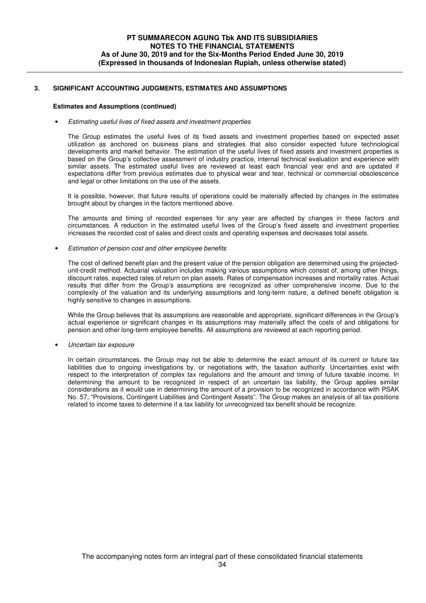# **3. SIGNIFICANT ACCOUNTING JUDGMENTS, ESTIMATES AND ASSUMPTIONS**

## **Estimates and Assumptions (continued)**

## • Estimating useful lives of fixed assets and investment properties

The Group estimates the useful lives of its fixed assets and investment properties based on expected asset utilization as anchored on business plans and strategies that also consider expected future technological developments and market behavior. The estimation of the useful lives of fixed assets and investment properties is based on the Group's collective assessment of industry practice, internal technical evaluation and experience with similar assets. The estimated useful lives are reviewed at least each financial year end and are updated if expectations differ from previous estimates due to physical wear and tear, technical or commercial obsolescence and legal or other limitations on the use of the assets.

It is possible, however, that future results of operations could be materially affected by changes in the estimates brought about by changes in the factors mentioned above.

The amounts and timing of recorded expenses for any year are affected by changes in these factors and circumstances. A reduction in the estimated useful lives of the Group's fixed assets and investment properties increases the recorded cost of sales and direct costs and operating expenses and decreases total assets.

• Estimation of pension cost and other employee benefits

The cost of defined benefit plan and the present value of the pension obligation are determined using the projectedunit-credit method. Actuarial valuation includes making various assumptions which consist of, among other things, discount rates, expected rates of return on plan assets. Rates of compensation increases and mortality rates. Actual results that differ from the Group's assumptions are recognized as other comprehensive income. Due to the complexity of the valuation and its underlying assumptions and long-term nature, a defined benefit obligation is highly sensitive to changes in assumptions.

While the Group believes that its assumptions are reasonable and appropriate, significant differences in the Group's actual experience or significant changes in its assumptions may materially affect the costs of and obligations for pension and other long-term employee benefits. All assumptions are reviewed at each reporting period.

• Uncertain tax exposure

In certain circumstances. the Group may not be able to determine the exact amount of its current or future tax liabilities due to ongoing investigations by, or negotiations with, the taxation authority. Uncertainties exist with respect to the interpretation of complex tax regulations and the amount and timing of future taxable income. In determining the amount to be recognized in respect of an uncertain tax liability, the Group applies similar considerations as it would use in determining the amount of a provision to be recognized in accordance with PSAK No. 57, "Provisions, Contingent Liabilities and Contingent Assets". The Group makes an analysis of all tax positions related to income taxes to determine if a tax liability for unrecognized tax benefit should be recognize.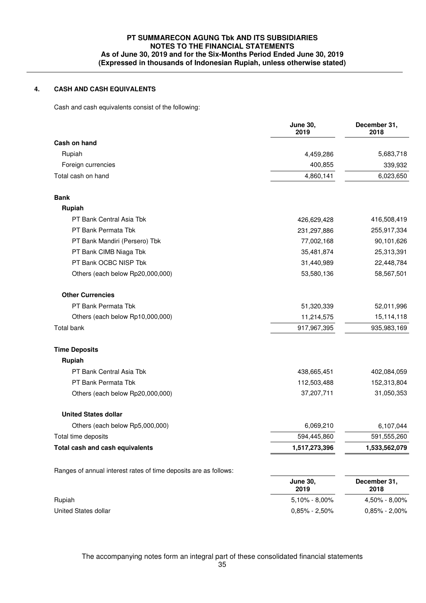## **4. CASH AND CASH EQUIVALENTS**

Cash and cash equivalents consist of the following:

|                                                                  | <b>June 30,</b><br>2019 | December 31,<br>2018 |
|------------------------------------------------------------------|-------------------------|----------------------|
| Cash on hand                                                     |                         |                      |
| Rupiah                                                           | 4,459,286               | 5,683,718            |
| Foreign currencies                                               | 400,855                 | 339,932              |
| Total cash on hand                                               | 4,860,141               | 6,023,650            |
| <b>Bank</b>                                                      |                         |                      |
| Rupiah                                                           |                         |                      |
| PT Bank Central Asia Tbk                                         | 426,629,428             | 416,508,419          |
| PT Bank Permata Tbk                                              | 231,297,886             | 255,917,334          |
| PT Bank Mandiri (Persero) Tbk                                    | 77,002,168              | 90,101,626           |
| PT Bank CIMB Niaga Tbk                                           | 35,481,874              | 25,313,391           |
| PT Bank OCBC NISP Tbk                                            | 31,440,989              | 22,448,784           |
| Others (each below Rp20,000,000)                                 | 53,580,136              | 58,567,501           |
| <b>Other Currencies</b>                                          |                         |                      |
| PT Bank Permata Tbk                                              | 51,320,339              | 52,011,996           |
| Others (each below Rp10,000,000)                                 | 11,214,575              | 15,114,118           |
| Total bank                                                       | 917,967,395             | 935,983,169          |
| <b>Time Deposits</b>                                             |                         |                      |
| Rupiah                                                           |                         |                      |
| PT Bank Central Asia Tbk                                         | 438,665,451             | 402,084,059          |
| PT Bank Permata Tbk                                              | 112,503,488             | 152,313,804          |
| Others (each below Rp20,000,000)                                 | 37,207,711              | 31,050,353           |
| <b>United States dollar</b>                                      |                         |                      |
| Others (each below Rp5,000,000)                                  | 6,069,210               | 6,107,044            |
| Total time deposits                                              | 594,445,860             | 591,555,260          |
| Total cash and cash equivalents                                  | 1,517,273,396           | 1,533,562,079        |
| Ranges of annual interest rates of time deposits are as follows: |                         |                      |
|                                                                  | <b>June 30,</b><br>2019 | December 31,<br>2018 |
| Rupiah                                                           | 5,10% - 8,00%           | 4,50% - 8,00%        |
| United States dollar                                             | $0,85\% - 2,50\%$       | $0,85\% - 2,00\%$    |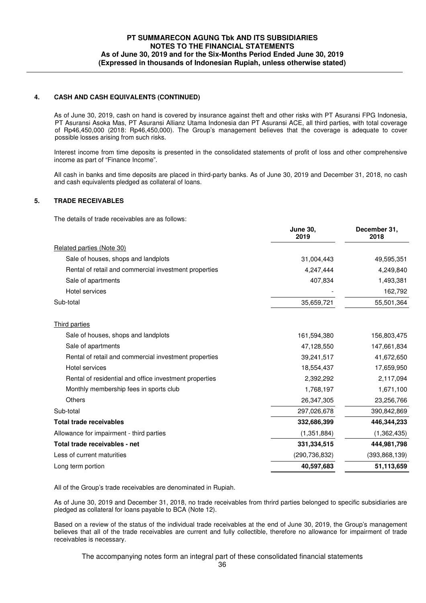## **4. CASH AND CASH EQUIVALENTS (CONTINUED)**

 As of June 30, 2019, cash on hand is covered by insurance against theft and other risks with PT Asuransi FPG Indonesia, PT Asuransi Asoka Mas, PT Asuransi Allianz Utama Indonesia dan PT Asuransi ACE, all third parties, with total coverage of Rp46,450,000 (2018: Rp46,450,000). The Group's management believes that the coverage is adequate to cover possible losses arising from such risks.

Interest income from time deposits is presented in the consolidated statements of profit of loss and other comprehensive income as part of "Finance Income".

All cash in banks and time deposits are placed in third-party banks. As of June 30, 2019 and December 31, 2018, no cash and cash equivalents pledged as collateral of loans.

## **5. TRADE RECEIVABLES**

The details of trade receivables are as follows:

|                                                        | <b>June 30,</b><br>2019 | December 31,<br>2018 |
|--------------------------------------------------------|-------------------------|----------------------|
| Related parties (Note 30)                              |                         |                      |
| Sale of houses, shops and landplots                    | 31,004,443              | 49,595,351           |
| Rental of retail and commercial investment properties  | 4,247,444               | 4,249,840            |
| Sale of apartments                                     | 407,834                 | 1,493,381            |
| Hotel services                                         |                         | 162,792              |
| Sub-total                                              | 35,659,721              | 55,501,364           |
| Third parties                                          |                         |                      |
| Sale of houses, shops and landplots                    | 161,594,380             | 156,803,475          |
| Sale of apartments                                     | 47,128,550              | 147,661,834          |
| Rental of retail and commercial investment properties  | 39,241,517              | 41,672,650           |
| <b>Hotel services</b>                                  | 18,554,437              | 17,659,950           |
| Rental of residential and office investment properties | 2,392,292               | 2,117,094            |
| Monthly membership fees in sports club                 | 1,768,197               | 1,671,100            |
| <b>Others</b>                                          | 26,347,305              | 23,256,766           |
| Sub-total                                              | 297,026,678             | 390,842,869          |
| <b>Total trade receivables</b>                         | 332,686,399             | 446,344,233          |
| Allowance for impairment - third parties               | (1, 351, 884)           | (1,362,435)          |
| Total trade receivables - net                          | 331, 334, 515           | 444,981,798          |
| Less of current maturities                             | (290, 736, 832)         | (393, 868, 139)      |
| Long term portion                                      | 40,597,683              | 51,113,659           |
|                                                        |                         |                      |

All of the Group's trade receivables are denominated in Rupiah.

As of June 30, 2019 and December 31, 2018, no trade receivables from thrird parties belonged to specific subsidiaries are pledged as collateral for loans payable to BCA (Note 12).

Based on a review of the status of the individual trade receivables at the end of June 30, 2019, the Group's management believes that all of the trade receivables are current and fully collectible, therefore no allowance for impairment of trade receivables is necessary.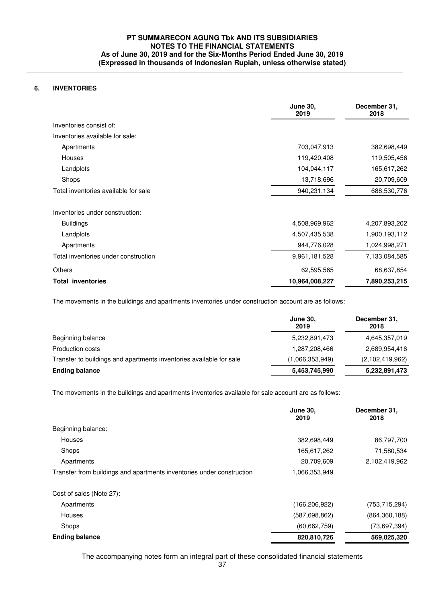## **6. INVENTORIES**

|                                      | <b>June 30,</b><br>2019 | December 31,<br>2018 |
|--------------------------------------|-------------------------|----------------------|
| Inventories consist of:              |                         |                      |
| Inventories available for sale:      |                         |                      |
| Apartments                           | 703,047,913             | 382,698,449          |
| <b>Houses</b>                        | 119,420,408             | 119,505,456          |
| Landplots                            | 104,044,117             | 165,617,262          |
| Shops                                | 13,718,696              | 20,709,609           |
| Total inventories available for sale | 940,231,134             | 688,530,776          |
| Inventories under construction:      |                         |                      |
| <b>Buildings</b>                     | 4,508,969,962           | 4,207,893,202        |
| Landplots                            | 4,507,435,538           | 1,900,193,112        |
| Apartments                           | 944,776,028             | 1,024,998,271        |
| Total inventories under construction | 9,961,181,528           | 7,133,084,585        |
| <b>Others</b>                        | 62,595,565              | 68,637,854           |
| <b>Total inventories</b>             | 10,964,008,227          | 7,890,253,215        |

The movements in the buildings and apartments inventories under construction account are as follows:

|                                                                     | <b>June 30,</b><br>2019 | December 31,<br>2018 |
|---------------------------------------------------------------------|-------------------------|----------------------|
| Beginning balance                                                   | 5,232,891,473           | 4,645,357,019        |
| Production costs                                                    | 1,287,208,466           | 2,689,954,416        |
| Transfer to buildings and apartments inventories available for sale | (1,066,353,949)         | (2,102,419,962)      |
| <b>Ending balance</b>                                               | 5,453,745,990           | 5,232,891,473        |

The movements in the buildings and apartments inventories available for sale account are as follows:

|                                                                       | <b>June 30,</b><br>2019 | December 31,<br>2018 |
|-----------------------------------------------------------------------|-------------------------|----------------------|
| Beginning balance:                                                    |                         |                      |
| <b>Houses</b>                                                         | 382,698,449             | 86,797,700           |
| Shops                                                                 | 165,617,262             | 71,580,534           |
| Apartments                                                            | 20,709,609              | 2,102,419,962        |
| Transfer from buildings and apartments inventories under construction | 1,066,353,949           |                      |
| Cost of sales (Note 27):                                              |                         |                      |
| Apartments                                                            | (166,206,922)           | (753, 715, 294)      |
| <b>Houses</b>                                                         | (587, 698, 862)         | (864, 360, 188)      |
| Shops                                                                 | (60, 662, 759)          | (73, 697, 394)       |
| <b>Ending balance</b>                                                 | 820,810,726             | 569,025,320          |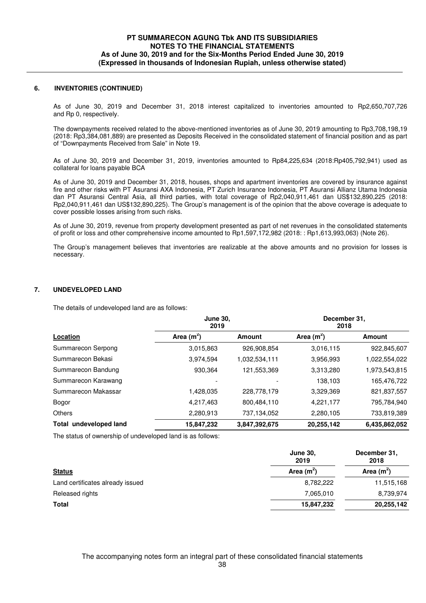#### **6. INVENTORIES (CONTINUED)**

 As of June 30, 2019 and December 31, 2018 interest capitalized to inventories amounted to Rp2,650,707,726 and Rp 0, respectively.

The downpayments received related to the above-mentioned inventories as of June 30, 2019 amounting to Rp3,708,198,19 (2018: Rp3,384,081,889) are presented as Deposits Received in the consolidated statement of financial position and as part of "Downpayments Received from Sale" in Note 19.

 As of June 30, 2019 and December 31, 2019, inventories amounted to Rp84,225,634 (2018:Rp405,792,941) used as collateral for loans payable BCA

As of June 30, 2019 and December 31, 2018, houses, shops and apartment inventories are covered by insurance against fire and other risks with PT Asuransi AXA Indonesia, PT Zurich Insurance Indonesia, PT Asuransi Allianz Utama Indonesia dan PT Asuransi Central Asia, all third parties, with total coverage of Rp2,040,911,461 dan US\$132,890,225 (2018: Rp2,040,911,461 dan US\$132,890,225). The Group's management is of the opinion that the above coverage is adequate to cover possible losses arising from such risks.

As of June 30, 2019, revenue from property development presented as part of net revenues in the consolidated statements of profit or loss and other comprehensive income amounted to Rp1,597,172,982 (2018: : Rp1,613,993,063) (Note 26).

The Group's management believes that inventories are realizable at the above amounts and no provision for losses is necessary.

#### **7. UNDEVELOPED LAND**

The details of undeveloped land are as follows:

|                        | <b>June 30.</b><br>2019 |               | December 31,<br>2018 |               |  |
|------------------------|-------------------------|---------------|----------------------|---------------|--|
| Location               | Area $(m^2)$            | Amount        | Area $(m^2)$         | <b>Amount</b> |  |
| Summarecon Serpong     | 3,015,863               | 926,908,854   | 3,016,115            | 922,845,607   |  |
| Summarecon Bekasi      | 3,974,594               | 1,032,534,111 | 3,956,993            | 1,022,554,022 |  |
| Summarecon Bandung     | 930,364                 | 121,553,369   | 3,313,280            | 1,973,543,815 |  |
| Summarecon Karawang    |                         |               | 138,103              | 165,476,722   |  |
| Summarecon Makassar    | 1,428,035               | 228,778,179   | 3,329,369            | 821,837,557   |  |
| Bogor                  | 4,217,463               | 800,484,110   | 4,221,177            | 795,784,940   |  |
| <b>Others</b>          | 2,280,913               | 737,134,052   | 2,280,105            | 733,819,389   |  |
| Total undeveloped land | 15,847,232              | 3,847,392,675 | 20,255,142           | 6,435,862,052 |  |

The status of ownership of undeveloped land is as follows:

|                                  | <b>June 30,</b><br>2019 | December 31,<br>2018 |
|----------------------------------|-------------------------|----------------------|
| <b>Status</b>                    | Area $(m^2)$            | Area $(m^2)$         |
| Land certificates already issued | 8,782,222               | 11,515,168           |
| Released rights                  | 7,065,010               | 8,739,974            |
| <b>Total</b>                     | 15,847,232              | 20,255,142           |
|                                  |                         |                      |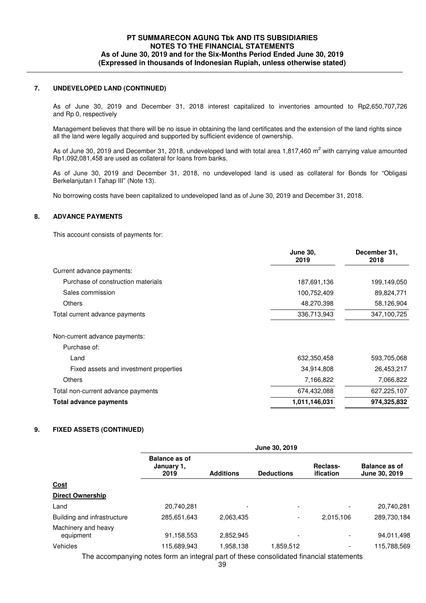#### **7. UNDEVELOPED LAND (CONTINUED)**

 As of June 30, 2019 and December 31, 2018 interest capitalized to inventories amounted to Rp2,650,707,726 and Rp 0, respectively

Management believes that there will be no issue in obtaining the land certificates and the extension of the land rights since all the land were legally acquired and supported by sufficient evidence of ownership.

As of June 30, 2019 and December 31, 2018, undeveloped land with total area 1,817,460 m<sup>2</sup> with carrying value amounted Rp1,092,081,458 are used as collateral for loans from banks.

As of June 30, 2019 and December 31, 2018, no undeveloped land is used as collateral for Bonds for "Obligasi Berkelanjutan I Tahap III" (Note 13).

No borrowing costs have been capitalized to undeveloped land as of June 30, 2019 and December 31, 2018.

### **8. ADVANCE PAYMENTS**

This account consists of payments for:

|                                        | <b>June 30,</b><br>2019 | December 31,<br>2018 |
|----------------------------------------|-------------------------|----------------------|
| Current advance payments:              |                         |                      |
| Purchase of construction materials     | 187,691,136             | 199,149,050          |
| Sales commission                       | 100,752,409             | 89,824,771           |
| <b>Others</b>                          | 48,270,398              | 58,126,904           |
| Total current advance payments         | 336,713,943             | 347,100,725          |
| Non-current advance payments:          |                         |                      |
| Purchase of:                           |                         |                      |
| Land                                   | 632,350,458             | 593,705,068          |
| Fixed assets and investment properties | 34,914,808              | 26,453,217           |
| <b>Others</b>                          | 7,166,822               | 7,066,822            |
| Total non-current advance payments     | 674,432,088             | 627,225,107          |
| Total advance payments                 | 1,011,146,031           | 974,325,832          |

## **9. FIXED ASSETS (CONTINUED)**

|                                  | June 30, 2019                                                                           |                  |                          |                          |                                       |  |
|----------------------------------|-----------------------------------------------------------------------------------------|------------------|--------------------------|--------------------------|---------------------------------------|--|
|                                  | <b>Balance as of</b><br>January 1,<br>2019                                              | <b>Additions</b> | <b>Deductions</b>        | Reclass-<br>ification    | <b>Balance as of</b><br>June 30, 2019 |  |
| <u>Cost</u>                      |                                                                                         |                  |                          |                          |                                       |  |
| <b>Direct Ownership</b>          |                                                                                         |                  |                          |                          |                                       |  |
| Land                             | 20,740,281                                                                              |                  | $\overline{\phantom{0}}$ | ٠                        | 20,740,281                            |  |
| Building and infrastructure      | 285,651,643                                                                             | 2,063,435        | $\overline{\phantom{a}}$ | 2,015,106                | 289,730,184                           |  |
| Machinery and heavy<br>equipment | 91,158,553                                                                              | 2.852.945        |                          | ٠                        | 94,011,498                            |  |
| Vehicles                         | 115,689,943                                                                             | 1.958.138        | 1,859,512                | $\overline{\phantom{0}}$ | 115,788,569                           |  |
|                                  | The accompanying notes form an integral part of these consolidated financial statements |                  |                          |                          |                                       |  |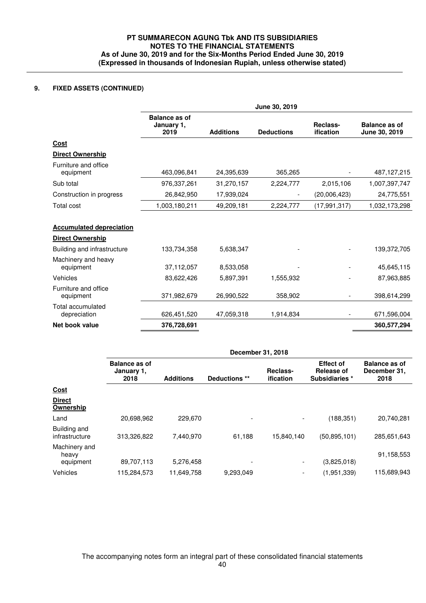## **9. FIXED ASSETS (CONTINUED)**

|                                                                                           |                                            |                        | June 30, 2019            |                       |                                          |
|-------------------------------------------------------------------------------------------|--------------------------------------------|------------------------|--------------------------|-----------------------|------------------------------------------|
|                                                                                           | <b>Balance as of</b><br>January 1,<br>2019 | <b>Additions</b>       | <b>Deductions</b>        | Reclass-<br>ification | <b>Balance as of</b><br>June 30, 2019    |
| Cost                                                                                      |                                            |                        |                          |                       |                                          |
| <b>Direct Ownership</b>                                                                   |                                            |                        |                          |                       |                                          |
| Furniture and office<br>equipment                                                         | 463,096,841                                | 24,395,639             | 365,265                  |                       | 487,127,215                              |
| Sub total                                                                                 | 976,337,261                                | 31,270,157             | 2,224,777                | 2,015,106             | 1,007,397,747                            |
| Construction in progress                                                                  | 26,842,950                                 | 17,939,024             | $\overline{\phantom{a}}$ | (20,006,423)          | 24,775,551                               |
| Total cost                                                                                | 1,003,180,211                              | 49,209,181             | 2,224,777                | (17, 991, 317)        | 1,032,173,298                            |
| <b>Accumulated depreciation</b>                                                           |                                            |                        |                          |                       |                                          |
|                                                                                           |                                            |                        |                          |                       |                                          |
| equipment                                                                                 | 133,734,358<br>37,112,057                  | 5,638,347<br>8,533,058 |                          |                       | 139,372,705<br>45,645,115                |
| <b>Direct Ownership</b><br>Building and infrastructure<br>Machinery and heavy<br>Vehicles | 83,622,426                                 | 5,897,391              | 1,555,932                |                       |                                          |
| equipment                                                                                 | 371,982,679                                | 26,990,522             | 358,902                  |                       |                                          |
| Furniture and office<br>Total accumulated<br>depreciation                                 | 626,451,520                                | 47,059,318             | 1,914,834                |                       | 87,963,885<br>398,614,299<br>671,596,004 |

|                                     | December 31, 2018                          |                  |                          |                              |                                                  |                                       |
|-------------------------------------|--------------------------------------------|------------------|--------------------------|------------------------------|--------------------------------------------------|---------------------------------------|
|                                     | <b>Balance as of</b><br>January 1,<br>2018 | <b>Additions</b> | Deductions **            | Reclass-<br><i>ification</i> | <b>Effect of</b><br>Release of<br>Subsidiaries * | Balance as of<br>December 31,<br>2018 |
| Cost                                |                                            |                  |                          |                              |                                                  |                                       |
| <b>Direct</b><br>Ownership          |                                            |                  |                          |                              |                                                  |                                       |
| Land                                | 20,698,962                                 | 229.670          | $\overline{\phantom{a}}$ |                              | (188, 351)                                       | 20,740,281                            |
| Building and<br>infrastructure      | 313,326,822                                | 7,440,970        | 61,188                   | 15,840,140                   | (50, 895, 101)                                   | 285,651,643                           |
| Machinery and<br>heavy<br>equipment | 89,707,113                                 | 5,276,458        | $\overline{\phantom{0}}$ | $\overline{\phantom{a}}$     | (3,825,018)                                      | 91,158,553                            |
| Vehicles                            | 115,284,573                                | 11,649,758       | 9,293,049                |                              | (1,951,339)                                      | 115,689,943                           |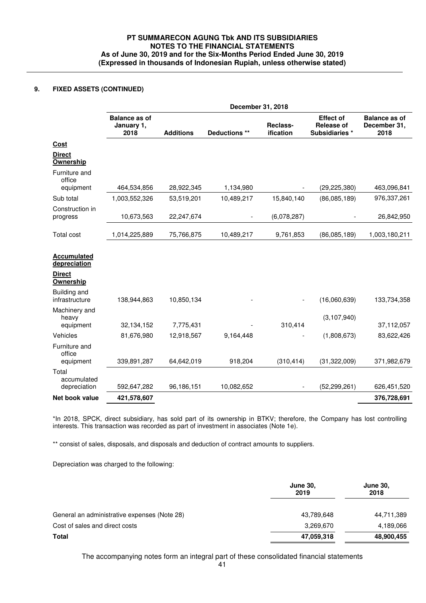## **9. FIXED ASSETS (CONTINUED)**

|                                                                  |                                            | December 31, 2018 |               |                       |                                                         |                                              |  |  |
|------------------------------------------------------------------|--------------------------------------------|-------------------|---------------|-----------------------|---------------------------------------------------------|----------------------------------------------|--|--|
|                                                                  | <b>Balance as of</b><br>January 1,<br>2018 | <b>Additions</b>  | Deductions ** | Reclass-<br>ification | <b>Effect of</b><br><b>Release of</b><br>Subsidiaries * | <b>Balance as of</b><br>December 31,<br>2018 |  |  |
| <b>Cost</b>                                                      |                                            |                   |               |                       |                                                         |                                              |  |  |
| <b>Direct</b><br>Ownership                                       |                                            |                   |               |                       |                                                         |                                              |  |  |
| Furniture and<br>office                                          |                                            |                   |               |                       |                                                         |                                              |  |  |
| equipment                                                        | 464,534,856                                | 28,922,345        | 1,134,980     |                       | (29, 225, 380)                                          | 463,096,841                                  |  |  |
| Sub total                                                        | 1,003,552,326                              | 53,519,201        | 10,489,217    | 15,840,140            | (86,085,189)                                            | 976,337,261                                  |  |  |
| Construction in<br>progress                                      | 10,673,563                                 | 22,247,674        |               | (6,078,287)           |                                                         | 26,842,950                                   |  |  |
| Total cost                                                       | 1,014,225,889                              | 75,766,875        | 10,489,217    | 9,761,853             | (86,085,189)                                            | 1,003,180,211                                |  |  |
| <b>Accumulated</b><br>depreciation<br><b>Direct</b><br>Ownership |                                            |                   |               |                       |                                                         |                                              |  |  |
| Building and<br>infrastructure                                   | 138,944,863                                | 10,850,134        |               |                       | (16,060,639)                                            | 133,734,358                                  |  |  |
| Machinery and<br>heavy                                           |                                            |                   |               |                       | (3, 107, 940)                                           |                                              |  |  |
| equipment                                                        | 32,134,152                                 | 7,775,431         |               | 310,414               |                                                         | 37,112,057                                   |  |  |
| Vehicles                                                         | 81,676,980                                 | 12,918,567        | 9,164,448     |                       | (1,808,673)                                             | 83,622,426                                   |  |  |
| Furniture and<br>office<br>equipment                             | 339,891,287                                | 64,642,019        | 918,204       | (310, 414)            | (31, 322, 009)                                          | 371,982,679                                  |  |  |
| Total<br>accumulated                                             |                                            |                   |               |                       |                                                         |                                              |  |  |
| depreciation                                                     | 592,647,282                                | 96,186,151        | 10,082,652    |                       | (52, 299, 261)                                          | 626,451,520                                  |  |  |
| Net book value                                                   | 421,578,607                                |                   |               |                       |                                                         | 376,728,691                                  |  |  |

\*In 2018, SPCK, direct subsidiary, has sold part of its ownership in BTKV; therefore, the Company has lost controlling interests. This transaction was recorded as part of investment in associates (Note 1e).

\*\* consist of sales, disposals, and disposals and deduction of contract amounts to suppliers.

Depreciation was charged to the following:

|                                              | <b>June 30,</b><br>2019 | <b>June 30,</b><br>2018 |
|----------------------------------------------|-------------------------|-------------------------|
| General an administrative expenses (Note 28) | 43,789,648              | 44,711,389              |
| Cost of sales and direct costs               | 3,269,670               | 4,189,066               |
| Total                                        | 47,059,318              | 48,900,455              |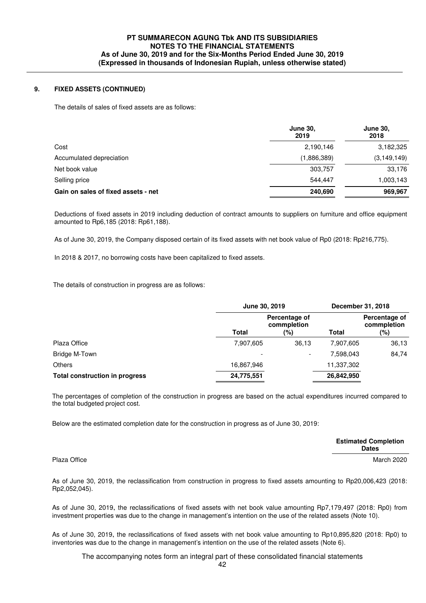### **9. FIXED ASSETS (CONTINUED)**

The details of sales of fixed assets are as follows:

|                                     | <b>June 30,</b><br>2019 | <b>June 30,</b><br>2018 |
|-------------------------------------|-------------------------|-------------------------|
| Cost                                | 2,190,146               | 3,182,325               |
| Accumulated depreciation            | (1,886,389)             | (3, 149, 149)           |
| Net book value                      | 303,757                 | 33,176                  |
| Selling price                       | 544.447                 | 1,003,143               |
| Gain on sales of fixed assets - net | 240,690                 | 969,967                 |

 Deductions of fixed assets in 2019 including deduction of contract amounts to suppliers on furniture and office equipment amounted to Rp6,185 (2018: Rp61,188).

As of June 30, 2019, the Company disposed certain of its fixed assets with net book value of Rp0 (2018: Rp216,775).

In 2018 & 2017, no borrowing costs have been capitalized to fixed assets.

The details of construction in progress are as follows:

|                                       | June 30, 2019 |                                     |              | December 31, 2018                   |
|---------------------------------------|---------------|-------------------------------------|--------------|-------------------------------------|
|                                       | Total         | Percentage of<br>commpletion<br>(%) | <b>Total</b> | Percentage of<br>commpletion<br>(%) |
| Plaza Office                          | 7,907,605     | 36,13                               | 7,907,605    | 36,13                               |
| Bridge M-Town                         |               | $\overline{\phantom{0}}$            | 7,598,043    | 84,74                               |
| <b>Others</b>                         | 16,867,946    |                                     | 11,337,302   |                                     |
| <b>Total construction in progress</b> | 24,775,551    |                                     | 26,842,950   |                                     |

 The percentages of completion of the construction in progress are based on the actual expenditures incurred compared to the total budgeted project cost.

Below are the estimated completion date for the construction in progress as of June 30, 2019:

|              | <b>Estimated Completion</b><br><b>Dates</b> |
|--------------|---------------------------------------------|
| Plaza Office | March 2020                                  |

 As of June 30, 2019, the reclassification from construction in progress to fixed assets amounting to Rp20,006,423 (2018: Rp2,052,045).

As of June 30, 2019, the reclassifications of fixed assets with net book value amounting Rp7,179,497 (2018: Rp0) from investment properties was due to the change in management's intention on the use of the related assets (Note 10).

As of June 30, 2019, the reclassifications of fixed assets with net book value amounting to Rp10,895,820 (2018: Rp0) to inventories was due to the change in management's intention on the use of the related assets (Note 6).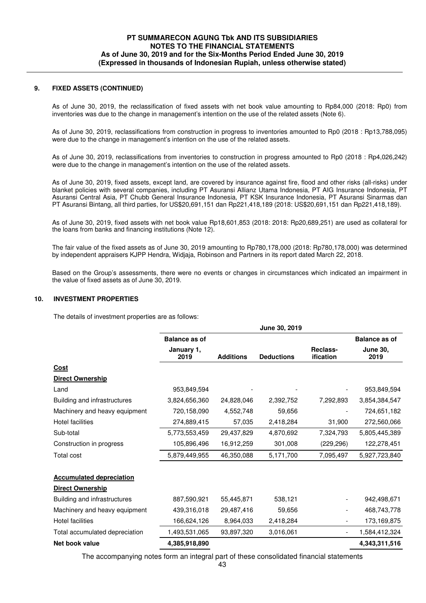#### **9. FIXED ASSETS (CONTINUED)**

 As of June 30, 2019, the reclassification of fixed assets with net book value amounting to Rp84,000 (2018: Rp0) from inventories was due to the change in management's intention on the use of the related assets (Note 6).

 As of June 30, 2019, reclassifications from construction in progress to inventories amounted to Rp0 (2018 : Rp13,788,095) were due to the change in management's intention on the use of the related assets.

 As of June 30, 2019, reclassifications from inventories to construction in progress amounted to Rp0 (2018 : Rp4,026,242) were due to the change in management's intention on the use of the related assets.

 As of June 30, 2019, fixed assets, except land, are covered by insurance against fire, flood and other risks (all-risks) under blanket policies with several companies, including PT Asuransi Allianz Utama Indonesia, PT AIG Insurance Indonesia, PT Asuransi Central Asia, PT Chubb General Insurance Indonesia, PT KSK Insurance Indonesia, PT Asuransi Sinarmas dan PT Asuransi Bintang, all third parties, for US\$20,691,151 dan Rp221,418,189 (2018: US\$20,691,151 dan Rp221,418,189).

As of June 30, 2019, fixed assets with net book value Rp18,601,853 (2018: 2018: Rp20,689,251) are used as collateral for the loans from banks and financing institutions (Note 12).

 The fair value of the fixed assets as of June 30, 2019 amounting to Rp780,178,000 (2018: Rp780,178,000) was determined by independent appraisers KJPP Hendra, Widjaja, Robinson and Partners in its report dated March 22, 2018.

Based on the Group's assessments, there were no events or changes in circumstances which indicated an impairment in the value of fixed assets as of June 30, 2019.

#### **10. INVESTMENT PROPERTIES**

The details of investment properties are as follows:

|                                 |                      |                  | June 30, 2019     |                       |                         |
|---------------------------------|----------------------|------------------|-------------------|-----------------------|-------------------------|
|                                 | <b>Balance as of</b> |                  |                   |                       | <b>Balance as of</b>    |
|                                 | January 1,<br>2019   | <b>Additions</b> | <b>Deductions</b> | Reclass-<br>ification | <b>June 30,</b><br>2019 |
| Cost                            |                      |                  |                   |                       |                         |
| <b>Direct Ownership</b>         |                      |                  |                   |                       |                         |
| Land                            | 953,849,594          |                  |                   |                       | 953,849,594             |
| Building and infrastructures    | 3,824,656,360        | 24,828,046       | 2,392,752         | 7,292,893             | 3,854,384,547           |
| Machinery and heavy equipment   | 720,158,090          | 4,552,748        | 59,656            |                       | 724,651,182             |
| Hotel facilities                | 274,889,415          | 57,035           | 2,418,284         | 31,900                | 272,560,066             |
| Sub-total                       | 5,773,553,459        | 29,437,829       | 4,870,692         | 7,324,793             | 5,805,445,389           |
| Construction in progress        | 105,896,496          | 16,912,259       | 301,008           | (229, 296)            | 122,278,451             |
| Total cost                      | 5,879,449,955        | 46,350,088       | 5,171,700         | 7,095,497             | 5,927,723,840           |
| <b>Accumulated depreciation</b> |                      |                  |                   |                       |                         |
| <b>Direct Ownership</b>         |                      |                  |                   |                       |                         |
| Building and infrastructures    | 887,590,921          | 55,445,871       | 538,121           |                       | 942,498,671             |
| Machinery and heavy equipment   | 439,316,018          | 29,487,416       | 59,656            |                       | 468,743,778             |
| <b>Hotel facilities</b>         | 166,624,126          | 8,964,033        | 2,418,284         |                       | 173,169,875             |
| Total accumulated depreciation  | 1,493,531,065        | 93,897,320       | 3,016,061         |                       | 1,584,412,324           |
| Net book value                  | 4,385,918,890        |                  |                   |                       | 4,343,311,516           |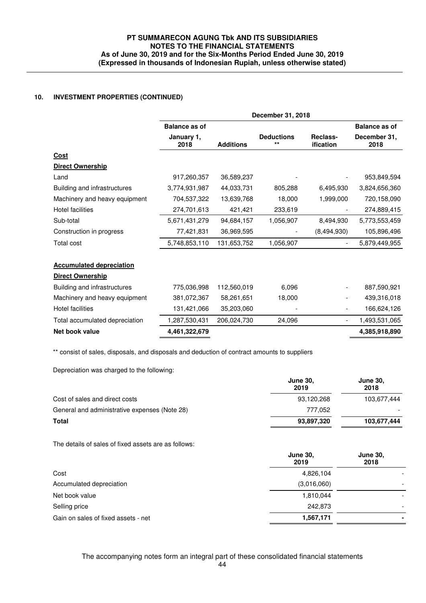## **10. INVESTMENT PROPERTIES (CONTINUED)**

|                                 |                      |                  | December 31, 2018         |                          |                      |
|---------------------------------|----------------------|------------------|---------------------------|--------------------------|----------------------|
|                                 | <b>Balance as of</b> |                  |                           |                          | <b>Balance as of</b> |
|                                 | January 1,<br>2018   | <b>Additions</b> | <b>Deductions</b><br>$**$ | Reclass-<br>ification    | December 31,<br>2018 |
| <u>Cost</u>                     |                      |                  |                           |                          |                      |
| <b>Direct Ownership</b>         |                      |                  |                           |                          |                      |
| Land                            | 917,260,357          | 36,589,237       |                           |                          | 953,849,594          |
| Building and infrastructures    | 3,774,931,987        | 44,033,731       | 805,288                   | 6,495,930                | 3,824,656,360        |
| Machinery and heavy equipment   | 704,537,322          | 13,639,768       | 18,000                    | 1,999,000                | 720,158,090          |
| <b>Hotel facilities</b>         | 274,701,613          | 421,421          | 233,619                   |                          | 274,889,415          |
| Sub-total                       | 5,671,431,279        | 94,684,157       | 1,056,907                 | 8,494,930                | 5,773,553,459        |
| Construction in progress        | 77,421,831           | 36,969,595       |                           | (8,494,930)              | 105,896,496          |
| <b>Total cost</b>               | 5,748,853,110        | 131,653,752      | 1,056,907                 |                          | 5,879,449,955        |
| <b>Accumulated depreciation</b> |                      |                  |                           |                          |                      |
| <b>Direct Ownership</b>         |                      |                  |                           |                          |                      |
| Building and infrastructures    | 775,036,998          | 112,560,019      | 6,096                     |                          | 887,590,921          |
| Machinery and heavy equipment   | 381,072,367          | 58,261,651       | 18,000                    |                          | 439,316,018          |
| <b>Hotel facilities</b>         | 131,421,066          | 35,203,060       |                           |                          | 166,624,126          |
| Total accumulated depreciation  | 1,287,530,431        | 206,024,730      | 24,096                    | $\overline{\phantom{a}}$ | 1,493,531,065        |
| Net book value                  | 4,461,322,679        |                  |                           |                          | 4,385,918,890        |

\*\* consist of sales, disposals, and disposals and deduction of contract amounts to suppliers

Depreciation was charged to the following:

|                                               | <b>June 30,</b><br>2019 | <b>June 30,</b><br>2018 |
|-----------------------------------------------|-------------------------|-------------------------|
| Cost of sales and direct costs                | 93,120,268              | 103,677,444             |
| General and administrative expenses (Note 28) | 777.052                 |                         |
| Total                                         | 93,897,320              | 103.677.444             |

The details of sales of fixed assets are as follows:

|                                     | <b>June 30,</b><br>2019 | <b>June 30,</b><br>2018  |
|-------------------------------------|-------------------------|--------------------------|
| Cost                                | 4,826,104               |                          |
| Accumulated depreciation            | (3,016,060)             | $\overline{\phantom{0}}$ |
| Net book value                      | 1,810,044               | -                        |
| Selling price                       | 242.873                 | -                        |
| Gain on sales of fixed assets - net | 1,567,171               |                          |
|                                     |                         |                          |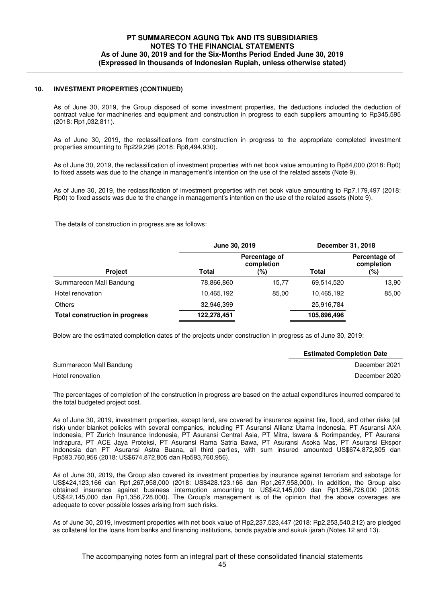#### **10. INVESTMENT PROPERTIES (CONTINUED)**

As of June 30, 2019, the Group disposed of some investment properties, the deductions included the deduction of contract value for machineries and equipment and construction in progress to each suppliers amounting to Rp345,595 (2018: Rp1,032,811).

As of June 30, 2019, the reclassifications from construction in progress to the appropriate completed investment properties amounting to Rp229,296 (2018: Rp8,494,930).

As of June 30, 2019, the reclassification of investment properties with net book value amounting to Rp84,000 (2018: Rp0) to fixed assets was due to the change in management's intention on the use of the related assets (Note 9).

As of June 30, 2019, the reclassification of investment properties with net book value amounting to Rp7,179,497 (2018: Rp0) to fixed assets was due to the change in management's intention on the use of the related assets (Note 9).

The details of construction in progress are as follows:

|                                       | June 30, 2019 |                                    | December 31, 2018 |                                    |
|---------------------------------------|---------------|------------------------------------|-------------------|------------------------------------|
| <b>Project</b>                        | Total         | Percentage of<br>completion<br>(%) | Total             | Percentage of<br>completion<br>(%) |
| Summarecon Mall Bandung               | 78,866,860    | 15.77                              | 69,514,520        | 13,90                              |
| Hotel renovation                      | 10,465,192    | 85.00                              | 10.465.192        | 85,00                              |
| <b>Others</b>                         | 32,946,399    |                                    | 25,916,784        |                                    |
| <b>Total construction in progress</b> | 122,278,451   |                                    | 105,896,496       |                                    |

Below are the estimated completion dates of the projects under construction in progress as of June 30, 2019:

|                         | <b>Estimated Completion Date</b> |
|-------------------------|----------------------------------|
| Summarecon Mall Bandung | December 2021                    |
| Hotel renovation        | December 2020                    |

 The percentages of completion of the construction in progress are based on the actual expenditures incurred compared to the total budgeted project cost.

 As of June 30, 2019, investment properties, except land, are covered by insurance against fire, flood, and other risks (all risk) under blanket policies with several companies, including PT Asuransi Allianz Utama Indonesia, PT Asuransi AXA Indonesia, PT Zurich Insurance Indonesia, PT Asuransi Central Asia, PT Mitra, Iswara & Rorimpandey, PT Asuransi Indrapura, PT ACE Jaya Proteksi, PT Asuransi Rama Satria Bawa, PT Asuransi Asoka Mas, PT Asuransi Ekspor Indonesia dan PT Asuransi Astra Buana, all third parties, with sum insured amounted US\$674,872,805 dan Rp593,760,956 (2018: US\$674,872,805 dan Rp593,760,956).

 As of June 30, 2019, the Group also covered its investment properties by insurance against terrorism and sabotage for US\$424,123,166 dan Rp1,267,958,000 (2018: US\$428.123.166 dan Rp1,267,958,000). In addition, the Group also obtained insurance against business interruption amounting to US\$42,145,000 dan Rp1,356,728,000 (2018: US\$42,145,000 dan Rp1,356,728,000). The Group's management is of the opinion that the above coverages are adequate to cover possible losses arising from such risks.

 As of June 30, 2019, investment properties with net book value of Rp2,237,523,447 (2018: Rp2,253,540,212) are pledged as collateral for the loans from banks and financing institutions, bonds payable and sukuk ijarah (Notes 12 and 13).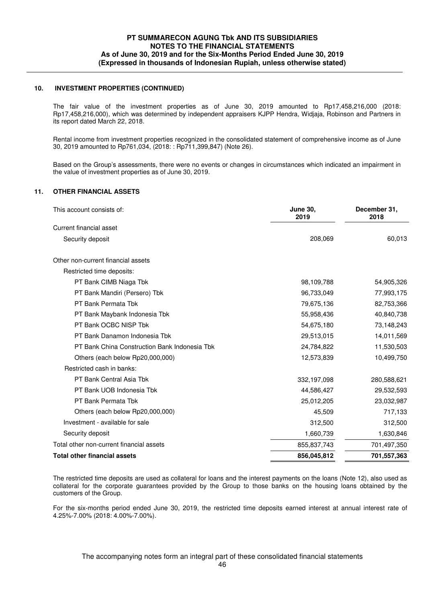#### **10. INVESTMENT PROPERTIES (CONTINUED)**

 The fair value of the investment properties as of June 30, 2019 amounted to Rp17,458,216,000 (2018: Rp17,458,216,000), which was determined by independent appraisers KJPP Hendra, Widjaja, Robinson and Partners in its report dated March 22, 2018.

 Rental income from investment properties recognized in the consolidated statement of comprehensive income as of June 30, 2019 amounted to Rp761,034, (2018: : Rp711,399,847) (Note 26).

 Based on the Group's assessments, there were no events or changes in circumstances which indicated an impairment in the value of investment properties as of June 30, 2019.

## **11. OTHER FINANCIAL ASSETS**

| This account consists of:                     | <b>June 30,</b><br>2019 | December 31,<br>2018 |
|-----------------------------------------------|-------------------------|----------------------|
| Current financial asset                       |                         |                      |
| Security deposit                              | 208,069                 | 60,013               |
| Other non-current financial assets            |                         |                      |
| Restricted time deposits:                     |                         |                      |
| PT Bank CIMB Niaga Tbk                        | 98,109,788              | 54,905,326           |
| PT Bank Mandiri (Persero) Tbk                 | 96,733,049              | 77,993,175           |
| PT Bank Permata Tbk                           | 79,675,136              | 82,753,366           |
| PT Bank Maybank Indonesia Tbk                 | 55,958,436              | 40,840,738           |
| PT Bank OCBC NISP Tbk                         | 54,675,180              | 73,148,243           |
| PT Bank Danamon Indonesia Tbk                 | 29,513,015              | 14,011,569           |
| PT Bank China Construction Bank Indonesia Tbk | 24,784,822              | 11,530,503           |
| Others (each below Rp20,000,000)              | 12,573,839              | 10,499,750           |
| Restricted cash in banks:                     |                         |                      |
| PT Bank Central Asia Tbk                      | 332,197,098             | 280,588,621          |
| PT Bank UOB Indonesia Tbk                     | 44,586,427              | 29,532,593           |
| PT Bank Permata Tbk                           | 25,012,205              | 23,032,987           |
| Others (each below Rp20,000,000)              | 45,509                  | 717,133              |
| Investment - available for sale               | 312,500                 | 312,500              |
| Security deposit                              | 1,660,739               | 1,630,846            |
| Total other non-current financial assets      | 855,837,743             | 701,497,350          |
| <b>Total other financial assets</b>           | 856,045,812             | 701,557,363          |

The restricted time deposits are used as collateral for loans and the interest payments on the loans (Note 12), also used as collateral for the corporate guarantees provided by the Group to those banks on the housing loans obtained by the customers of the Group.

For the six-months period ended June 30, 2019, the restricted time deposits earned interest at annual interest rate of 4.25%-7.00% (2018: 4.00%-7.00%).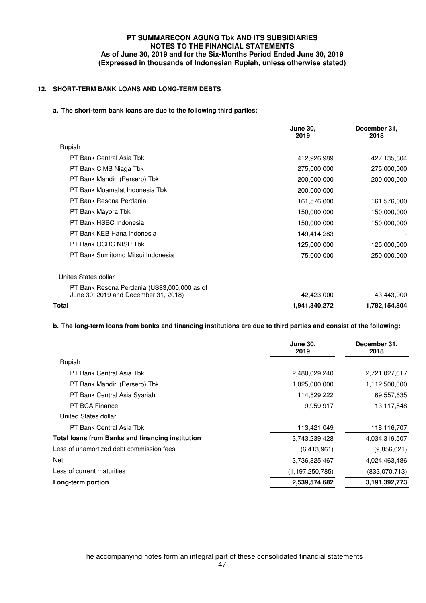## **12. SHORT-TERM BANK LOANS AND LONG-TERM DEBTS**

## **a. The short-term bank loans are due to the following third parties:**

|                                                                                      | <b>June 30,</b><br>2019 | December 31,<br>2018 |
|--------------------------------------------------------------------------------------|-------------------------|----------------------|
| Rupiah                                                                               |                         |                      |
| PT Bank Central Asia Tbk                                                             | 412,926,989             | 427,135,804          |
| PT Bank CIMB Niaga Tbk                                                               | 275,000,000             | 275,000,000          |
| PT Bank Mandiri (Persero) Tbk                                                        | 200,000,000             | 200,000,000          |
| PT Bank Muamalat Indonesia Tbk                                                       | 200,000,000             |                      |
| PT Bank Resona Perdania                                                              | 161,576,000             | 161,576,000          |
| PT Bank Mayora Tbk                                                                   | 150,000,000             | 150,000,000          |
| PT Bank HSBC Indonesia                                                               | 150,000,000             | 150,000,000          |
| PT Bank KEB Hana Indonesia                                                           | 149,414,283             |                      |
| PT Bank OCBC NISP Tbk                                                                | 125,000,000             | 125,000,000          |
| PT Bank Sumitomo Mitsui Indonesia                                                    | 75,000,000              | 250,000,000          |
| Unites States dollar                                                                 |                         |                      |
| PT Bank Resona Perdania (US\$3,000,000 as of<br>June 30, 2019 and December 31, 2018) | 42,423,000              | 43,443,000           |
| <b>Total</b>                                                                         | 1,941,340,272           | 1,782,154,804        |

## **b. The long-term loans from banks and financing institutions are due to third parties and consist of the following:**

|                                                         | <b>June 30,</b><br>2019 | December 31,<br>2018 |
|---------------------------------------------------------|-------------------------|----------------------|
| Rupiah                                                  |                         |                      |
| PT Bank Central Asia Tbk                                | 2,480,029,240           | 2,721,027,617        |
| PT Bank Mandiri (Persero) Tbk                           | 1,025,000,000           | 1,112,500,000        |
| PT Bank Central Asia Syariah                            | 114,829,222             | 69,557,635           |
| <b>PT BCA Finance</b>                                   | 9,959,917               | 13,117,548           |
| United States dollar                                    |                         |                      |
| PT Bank Central Asia Tbk                                | 113,421,049             | 118,116,707          |
| <b>Total loans from Banks and financing institution</b> | 3,743,239,428           | 4,034,319,507        |
| Less of unamortized debt commission fees                | (6,413,961)             | (9,856,021)          |
| Net                                                     | 3,736,825,467           | 4,024,463,486        |
| Less of current maturities                              | (1, 197, 250, 785)      | (833,070,713)        |
| Long-term portion                                       | 2,539,574,682           | 3,191,392,773        |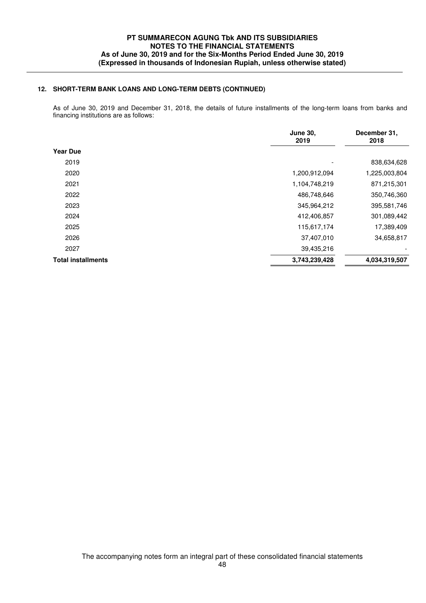## **12. SHORT-TERM BANK LOANS AND LONG-TERM DEBTS (CONTINUED)**

 As of June 30, 2019 and December 31, 2018, the details of future installments of the long-term loans from banks and financing institutions are as follows:

|                           | <b>June 30,</b><br>2019 | December 31,<br>2018 |  |
|---------------------------|-------------------------|----------------------|--|
| <b>Year Due</b>           |                         |                      |  |
| 2019                      |                         | 838,634,628          |  |
| 2020                      | 1,200,912,094           | 1,225,003,804        |  |
| 2021                      | 1,104,748,219           | 871,215,301          |  |
| 2022                      | 486,748,646             | 350,746,360          |  |
| 2023                      | 345,964,212             | 395,581,746          |  |
| 2024                      | 412,406,857             | 301,089,442          |  |
| 2025                      | 115,617,174             | 17,389,409           |  |
| 2026                      | 37,407,010              | 34,658,817           |  |
| 2027                      | 39,435,216              |                      |  |
| <b>Total installments</b> | 3,743,239,428           | 4,034,319,507        |  |
|                           |                         |                      |  |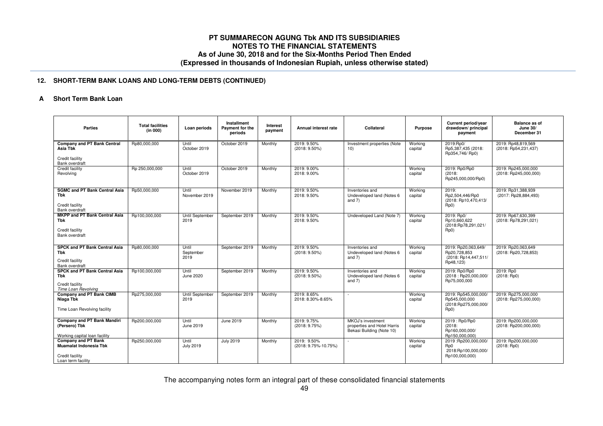### **12. SHORT-TERM BANK LOANS AND LONG-TERM DEBTS (CONTINUED)**

#### **AShort Term Bank Loan**

| <b>Parties</b>                                                                                       | <b>Total facilities</b><br>(in 000) | Loan periods               | Installment<br>Payment for the<br>periods | Interest<br>payment | Annual interest rate                | Collateral                                                                    | <b>Purpose</b>     | Current period/year<br>drawdown/ principal<br>payment                             | <b>Balance as of</b><br>June 30/<br>December 31 |
|------------------------------------------------------------------------------------------------------|-------------------------------------|----------------------------|-------------------------------------------|---------------------|-------------------------------------|-------------------------------------------------------------------------------|--------------------|-----------------------------------------------------------------------------------|-------------------------------------------------|
| <b>Company and PT Bank Central</b><br>Asia Tbk<br>Credit facility<br>Bank overdraft                  | Rp80,000,000                        | Until<br>October 2019      | October 2019                              | Monthly             | 2019: 9.50%<br>$(2018: 9.50\%)$     | Investment properties (Note<br>10)                                            | Working<br>capital | 2019:Rp0/<br>Rp5,387,435 (2018:<br>Rp354,746/Rp0)                                 | 2019: Rp48,819,569<br>(2018: Rp54,231,437)      |
| Credit facility<br>Revolving                                                                         | Rp 250,000,000                      | Until<br>October 2019      | October 2019                              | Monthly             | 2019: 9.00%<br>2018: 9.00%          | $\overline{\phantom{a}}$                                                      | Working<br>capital | 2019: Rp0/Rp0<br>(2018)<br>Rp245,000,000/Rp0)                                     | 2019: Rp245,000,000<br>(2018: Rp245,000,000)    |
| <b>SGMC and PT Bank Central Asia</b><br><b>Tbk</b><br>Credit facility<br><b>Bank overdraft</b>       | Rp50.000.000                        | Until<br>November 2019     | November 2019                             | Monthly             | 2019: 9.50%<br>2018: 9.50%          | Inventories and<br>Undeveloped land (Notes 6<br>and $7$ )                     | Working<br>capital | 2019:<br>Rp2,504,446/Rp0<br>(2018: Rp10,470,413/<br>Rp0)                          | 2019: Rp31.388.939<br>(2017: Rp28,884,493)      |
| <b>MKPP and PT Bank Central Asia</b><br><b>Tbk</b><br>Credit facility<br><b>Bank overdraft</b>       | Rp100,000,000                       | Until September<br>2019    | September 2019                            | Monthly             | 2019: 9.50%<br>2018: 9.50%          | Undeveloped Land (Note 7)                                                     | Working<br>capital | 2019: Rp0/<br>Rp10,660,622<br>(2018:Rp78,291,021/<br>Rp0)                         | 2019: Rp67,630,399<br>(2018: Rp78,291,021)      |
| <b>SPCK and PT Bank Central Asia</b><br><b>Tbk</b><br>Credit facility<br>Bank overdraft              | Rp80,000,000                        | Until<br>September<br>2019 | September 2019                            | Monthly             | 2019: 9.50%<br>$(2018: 9.50\%)$     | Inventories and<br>Undeveloped land (Notes 6<br>and $7)$                      | Working<br>capital | 2019: Rp20,063,649/<br>Rp20,728,853<br>(2018: Rp14,447,511/<br>Rp48,123)          | 2019: Rp20,063,649<br>(2018: Rp20,728,853)      |
| <b>SPCK and PT Bank Central Asia</b><br>Tbk<br>Credit facility<br>Time Loan Revolving                | Rp100,000,000                       | Until<br>June 2020         | September 2019                            | Monthly             | 2019: 9.50%<br>$(2018: 9.50\%)$     | Inventories and<br>Undeveloped land (Notes 6<br>and $7)$                      | Working<br>capital | 2019: Rp0/Rp0<br>(2018: Rp20,000,000/<br>Rp75,000,000                             | 2019: Rp0<br>$(2018:$ Rp0)                      |
| Company and PT Bank CIMB<br>Niaga Tbk<br>Time Loan Revolving facility                                | Rp275,000,000                       | Until September<br>2019    | September 2019                            | Monthly             | 2019: 8.65%<br>2018: 8.30%-8.65%    | $\sim$                                                                        | Working<br>capital | 2019: Rp545,000,000/<br>Rp545,000,000<br>(2018:Rp275,000,000/<br>Rp <sub>0</sub>  | 2019: Rp275,000,000<br>(2018: Rp275,000,000)    |
| <b>Company and PT Bank Mandiri</b><br>(Persero) Tbk<br>Working capital loan facility                 | Rp200,000,000                       | Until<br>June 2019         | <b>June 2019</b>                          | Monthly             | 2019: 9.75%<br>(2018: 9.75%)        | MKOJ's investment<br>properties and Hotel Harris<br>Bekasi Building (Note 10) | Working<br>capital | 2019 : Rp0/Rp0<br>(2018)<br>Rp160,000,000/<br>Rp150,000,000)                      | 2019: Rp200,000,000<br>$(2018:$ Rp200,000,000)  |
| <b>Company and PT Bank</b><br><b>Muamalat Indonesia Tbk</b><br>Credit facility<br>Loan term facility | Rp250,000,000                       | Until<br><b>July 2019</b>  | <b>July 2019</b>                          | Monthly             | 2019: 9.50%<br>(2018: 9.75%-10.75%) | $\overline{\phantom{a}}$                                                      | Working<br>capital | 2019 :Rp200,000,000/<br>R <sub>p</sub> 0<br>2018:Rp100,000,000/<br>Rp100,000,000) | 2019: Rp200,000,000<br>$(2018:$ Rp0)            |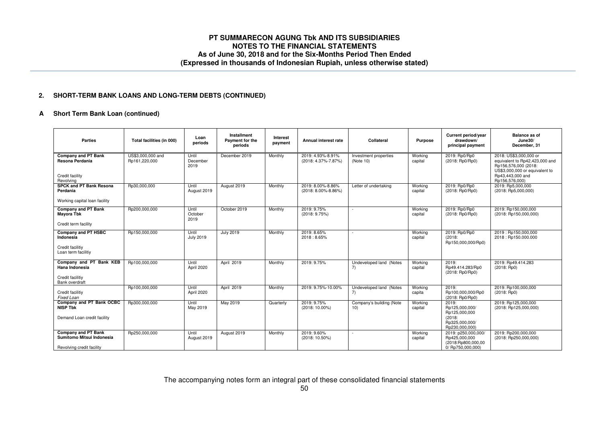#### **2.SHORT-TERM BANK LOANS AND LONG-TERM DEBTS (CONTINUED)**

#### **AShort Term Bank Loan (continued)**

| <b>Parties</b>                                                                       | Total facilities (in 000)          | Loan<br>periods           | Installment<br>Payment for the<br>periods | Interest<br>payment | Annual interest rate                     | Collateral                         | Purpose            | Current period/year<br>drawdown/<br>principal payment                           | <b>Balance as of</b><br>June30/<br>December, 31                                                                                        |
|--------------------------------------------------------------------------------------|------------------------------------|---------------------------|-------------------------------------------|---------------------|------------------------------------------|------------------------------------|--------------------|---------------------------------------------------------------------------------|----------------------------------------------------------------------------------------------------------------------------------------|
| <b>Company and PT Bank</b><br>Resona Perdania<br>Credit facility                     | US\$3,000,000 and<br>Rp161,220,000 | Until<br>December<br>2019 | December 2019                             | Monthly             | 2019: 4.93%-8.91%<br>(2018: 4.37%-7.87%) | Investment properties<br>(Note 10) | Working<br>capital | 2019: Rp0/Rp0<br>(2018: Rp0/Rp0)                                                | 2018: US\$3,000,000 or<br>equivalent to Rp42,423,000 and<br>Rp156,576,000 (2018:<br>US\$3,000,000 or equivalent to<br>Rp43,443,000 and |
| Revolving                                                                            |                                    |                           |                                           |                     |                                          |                                    |                    |                                                                                 | Rp156,576,000)                                                                                                                         |
| <b>SPCK and PT Bank Resona</b><br>Perdania                                           | Rp30,000,000                       | Until<br>August 2019      | August 2019                               | Monthly             | 2019: 8.00%-8.86%<br>(2018: 8.00%-8.86%) | Letter of undertaking              | Working<br>capital | 2019: Rp0/Rp0<br>(2018: Rp0/Rp0)                                                | 2019: Rp5,000,000<br>(2018: Rp5,000,000)                                                                                               |
| Working capital loan facility                                                        |                                    |                           |                                           |                     |                                          |                                    |                    |                                                                                 |                                                                                                                                        |
| <b>Company and PT Bank</b><br><b>Mayora Tbk</b>                                      | Rp200,000,000                      | Until<br>October<br>2019  | October 2019                              | Monthly             | 2019: 9.75%<br>(2018: 9.75%)             | $\overline{\phantom{a}}$           | Working<br>capital | 2019: Rp0/Rp0<br>(2018: Rp0/Rp0)                                                | 2019: Rp150.000.000<br>(2018: Rp150,000,000)                                                                                           |
| Credit term facility                                                                 |                                    |                           |                                           |                     |                                          |                                    |                    |                                                                                 |                                                                                                                                        |
| <b>Company and PT HSBC</b><br>Indonesia                                              | Rp150,000,000                      | Until<br><b>July 2019</b> | <b>July 2019</b>                          | Monthly             | 2019: 8.65%<br>2018:8.65%                |                                    | Working<br>capital | 2019: Rp0/Rp0<br>(2018)<br>Rp150,000,000/Rp0)                                   | 2019: Rp150,000,000<br>2018: Rp150.000.000                                                                                             |
| Credit facilitiy<br>Loan term facilitiy                                              |                                    |                           |                                           |                     |                                          |                                    |                    |                                                                                 |                                                                                                                                        |
| Company and PT Bank KEB<br>Hana Indonesia                                            | Rp100,000,000                      | Until<br>April 2020       | April 2019                                | Monthly             | 2019: 9.75%                              | Undeveloped land (Notes<br>7)      | Working<br>capital | 2019:<br>Rp49.414.283/Rp0<br>(2018: Rp0/Rp0)                                    | 2019: Rp49.414.283<br>$(2018:$ Rp0)                                                                                                    |
| Credit facilitiy<br>Bank overdraft                                                   |                                    |                           |                                           |                     |                                          |                                    |                    |                                                                                 |                                                                                                                                        |
| Credit facilitiy<br>Fixed Loan                                                       | Rp100,000,000                      | Until<br>April 2020       | April 2019                                | Monthly             | 2019: 9.75%-10.00%                       | Undeveloped land (Notes<br>7)      | Working<br>capita  | 2019:<br>Rp100,000,000/Rp0<br>(2018: Rp0/Rp0)                                   | 2019: Rp100,000,000<br>$(2018:$ Rp0)                                                                                                   |
| Company and PT Bank OCBC<br><b>NISP Tbk</b>                                          | Rp300,000,000                      | Until<br>May 2019         | May 2019                                  | Quarterly           | 2019: 9.75%<br>$(2018:10.00\%)$          | Company's building (Note<br>10)    | Working<br>capital | 2019:<br>Rp125,000,000/<br>Rp125,000,000                                        | 2019: Rp125,000,000<br>(2018: Rp125,000,000)                                                                                           |
| Demand Loan credit facility                                                          |                                    |                           |                                           |                     |                                          |                                    |                    | (2018)<br>Rp325,000,000/<br>Rp230,000,000)                                      |                                                                                                                                        |
| <b>Company and PT Bank</b><br>Sumitomo Mitsui Indonesia<br>Revolving credit facility | Rp250,000,000                      | Until<br>August 2019      | August 2019                               | Monthly             | 2019: 9.60%<br>$(2018:10.50\%)$          |                                    | Working<br>capital | 2019: p250,000,000/<br>Rp425,000,000<br>(2018:Rp800,000,00<br>0/ Rp750,000,000) | 2019: Rp200,000,000<br>$(2018:$ Rp250,000,000)                                                                                         |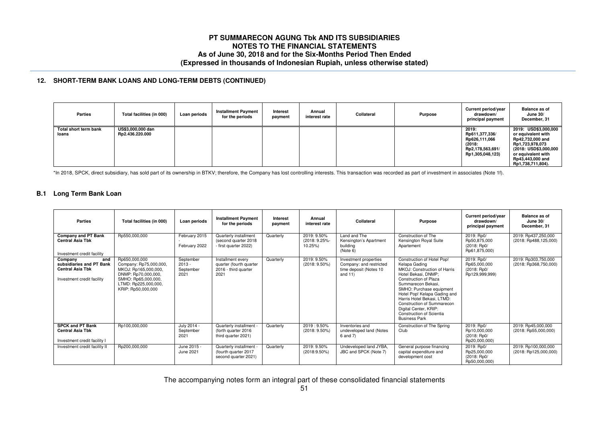#### **12. SHORT-TERM BANK LOANS AND LONG-TERM DEBTS (CONTINUED)**

| <b>Parties</b>                 | Total facilities (in 000)            | Loan periods | <b>Installment Payment</b><br>for the periods | Interest<br>payment | Annual<br>interest rate | Collateral | Purpose | Current period/year<br>drawdown/<br>principal payment                                      | <b>Balance as of</b><br>June $30/$<br>December, 31                                                                                                                        |
|--------------------------------|--------------------------------------|--------------|-----------------------------------------------|---------------------|-------------------------|------------|---------|--------------------------------------------------------------------------------------------|---------------------------------------------------------------------------------------------------------------------------------------------------------------------------|
| Total short term bank<br>loans | US\$3,000,000 dan<br>Rp2.436.220.000 |              |                                               |                     |                         |            |         | 2019:<br>Rp611,377,336/<br>Rp626,111,066<br>(2018)<br>Rp2,178,563,691/<br>Rp1,305,048,123) | 2019: USD\$3,000,000<br>or equivalent with<br>Rp42,732,000 and<br>Rp1,723,978,073<br>(2018: USD\$3,000,000<br>or equivalent with<br>Rp43,443,000 and<br>Rp1,738,711,804). |

\*In 2018, SPCK, direct subsidiary, has sold part of its ownership in BTKV; therefore, the Company has lost controlling interests. This transaction was recorded as part of investment in associates (Note 1f).

# **B.1 Long Term Bank Loan**

| <b>Parties</b>                                                                                      | Total facilities (in 000)                                                                                                                                   | Loan periods                               | <b>Installment Payment</b><br>for the periods                                | Interest<br>payment | Annual<br>interest rate                 | Collateral                                                                                      | <b>Purpose</b>                                                                                                                                                                                                                                                                                                                                                | Current period/year<br>drawdown/<br>principal payment       | <b>Balance as of</b><br>June $30/$<br>December, 31 |
|-----------------------------------------------------------------------------------------------------|-------------------------------------------------------------------------------------------------------------------------------------------------------------|--------------------------------------------|------------------------------------------------------------------------------|---------------------|-----------------------------------------|-------------------------------------------------------------------------------------------------|---------------------------------------------------------------------------------------------------------------------------------------------------------------------------------------------------------------------------------------------------------------------------------------------------------------------------------------------------------------|-------------------------------------------------------------|----------------------------------------------------|
| <b>Company and PT Bank</b><br><b>Central Asia Tbk</b><br>Investment credit facility                 | Rp550,000,000                                                                                                                                               | February 2015<br>February 2022             | Quarterly installment<br>(second quarter 2018)<br>- first quarter 2022)      | Quarterly           | 2019: 9.50%<br>(2018: 9.25%-<br>10.25%) | Land and The<br>Kensington's Apartment<br>building<br>(Note 6)                                  | Construction of The<br>Kensington Royal Suite<br>Apartement                                                                                                                                                                                                                                                                                                   | 2019: Rp0/<br>Rp50,875,000<br>(2018: Rp0/<br>Rp61,875,000)  | 2019: Rp437,250,000<br>(2018: Rp488,125,000)       |
| and<br>Company<br>subsidiaries and PT Bank<br><b>Central Asia Tbk</b><br>Investment credit facility | Rp650,000,000<br>Company: Rp75,000,000,<br>MKOJ: Rp165,000,000,<br>DNMP: Rp70,000,000,<br>SMHO: Rp65,000,000,<br>LTMD: Rp225,000,000,<br>KRIP: Rp50,000,000 | September<br>$2013 -$<br>September<br>2021 | Installment every<br>quarter (fourth quarter<br>2016 - third quarter<br>2021 | Quarterly           | 2019: 9.50%<br>$(2018: 9.50\%)$         | <b>Investment</b> properties<br>Company: and restricted<br>time deposit (Notes 10<br>and $11$ ) | Construction of Hotel Pop!<br>Kelapa Gading<br>MKOJ: Construction of Harris<br>Hotel Bekasi, DNMP:<br>Construction of Plaza<br>Summarecon Bekasi,<br>SMHO: Purchase equipment<br>Hotel Pop! Kelapa Gading and<br>Harris Hotel Bekasi, LTMD:<br><b>Construction of Summarecon</b><br>Digital Center, KRIP:<br>Construction of Scientia<br><b>Business Park</b> | 2019: Rp0/<br>Rp65,000,000<br>(2018: Rp0/<br>Rp129,999,999) | 2019: Rp303,750,000<br>(2018: Rp368,750,000)       |
| <b>SPCK and PT Bank</b><br><b>Central Asia Tbk</b><br>Investment credit facility I                  | Rp100,000,000                                                                                                                                               | July 2014 -<br>September<br>2021           | Quarterly installment -<br>(forth quarter 2016)<br>third quarter 2021)       | Quarterly           | 2019: 9.50%<br>$(2018: 9.50\%)$         | Inventories and<br>undeveloped land (Notes<br>6 and 7)                                          | Construction of The Spring<br>Club                                                                                                                                                                                                                                                                                                                            | 2019: Rp0/<br>Rp10,000,000<br>(2018: Rp0/<br>Rp20,000,000)  | 2019: Rp45,000,000<br>$(2018:$ Rp55,000,000)       |
| Investment credit facility II                                                                       | Rp200,000,000                                                                                                                                               | June 2015 -<br>June 2021                   | Quarterly installment -<br>(fourth quarter 2017<br>second quarter 2021)      | Quarterly           | 2019: 9.50%<br>$(2018:9.50\%)$          | Undeveloped land JYBA,<br>JBC and SPCK (Note 7)                                                 | General purpose financing<br>capital expenditure and<br>development cost                                                                                                                                                                                                                                                                                      | 2019: Rp0/<br>Rp25,000,000<br>(2018: Rp0/<br>Rp50,000,000)  | 2019: Rp100,000,000<br>(2018: Rp125,000,000)       |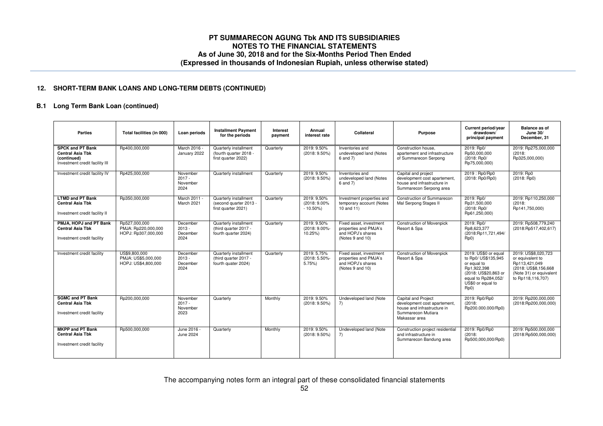## **12. SHORT-TERM BANK LOANS AND LONG-TERM DEBTS (CONTINUED)**

# **B.1 Long Term Bank Loan (continued)**

| <b>Parties</b>                                                                                      | Total facilities (in 000)                                   | Loan periods                             | <b>Installment Payment</b><br>for the periods                          | Interest<br>payment | Annual<br>interest rate                   | Collateral                                                                                | Purpose                                                                                                                   | Current period/year<br>drawdown/<br>principal payment                                                                                                 | Balance as of<br>June $30/$<br>December, 31                                                                                       |
|-----------------------------------------------------------------------------------------------------|-------------------------------------------------------------|------------------------------------------|------------------------------------------------------------------------|---------------------|-------------------------------------------|-------------------------------------------------------------------------------------------|---------------------------------------------------------------------------------------------------------------------------|-------------------------------------------------------------------------------------------------------------------------------------------------------|-----------------------------------------------------------------------------------------------------------------------------------|
| <b>SPCK and PT Bank</b><br><b>Central Asia Tbk</b><br>(continued)<br>Investment credit facility III | Rp400,000,000                                               | March 2016 -<br>January 2022             | Quarterly installment<br>(fourth quarter 2018 -<br>first quarter 2022) | Quarterly           | 2019: 9.50%<br>$(2018: 9.50\%)$           | Inventories and<br>undeveloped land (Notes<br>6 and 7)                                    | Construction house.<br>apartement and infrastructure<br>of Summarecon Serpong                                             | 2019: Rp0/<br>Rp50.000.000<br>(2018: Rp0/<br>Rp75,000,000)                                                                                            | 2019: Rp275,000,000<br>(2018)<br>Rp325,000,000)                                                                                   |
| Investment credit facility IV                                                                       | Rp425,000,000                                               | November<br>$2017 -$<br>November<br>2024 | Quarterly installment                                                  | Quarterly           | 2019: 9.50%<br>$(2018: 9.50\%)$           | Inventories and<br>undeveloped land (Notes<br>6 and 7)                                    | Capital and project<br>development cost apartement,<br>house and infrastructure in<br>Summarecon Serpong area             | 2019: Rp0/Rp0<br>(2018: Rp0/Rp0)                                                                                                                      | 2019: Rp0<br>(2018; Rp0)                                                                                                          |
| <b>LTMD and PT Bank</b><br>Central Asia Tbk<br>Investment credit facility II                        | Rp350.000.000                                               | March 2011<br>March 2021                 | Quarterly installment<br>(second quarter 2013 -<br>first quarter 2021) | Quarterly           | 2019: 9.50%<br>(2018: 9.00%<br>$-10.50\%$ | Investment properties and<br>temporary account (Notes<br>$10$ and $11$ )                  | Construction of Summarecon<br>Mal Serpong Stages II                                                                       | 2019: Rp0/<br>Rp31,500,000<br>(2018: Rp0/<br>Rp61,250,000)                                                                                            | 2019: Rp110.250.000<br>(2018)<br>Rp141,750,000)                                                                                   |
| PMJA, HOPJ and PT Bank<br><b>Central Asia Tbk</b><br>Investment credit facility                     | Rp527.000.000<br>PMJA: Rp220,000,000<br>HOPJ: Rp307,000,000 | December<br>$2013 -$<br>December<br>2024 | Quarterly installment<br>(third quarter 2017 -<br>fourth quarter 2024) | Quarterly           | 2019: 9.50%<br>(2018: 9.00%-<br>10.25%)   | Fixed asset, investment<br>properties and PMJA's<br>and HOPJ's shares<br>(Notes 9 and 10) | <b>Construction of Movenpick</b><br>Resort & Spa                                                                          | 2019: Rp0/<br>Rp8,623,377<br>(2018:Rp11,721,494/<br>Rp0)                                                                                              | 2019: Rp508.779.240<br>(2018:Rp517,402,617)                                                                                       |
| Investment credit facility                                                                          | US\$9,800,000<br>PMJA: US\$5.000.000<br>HOPJ: US\$4,800,000 | December<br>$2013 -$<br>December<br>2024 | Quarterly installment<br>(third quarter 2017 -<br>fourth quater 2024)  | Quarterly           | 2019: 5.75%<br>(2018: 5.50%-<br>5.75%     | Fixed asset, investment<br>properties and PMJA's<br>and HOPJ's shares<br>(Notes 9 and 10) | <b>Construction of Movenpick</b><br>Resort & Spa                                                                          | 2019: US\$0 or equal<br>to Rp0/ US\$135,945<br>or equal to<br>Rp1,922,398<br>(2018: US\$20.863 or<br>equal to Rp284,052/<br>US\$0 or equal to<br>Rp0) | 2019: US\$8,020,723<br>or equivalent to<br>Rp113,421,049<br>(2018: US\$8,156,668)<br>(Note 31) or equivalent<br>to Rp118,116,707) |
| <b>SGMC and PT Bank</b><br><b>Central Asia Tbk</b><br>Investment credit facility                    | Rp200,000,000                                               | November<br>$2017 -$<br>November<br>2023 | Quarterly                                                              | Monthly             | 2019: 9.50%<br>$(2018: 9.50\%)$           | Undeveloped land (Note<br>7)                                                              | Capital and Project<br>development cost apartement,<br>house and infrastructure in<br>Summarecon Mutiara<br>Makassar area | 2019: Rp0/Rp0<br>(2018)<br>Rp200.000.000/Rp0)                                                                                                         | 2019: Rp200,000,000<br>(2018:Rp200,000,000)                                                                                       |
| <b>MKPP and PT Bank</b><br><b>Central Asia Tbk</b><br>Investment credit facility                    | Rp500,000,000                                               | June 2016 -<br>June 2024                 | Quarterly                                                              | Monthly             | 2019: 9.50%<br>$(2018: 9.50\%)$           | Undeveloped land (Note<br>7)                                                              | Construction project residential<br>and infrastructure in<br>Summarecon Bandung area                                      | 2019: Rp0/Rp0<br>(2018)<br>Rp500,000,000/Rp0)                                                                                                         | 2019: Rp500,000,000<br>(2018:Rp500,000,000)                                                                                       |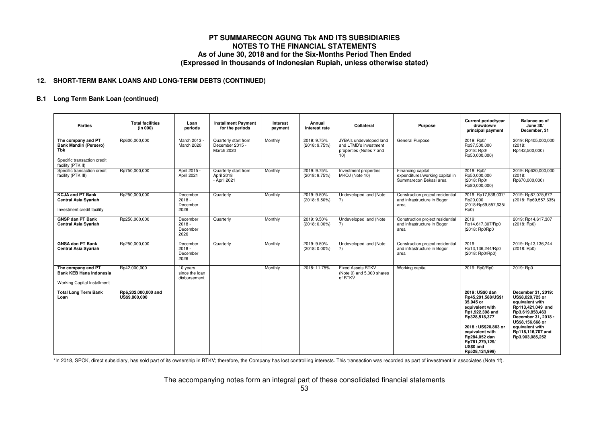## **12. SHORT-TERM BANK LOANS AND LONG-TERM DEBTS (CONTINUED)**

# **B.1 Long Term Bank Loan (continued)**

| <b>Parties</b>                                                                                                 | <b>Total facilities</b><br>(in 000)  | Loan<br>periods                            | <b>Installment Payment</b><br>for the periods         | Interest<br>payment | Annual<br>interest rate         | Collateral                                                                         | Purpose                                                                        | Current period/year<br>drawdown/<br>principal payment                                                                                                                                                                 | <b>Balance as of</b><br><b>June 30/</b><br>December, 31                                                                                                                                                 |
|----------------------------------------------------------------------------------------------------------------|--------------------------------------|--------------------------------------------|-------------------------------------------------------|---------------------|---------------------------------|------------------------------------------------------------------------------------|--------------------------------------------------------------------------------|-----------------------------------------------------------------------------------------------------------------------------------------------------------------------------------------------------------------------|---------------------------------------------------------------------------------------------------------------------------------------------------------------------------------------------------------|
| The company and PT<br><b>Bank Mandiri (Persero)</b><br>Tbk<br>Specific transaction credit<br>facility (PTK II) | Rp600,000,000                        | March 2013<br>March 2020                   | Quarterly start from<br>December 2015 -<br>March 2020 | Monthly             | 2019: 9.75%<br>(2018: 9.75%)    | JYBA's undeveloped land<br>and LTMD's investment<br>properties (Notes 7 and<br>10) | General Purpose                                                                | 2019: Rp0/<br>Rp37,500,000<br>(2018: Rp0/<br>Rp50,000,000)                                                                                                                                                            | 2019: Rp405,000,000<br>(2018)<br>Rp442,500,000)                                                                                                                                                         |
| Specific transaction credit<br>facility (PTK III)                                                              | Rp750,000,000                        | April 2015 -<br>April 2021                 | Quarterly start from<br>April 2018<br>- April 2021    | Monthly             | 2019: 9.75%<br>(2018: 9.75%)    | Investment properties<br>MKOJ (Note 10)                                            | Financing capital<br>expenditures/working capital in<br>Summarecon Bekasi area | 2019: Rp0/<br>Rp50,000,000<br>(2018: Rp0/<br>Rp80,000,000)                                                                                                                                                            | 2019: Rp620,000,000<br>(2018)<br>Rp670,000,000)                                                                                                                                                         |
| <b>KCJA and PT Bank</b><br><b>Central Asia Syariah</b><br>Investment credit facility                           | Rp250,000,000                        | December<br>$2018 -$<br>December<br>2026   | Quarterly                                             | Monthly             | 2019: 9.50%<br>$(2018: 9.50\%)$ | Undeveloped land (Note<br>7)                                                       | Construction project residential<br>and infrastructure in Bogor<br>area        | 2019: Rp17,538,037/<br>Rp20,000<br>(2018:Rp69,557,635/<br>Rp0)                                                                                                                                                        | 2019: Rp87,075,672<br>(2018: Rp69,557,635)                                                                                                                                                              |
| <b>GNSP dan PT Bank</b><br><b>Central Asia Syariah</b>                                                         | Rp250,000,000                        | December<br>$2018 -$<br>December<br>2026   | Quarterly                                             | Monthly             | 2019: 9.50%<br>$(2018:0.00\%)$  | Undeveloped land (Note<br>7)                                                       | Construction project residential<br>and infrastructure in Bogor<br>area        | 2019:<br>Rp14,617,307/Rp0<br>(2018: Rp0Rp0                                                                                                                                                                            | 2019: Rp14,617,307<br>$(2018:$ Rp0)                                                                                                                                                                     |
| <b>GNSA dan PT Bank</b><br><b>Central Asia Syariah</b>                                                         | Rp250,000,000                        | December<br>$2018 -$<br>December<br>2026   | Quarterly                                             | Monthly             | 2019: 9.50%<br>$(2018:0.00\%)$  | Undeveloped land (Note<br>7)                                                       | Construction project residential<br>and infrastructure in Bogor<br>area        | 2019:<br>Rp13,136,244/Rp0<br>(2018: Rp0/Rp0)                                                                                                                                                                          | 2019: Rp13,136,244<br>$(2018:$ Rp0)                                                                                                                                                                     |
| The company and PT<br><b>Bank KEB Hana Indonesia</b><br>Working Capital Installment                            | Rp42,000,000                         | 10 years<br>since the loan<br>disbursement |                                                       | Monthly             | 2018: 11.75%                    | <b>Fixed Assets BTKV</b><br>(Note 9) and 5,000 shares<br>of BTKV                   | Working capital                                                                | 2019: Rp0/Rp0                                                                                                                                                                                                         | 2019: Rp0                                                                                                                                                                                               |
| <b>Total Long Term Bank</b><br>Loan                                                                            | Rp6,202,000,000 and<br>US\$9,800,000 |                                            |                                                       |                     |                                 |                                                                                    |                                                                                | 2019: US\$0 dan<br>Rp45,291,588/US\$1<br>35.945 or<br>equivalent with<br>Rp1,922,398 and<br>Rp328,518,377<br>2018: US\$20.863 or<br>equivalent with<br>Rp284,052 dan<br>Rp781,279,129/<br>US\$0 and<br>Rp528,124,999) | December 31, 2019:<br>US\$8.020.723 or<br>equivalent with<br>Rp113,421,049 and<br>Rp3,619,858,463<br>December 31, 2018 :<br>US\$8,156,668 or<br>equivalent with<br>Rp118,116,707 and<br>Rp3,903,085,252 |

\*In 2018, SPCK, direct subsidiary, has sold part of its ownership in BTKV; therefore, the Company has lost controlling interests. This transaction was recorded as part of investment in associates (Note 1f).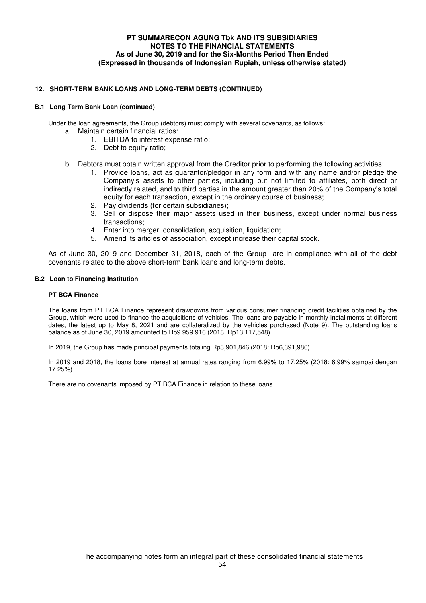## **12. SHORT-TERM BANK LOANS AND LONG-TERM DEBTS (CONTINUED)**

## **B.1 Long Term Bank Loan (continued)**

Under the loan agreements, the Group (debtors) must comply with several covenants, as follows:

- a. Maintain certain financial ratios:
	- 1. EBITDA to interest expense ratio;
	- 2. Debt to equity ratio;
- b. Debtors must obtain written approval from the Creditor prior to performing the following activities:
	- 1. Provide loans, act as guarantor/pledgor in any form and with any name and/or pledge the Company's assets to other parties, including but not limited to affiliates, both direct or indirectly related, and to third parties in the amount greater than 20% of the Company's total equity for each transaction, except in the ordinary course of business;
	- 2. Pay dividends (for certain subsidiaries);
	- 3. Sell or dispose their major assets used in their business, except under normal business transactions;
	- 4. Enter into merger, consolidation, acquisition, liquidation;
	- 5. Amend its articles of association, except increase their capital stock.

As of June 30, 2019 and December 31, 2018, each of the Group are in compliance with all of the debt covenants related to the above short-term bank loans and long-term debts.

## **B.2 Loan to Financing Institution**

#### **PT BCA Finance**

The loans from PT BCA Finance represent drawdowns from various consumer financing credit facilities obtained by the Group, which were used to finance the acquisitions of vehicles. The loans are payable in monthly installments at different dates, the latest up to May 8, 2021 and are collateralized by the vehicles purchased (Note 9). The outstanding loans balance as of June 30, 2019 amounted to Rp9.959.916 (2018: Rp13,117,548).

In 2019, the Group has made principal payments totaling Rp3,901,846 (2018: Rp6,391,986).

In 2019 and 2018, the loans bore interest at annual rates ranging from 6.99% to 17.25% (2018: 6.99% sampai dengan 17.25%).

There are no covenants imposed by PT BCA Finance in relation to these loans.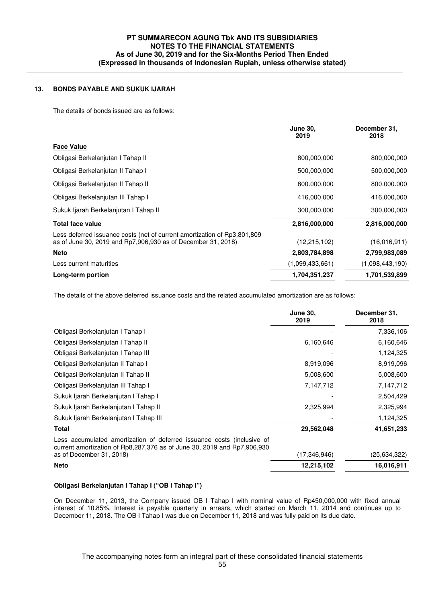## **13. BONDS PAYABLE AND SUKUK IJARAH**

The details of bonds issued are as follows:

|                                                                                                                                          | <b>June 30,</b><br>2019 | December 31,<br>2018 |
|------------------------------------------------------------------------------------------------------------------------------------------|-------------------------|----------------------|
| <b>Face Value</b>                                                                                                                        |                         |                      |
| Obligasi Berkelanjutan I Tahap II                                                                                                        | 800,000,000             | 800,000,000          |
| Obligasi Berkelanjutan II Tahap I                                                                                                        | 500,000,000             | 500,000,000          |
| Obligasi Berkelanjutan II Tahap II                                                                                                       | 800.000.000             | 800.000.000          |
| Obligasi Berkelanjutan III Tahap I                                                                                                       | 416,000,000             | 416,000,000          |
| Sukuk Ijarah Berkelanjutan I Tahap II                                                                                                    | 300,000,000             | 300,000,000          |
| <b>Total face value</b>                                                                                                                  | 2,816,000,000           | 2,816,000,000        |
| Less deferred issuance costs (net of current amortization of Rp3,801,809<br>as of June 30, 2019 and Rp7,906,930 as of December 31, 2018) | (12, 215, 102)          | (16,016,911)         |
| <b>Neto</b>                                                                                                                              | 2,803,784,898           | 2,799,983,089        |
| Less current maturities                                                                                                                  | (1,099,433,661)         | (1,098,443,190)      |
| Long-term portion                                                                                                                        | 1,704,351,237           | 1,701,539,899        |
|                                                                                                                                          |                         |                      |

The details of the above deferred issuance costs and the related accumulated amortization are as follows:

|                                                                                                                                                   | <b>June 30,</b><br>2019 | December 31,<br>2018 |
|---------------------------------------------------------------------------------------------------------------------------------------------------|-------------------------|----------------------|
| Obligasi Berkelanjutan I Tahap I                                                                                                                  |                         | 7,336,106            |
| Obligasi Berkelanjutan I Tahap II                                                                                                                 | 6,160,646               | 6,160,646            |
| Obligasi Berkelanjutan I Tahap III                                                                                                                |                         | 1,124,325            |
| Obligasi Berkelanjutan II Tahap I                                                                                                                 | 8,919,096               | 8,919,096            |
| Obligasi Berkelanjutan II Tahap II                                                                                                                | 5,008,600               | 5,008,600            |
| Obligasi Berkelanjutan III Tahap I                                                                                                                | 7,147,712               | 7,147,712            |
| Sukuk Ijarah Berkelanjutan I Tahap I                                                                                                              |                         | 2,504,429            |
| Sukuk ljarah Berkelanjutan I Tahap II                                                                                                             | 2,325,994               | 2,325,994            |
| Sukuk Ijarah Berkelanjutan I Tahap III                                                                                                            |                         | 1,124,325            |
| Total                                                                                                                                             | 29,562,048              | 41,651,233           |
| Less accumulated amortization of deferred issuance costs (inclusive of<br>current amortization of Rp8,287,376 as of June 30, 2019 and Rp7,906,930 |                         |                      |
| as of December 31, 2018)                                                                                                                          | (17,346,946)            | (25,634,322)         |
| <b>Neto</b>                                                                                                                                       | 12,215,102              | 16,016,911           |

#### **Obligasi Berkelanjutan I Tahap I ("OB I Tahap I")**

On December 11, 2013, the Company issued OB I Tahap I with nominal value of Rp450,000,000 with fixed annual interest of 10.85%. Interest is payable quarterly in arrears, which started on March 11, 2014 and continues up to December 11, 2018. The OB I Tahap I was due on December 11, 2018 and was fully paid on its due date.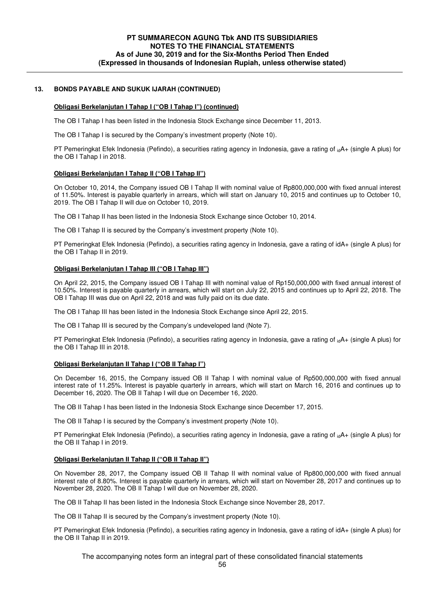### **13. BONDS PAYABLE AND SUKUK IJARAH (CONTINUED)**

#### **Obligasi Berkelanjutan I Tahap I ("OB I Tahap I") (continued)**

The OB I Tahap I has been listed in the Indonesia Stock Exchange since December 11, 2013.

The OB I Tahap I is secured by the Company's investment property (Note 10).

PT Pemeringkat Efek Indonesia (Pefindo), a securities rating agency in Indonesia, gave a rating of <sub>id</sub>A+ (single A plus) for the OB I Tahap I in 2018.

#### **Obligasi Berkelanjutan I Tahap II ("OB I Tahap II")**

On October 10, 2014, the Company issued OB I Tahap II with nominal value of Rp800,000,000 with fixed annual interest of 11.50%. Interest is payable quarterly in arrears, which will start on January 10, 2015 and continues up to October 10, 2019. The OB I Tahap II will due on October 10, 2019.

The OB I Tahap II has been listed in the Indonesia Stock Exchange since October 10, 2014.

The OB I Tahap II is secured by the Company's investment property (Note 10).

PT Pemeringkat Efek Indonesia (Pefindo), a securities rating agency in Indonesia, gave a rating of idA+ (single A plus) for the OB I Tahap II in 2019.

#### **Obligasi Berkelanjutan I Tahap III ("OB I Tahap III")**

On April 22, 2015, the Company issued OB I Tahap III with nominal value of Rp150,000,000 with fixed annual interest of 10.50%. Interest is payable quarterly in arrears, which will start on July 22, 2015 and continues up to April 22, 2018. The OB I Tahap III was due on April 22, 2018 and was fully paid on its due date.

The OB I Tahap III has been listed in the Indonesia Stock Exchange since April 22, 2015.

The OB I Tahap III is secured by the Company's undeveloped land (Note 7).

PT Pemeringkat Efek Indonesia (Pefindo), a securities rating agency in Indonesia, gave a rating of <sub>id</sub>A+ (single A plus) for the OB I Tahap III in 2018.

#### **Obligasi Berkelanjutan II Tahap I ("OB II Tahap I")**

On December 16, 2015, the Company issued OB II Tahap I with nominal value of Rp500,000,000 with fixed annual interest rate of 11.25%. Interest is payable quarterly in arrears, which will start on March 16, 2016 and continues up to December 16, 2020. The OB II Tahap I will due on December 16, 2020.

The OB II Tahap I has been listed in the Indonesia Stock Exchange since December 17, 2015.

The OB II Tahap I is secured by the Company's investment property (Note 10).

PT Pemeringkat Efek Indonesia (Pefindo), a securities rating agency in Indonesia, gave a rating of <sub>id</sub>A+ (single A plus) for the OB II Tahap I in 2019.

#### **Obligasi Berkelanjutan II Tahap II ("OB II Tahap II")**

On November 28, 2017, the Company issued OB II Tahap II with nominal value of Rp800,000,000 with fixed annual interest rate of 8.80%. Interest is payable quarterly in arrears, which will start on November 28, 2017 and continues up to November 28, 2020. The OB II Tahap I will due on November 28, 2020.

The OB II Tahap II has been listed in the Indonesia Stock Exchange since November 28, 2017.

The OB II Tahap II is secured by the Company's investment property (Note 10).

PT Pemeringkat Efek Indonesia (Pefindo), a securities rating agency in Indonesia, gave a rating of idA+ (single A plus) for the OB II Tahap II in 2019.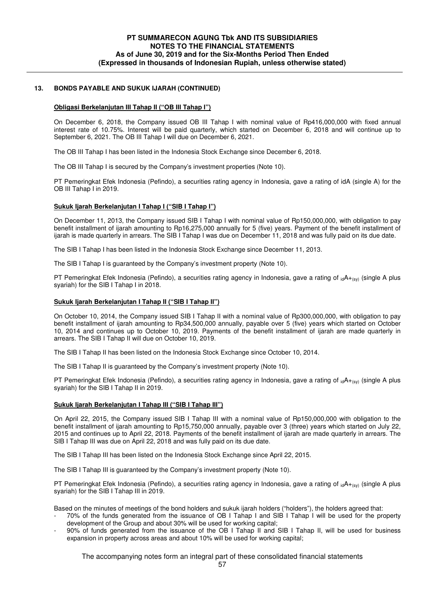## **13. BONDS PAYABLE AND SUKUK IJARAH (CONTINUED)**

#### **Obligasi Berkelanjutan III Tahap II ("OB III Tahap I")**

On December 6, 2018, the Company issued OB III Tahap I with nominal value of Rp416,000,000 with fixed annual interest rate of 10.75%. Interest will be paid quarterly, which started on December 6, 2018 and will continue up to September 6, 2021. The OB III Tahap I will due on December 6, 2021.

The OB III Tahap I has been listed in the Indonesia Stock Exchange since December 6, 2018.

The OB III Tahap I is secured by the Company's investment properties (Note 10).

PT Pemeringkat Efek Indonesia (Pefindo), a securities rating agency in Indonesia, gave a rating of idA (single A) for the OB III Tahap I in 2019.

#### **Sukuk Ijarah Berkelanjutan I Tahap I ("SIB I Tahap I")**

On December 11, 2013, the Company issued SIB I Tahap I with nominal value of Rp150,000,000, with obligation to pay benefit installment of ijarah amounting to Rp16,275,000 annually for 5 (five) years. Payment of the benefit installment of ijarah is made quarterly in arrears. The SIB I Tahap I was due on December 11, 2018 and was fully paid on its due date.

The SIB I Tahap I has been listed in the Indonesia Stock Exchange since December 11, 2013.

The SIB I Tahap I is guaranteed by the Company's investment property (Note 10).

PT Pemeringkat Efek Indonesia (Pefindo), a securities rating agency in Indonesia, gave a rating of <sub>id</sub>A<sub>+(sy)</sub> (single A plus syariah) for the SIB I Tahap I in 2018.

#### **Sukuk Ijarah Berkelanjutan I Tahap II ("SIB I Tahap II")**

On October 10, 2014, the Company issued SIB I Tahap II with a nominal value of Rp300,000,000, with obligation to pay benefit installment of ijarah amounting to Rp34,500,000 annually, payable over 5 (five) years which started on October 10, 2014 and continues up to October 10, 2019. Payments of the benefit installment of ijarah are made quarterly in arrears. The SIB I Tahap II will due on October 10, 2019.

The SIB I Tahap II has been listed on the Indonesia Stock Exchange since October 10, 2014.

The SIB I Tahap II is guaranteed by the Company's investment property (Note 10).

PT Pemeringkat Efek Indonesia (Pefindo), a securities rating agency in Indonesia, gave a rating of  $_{id}A_{+(sy)}$  (single A plus syariah) for the SIB I Tahap II in 2019.

#### **Sukuk Ijarah Berkelanjutan I Tahap III ("SIB I Tahap III")**

On April 22, 2015, the Company issued SIB I Tahap III with a nominal value of Rp150,000,000 with obligation to the benefit installment of ijarah amounting to Rp15,750,000 annually, payable over 3 (three) years which started on July 22, 2015 and continues up to April 22, 2018. Payments of the benefit installment of ijarah are made quarterly in arrears. The SIB I Tahap III was due on April 22, 2018 and was fully paid on its due date.

The SIB I Tahap III has been listed on the Indonesia Stock Exchange since April 22, 2015.

The SIB I Tahap III is guaranteed by the Company's investment property (Note 10).

PT Pemeringkat Efek Indonesia (Pefindo), a securities rating agency in Indonesia, gave a rating of  $_{id}A_{+(sv)}$  (single A plus syariah) for the SIB I Tahap III in 2019.

Based on the minutes of meetings of the bond holders and sukuk ijarah holders ("holders"), the holders agreed that:

- 70% of the funds generated from the issuance of OB I Tahap I and SIB I Tahap I will be used for the property development of the Group and about 30% will be used for working capital;
- 90% of funds generated from the issuance of the OB I Tahap II and SIB I Tahap II, will be used for business expansion in property across areas and about 10% will be used for working capital;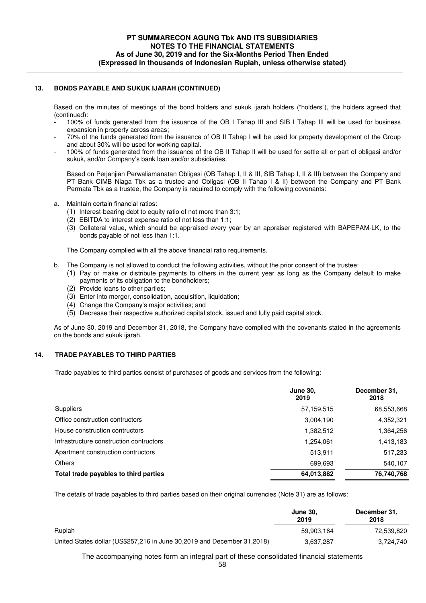## **13. BONDS PAYABLE AND SUKUK IJARAH (CONTINUED)**

Based on the minutes of meetings of the bond holders and sukuk ijarah holders ("holders"), the holders agreed that (continued):

- 100% of funds generated from the issuance of the OB I Tahap III and SIB I Tahap III will be used for business expansion in property across areas;
- 70% of the funds generated from the issuance of OB II Tahap I will be used for property development of the Group and about 30% will be used for working capital.
- 100% of funds generated from the issuance of the OB II Tahap II will be used for settle all or part of obligasi and/or sukuk, and/or Company's bank loan and/or subsidiaries.

Based on Perjanjian Perwaliamanatan Obligasi (OB Tahap I, II & III, SIB Tahap I, II & III) between the Company and PT Bank CIMB Niaga Tbk as a trustee and Obligasi (OB II Tahap I & II) between the Company and PT Bank Permata Tbk as a trustee, the Company is required to comply with the following covenants:

- a. Maintain certain financial ratios:
	- (1) Interest-bearing debt to equity ratio of not more than 3:1;
	- (2) EBITDA to interest expense ratio of not less than 1:1;
	- (3) Collateral value, which should be appraised every year by an appraiser registered with BAPEPAM-LK, to the bonds payable of not less than 1:1.

The Company complied with all the above financial ratio requirements.

- b. The Company is not allowed to conduct the following activities, without the prior consent of the trustee:
	- (1) Pay or make or distribute payments to others in the current year as long as the Company default to make payments of its obligation to the bondholders;
	- (2) Provide loans to other parties;
	- (3) Enter into merger, consolidation, acquisition, liquidation;
	- (4) Change the Company's major activities; and
	- (5) Decrease their respective authorized capital stock, issued and fully paid capital stock.

As of June 30, 2019 and December 31, 2018, the Company have complied with the covenants stated in the agreements on the bonds and sukuk ijarah.

## **14. TRADE PAYABLES TO THIRD PARTIES**

Trade payables to third parties consist of purchases of goods and services from the following:

|                                         | <b>June 30.</b><br>2019 | December 31,<br>2018 |
|-----------------------------------------|-------------------------|----------------------|
| <b>Suppliers</b>                        | 57,159,515              | 68,553,668           |
| Office construction contructors         | 3,004,190               | 4,352,321            |
| House construction contructors          | 1,382,512               | 1,364,256            |
| Infrastructure construction contructors | 1,254,061               | 1,413,183            |
| Apartment construction contructors      | 513.911                 | 517,233              |
| <b>Others</b>                           | 699.693                 | 540,107              |
| Total trade payables to third parties   | 64,013,882              | 76,740,768           |

The details of trade payables to third parties based on their original currencies (Note 31) are as follows:

|                                                                         | <b>June 30.</b><br>2019 | December 31,<br>2018 |
|-------------------------------------------------------------------------|-------------------------|----------------------|
| Rupiah                                                                  | 59.903.164              | 72.539.820           |
| United States dollar (US\$257,216 in June 30,2019 and December 31,2018) | 3.637.287               | 3.724.740            |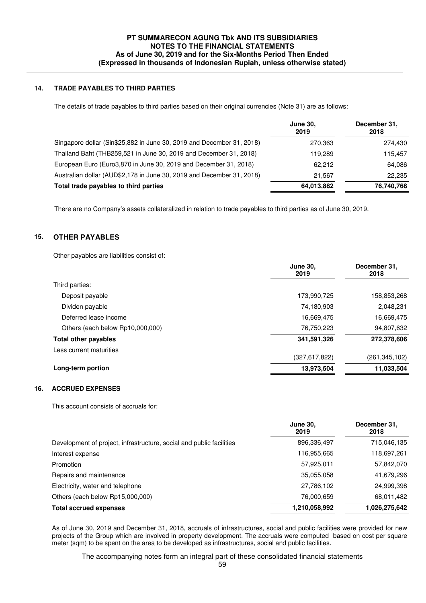## **14. TRADE PAYABLES TO THIRD PARTIES**

The details of trade payables to third parties based on their original currencies (Note 31) are as follows:

|                                                                       | <b>June 30.</b><br>2019 | December 31,<br>2018 |
|-----------------------------------------------------------------------|-------------------------|----------------------|
| Singapore dollar (Sin\$25,882 in June 30, 2019 and December 31, 2018) | 270,363                 | 274,430              |
| Thailand Baht (THB259,521 in June 30, 2019 and December 31, 2018)     | 119,289                 | 115,457              |
| European Euro (Euro3,870 in June 30, 2019 and December 31, 2018)      | 62.212                  | 64,086               |
| Australian dollar (AUD\$2,178 in June 30, 2019 and December 31, 2018) | 21.567                  | 22,235               |
| Total trade payables to third parties                                 | 64,013,882              | 76,740,768           |
|                                                                       |                         |                      |

There are no Company's assets collateralized in relation to trade payables to third parties as of June 30, 2019.

## **15. OTHER PAYABLES**

Other payables are liabilities consist of:

|                                  | <b>June 30.</b><br>2019 | December 31,<br>2018 |  |
|----------------------------------|-------------------------|----------------------|--|
| Third parties:                   |                         |                      |  |
| Deposit payable                  | 173,990,725             | 158,853,268          |  |
| Dividen payable                  | 74,180,903              | 2,048,231            |  |
| Deferred lease income            | 16,669,475              | 16,669,475           |  |
| Others (each below Rp10,000,000) | 76,750,223              | 94,807,632           |  |
| <b>Total other payables</b>      | 341,591,326             | 272,378,606          |  |
| Less current maturities          |                         |                      |  |
|                                  | (327,617,822)           | (261, 345, 102)      |  |
| Long-term portion                | 13,973,504              | 11,033,504           |  |

## **16. ACCRUED EXPENSES**

This account consists of accruals for:

|                                                                      | <b>June 30,</b><br>2019 | December 31,<br>2018 |
|----------------------------------------------------------------------|-------------------------|----------------------|
| Development of project, infrastructure, social and public facilities | 896,336,497             | 715,046,135          |
| Interest expense                                                     | 116,955,665             | 118,697,261          |
| Promotion                                                            | 57,925,011              | 57,842,070           |
| Repairs and maintenance                                              | 35,055,058              | 41,679,296           |
| Electricity, water and telephone                                     | 27,786,102              | 24,999,398           |
| Others (each below Rp15,000,000)                                     | 76,000,659              | 68,011,482           |
| <b>Total accrued expenses</b>                                        | 1,210,058,992           | 1,026,275,642        |

 As of June 30, 2019 and December 31, 2018, accruals of infrastructures, social and public facilities were provided for new projects of the Group which are involved in property development. The accruals were computed based on cost per square meter (sqm) to be spent on the area to be developed as infrastructures, social and public facilities.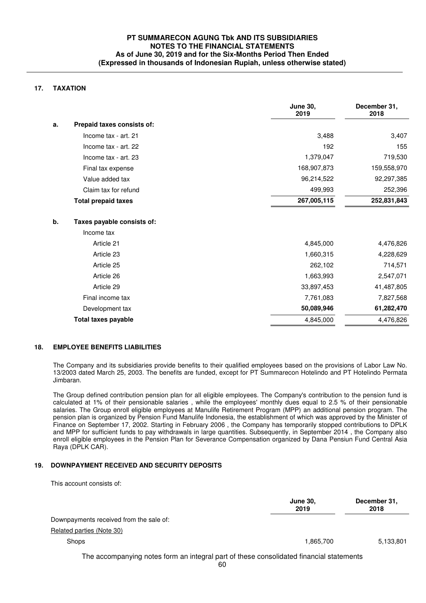## **17. TAXATION**

|    |                            | <b>June 30,</b><br>2019 | December 31,<br>2018 |
|----|----------------------------|-------------------------|----------------------|
| a. | Prepaid taxes consists of: |                         |                      |
|    | Income tax - art. 21       | 3,488                   | 3,407                |
|    | Income tax - art. 22       | 192                     | 155                  |
|    | Income tax - art. 23       | 1,379,047               | 719,530              |
|    | Final tax expense          | 168,907,873             | 159,558,970          |
|    | Value added tax            | 96,214,522              | 92,297,385           |
|    | Claim tax for refund       | 499,993                 | 252,396              |
|    | <b>Total prepaid taxes</b> | 267,005,115             | 252,831,843          |
| b. | Taxes payable consists of: |                         |                      |
|    | Income tax                 |                         |                      |
|    | Article 21                 | 4,845,000               | 4,476,826            |
|    | Article 23                 | 1,660,315               | 4,228,629            |
|    | Article 25                 | 262,102                 | 714,571              |
|    | Article 26                 | 1,663,993               | 2,547,071            |
|    | Article 29                 | 33,897,453              | 41,487,805           |
|    | Final income tax           | 7,761,083               | 7,827,568            |
|    | Development tax            | 50,089,946              | 61,282,470           |
|    | <b>Total taxes payable</b> | 4,845,000               | 4,476,826            |

## **18. EMPLOYEE BENEFITS LIABILITIES**

 The Company and its subsidiaries provide benefits to their qualified employees based on the provisions of Labor Law No. 13/2003 dated March 25, 2003. The benefits are funded, except for PT Summarecon Hotelindo and PT Hotelindo Permata Jimbaran.

The Group defined contribution pension plan for all eligible employees. The Company's contribution to the pension fund is calculated at 1% of their pensionable salaries , while the employees' monthly dues equal to 2.5 % of their pensionable salaries. The Group enroll eligible employees at Manulife Retirement Program (MPP) an additional pension program. The pension plan is organized by Pension Fund Manulife Indonesia, the establishment of which was approved by the Minister of Finance on September 17, 2002. Starting in February 2006 , the Company has temporarily stopped contributions to DPLK and MPP for sufficient funds to pay withdrawals in large quantities. Subsequently, in September 2014 , the Company also enroll eligible employees in the Pension Plan for Severance Compensation organized by Dana Pensiun Fund Central Asia Raya (DPLK CAR).

## **19. DOWNPAYMENT RECEIVED AND SECURITY DEPOSITS**

This account consists of:

|                                                                                               | <b>June 30,</b><br>2019 | December 31,<br>2018 |
|-----------------------------------------------------------------------------------------------|-------------------------|----------------------|
| Downpayments received from the sale of:                                                       |                         |                      |
| Related parties (Note 30)                                                                     |                         |                      |
| <b>Shops</b>                                                                                  | 1.865.700               | 5,133,801            |
| The accompanying notes form an integral part of these consolidated financial statements<br>60 |                         |                      |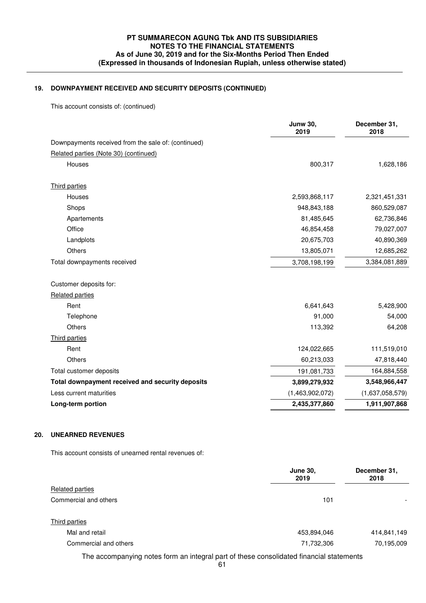## **19. DOWNPAYMENT RECEIVED AND SECURITY DEPOSITS (CONTINUED)**

This account consists of: (continued)

|                                                     | <b>Junw 30,</b><br>2019 | December 31,<br>2018 |
|-----------------------------------------------------|-------------------------|----------------------|
| Downpayments received from the sale of: (continued) |                         |                      |
| Related parties (Note 30) (continued)               |                         |                      |
| Houses                                              | 800,317                 | 1,628,186            |
| Third parties                                       |                         |                      |
| Houses                                              | 2,593,868,117           | 2,321,451,331        |
| Shops                                               | 948,843,188             | 860,529,087          |
| Apartements                                         | 81,485,645              | 62,736,846           |
| Office                                              | 46,854,458              | 79,027,007           |
| Landplots                                           | 20,675,703              | 40,890,369           |
| Others                                              | 13,805,071              | 12,685,262           |
| Total downpayments received                         | 3,708,198,199           | 3,384,081,889        |
| Customer deposits for:                              |                         |                      |
| <b>Related parties</b>                              |                         |                      |
| Rent                                                | 6,641,643               | 5,428,900            |
| Telephone                                           | 91,000                  | 54,000               |
| <b>Others</b>                                       | 113,392                 | 64,208               |
| Third parties                                       |                         |                      |
| Rent                                                | 124,022,665             | 111,519,010          |
| <b>Others</b>                                       | 60,213,033              | 47,818,440           |
| Total customer deposits                             | 191,081,733             | 164,884,558          |
| Total downpayment received and security deposits    | 3,899,279,932           | 3,548,966,447        |
| Less current maturities                             | (1,463,902,072)         | (1,637,058,579)      |
| Long-term portion                                   | 2,435,377,860           | 1,911,907,868        |
|                                                     |                         |                      |

## **20. UNEARNED REVENUES**

This account consists of unearned rental revenues of:

|                                                                                         | <b>June 30,</b><br>2019 | December 31,<br>2018 |
|-----------------------------------------------------------------------------------------|-------------------------|----------------------|
| Related parties                                                                         |                         |                      |
| Commercial and others                                                                   | 101                     |                      |
| Third parties                                                                           |                         |                      |
| Mal and retail                                                                          | 453,894,046             | 414,841,149          |
| Commercial and others                                                                   | 71,732,306              | 70,195,009           |
| The accompanying notes form an integral part of these consolidated financial statements |                         |                      |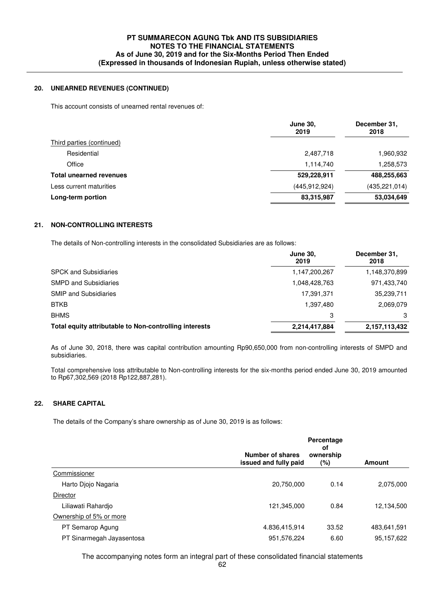## **20. UNEARNED REVENUES (CONTINUED)**

This account consists of unearned rental revenues of:

|                                | <b>June 30,</b><br>2019 | December 31,<br>2018 |
|--------------------------------|-------------------------|----------------------|
| Third parties (continued)      |                         |                      |
| Residential                    | 2,487,718               | 1,960,932            |
| Office                         | 1,114,740               | 1,258,573            |
| <b>Total unearned revenues</b> | 529,228,911             | 488,255,663          |
| Less current maturities        | (445, 912, 924)         | (435, 221, 014)      |
| Long-term portion              | 83,315,987              | 53,034,649           |

## **21. NON-CONTROLLING INTERESTS**

The details of Non-controlling interests in the consolidated Subsidiaries are as follows:

|                                                        | <b>June 30,</b><br>2019 | December 31,<br>2018 |
|--------------------------------------------------------|-------------------------|----------------------|
| <b>SPCK and Subsidiaries</b>                           | 1,147,200,267           | 1,148,370,899        |
| <b>SMPD and Subsidiaries</b>                           | 1,048,428,763           | 971,433,740          |
| <b>SMIP and Subsidiaries</b>                           | 17,391,371              | 35,239,711           |
| <b>BTKB</b>                                            | 1,397,480               | 2,069,079            |
| <b>BHMS</b>                                            | 3                       | 3                    |
| Total equity attributable to Non-controlling interests | 2,214,417,884           | 2,157,113,432        |

 As of June 30, 2018, there was capital contribution amounting Rp90,650,000 from non-controlling interests of SMPD and subsidiaries.

Total comprehensive loss attributable to Non-controlling interests for the six-months period ended June 30, 2019 amounted to Rp67,302,569 (2018 Rp122,887,281).

## **22. SHARE CAPITAL**

The details of the Company's share ownership as of June 30, 2019 is as follows:

|                           |                                           | Percentage<br>οf |               |  |
|---------------------------|-------------------------------------------|------------------|---------------|--|
|                           | Number of shares<br>issued and fully paid | ownership<br>(%) | <b>Amount</b> |  |
| Commissioner              |                                           |                  |               |  |
| Harto Djojo Nagaria       | 20,750,000                                | 0.14             | 2,075,000     |  |
| Director                  |                                           |                  |               |  |
| Liliawati Rahardjo        | 121,345,000                               | 0.84             | 12,134,500    |  |
| Ownership of 5% or more   |                                           |                  |               |  |
| PT Semarop Agung          | 4.836,415,914                             | 33.52            | 483,641,591   |  |
| PT Sinarmegah Jayasentosa | 951,576,224                               | 6.60             | 95, 157, 622  |  |
|                           |                                           |                  |               |  |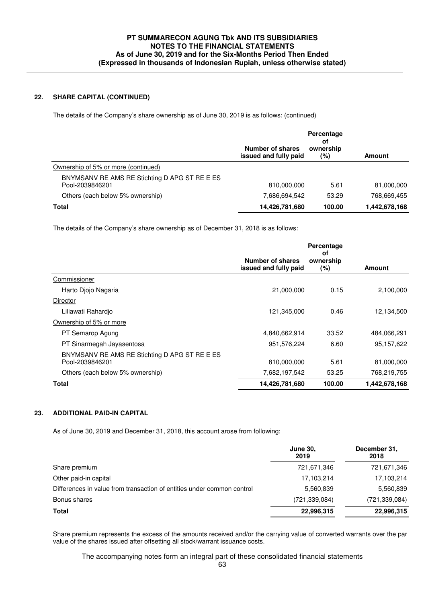## **22. SHARE CAPITAL (CONTINUED)**

The details of the Company's share ownership as of June 30, 2019 is as follows: (continued)

|                                                                  | <b>Number of shares</b><br>issued and fully paid | Percentage<br>οf<br>ownership<br>$(\% )$ | <b>Amount</b> |
|------------------------------------------------------------------|--------------------------------------------------|------------------------------------------|---------------|
| Ownership of 5% or more (continued)                              |                                                  |                                          |               |
| BNYMSANV RE AMS RE Stichting D APG ST RE E ES<br>Pool-2039846201 | 810,000,000                                      | 5.61                                     | 81,000,000    |
| Others (each below 5% ownership)                                 | 7,686,694,542                                    | 53.29                                    | 768,669,455   |
| <b>Total</b>                                                     | 14,426,781,680                                   | 100.00                                   | 1,442,678,168 |

The details of the Company's share ownership as of December 31, 2018 is as follows:

|                                                                  | <b>Number of shares</b><br>issued and fully paid | Percentage<br>οt<br>ownership<br>$(\%)$ | <b>Amount</b> |
|------------------------------------------------------------------|--------------------------------------------------|-----------------------------------------|---------------|
| Commissioner                                                     |                                                  |                                         |               |
| Harto Djojo Nagaria                                              | 21,000,000                                       | 0.15                                    | 2,100,000     |
| Director                                                         |                                                  |                                         |               |
| Liliawati Rahardjo                                               | 121,345,000                                      | 0.46                                    | 12,134,500    |
| Ownership of 5% or more                                          |                                                  |                                         |               |
| PT Semarop Agung                                                 | 4,840,662,914                                    | 33.52                                   | 484,066,291   |
| PT Sinarmegah Jayasentosa                                        | 951,576,224                                      | 6.60                                    | 95,157,622    |
| BNYMSANV RE AMS RE Stichting D APG ST RE E ES<br>Pool-2039846201 | 810,000,000                                      | 5.61                                    | 81,000,000    |
| Others (each below 5% ownership)                                 | 7,682,197,542                                    | 53.25                                   | 768,219,755   |
| <b>Total</b>                                                     | 14,426,781,680                                   | 100.00                                  | 1,442,678,168 |
|                                                                  |                                                  |                                         |               |

## **23. ADDITIONAL PAID-IN CAPITAL**

As of June 30, 2019 and December 31, 2018, this account arose from following:

|                                                                        | <b>June 30,</b><br>2019 | December 31,<br>2018 |
|------------------------------------------------------------------------|-------------------------|----------------------|
| Share premium                                                          | 721,671,346             | 721,671,346          |
| Other paid-in capital                                                  | 17,103,214              | 17,103,214           |
| Differences in value from transaction of entities under common control | 5,560,839               | 5,560,839            |
| Bonus shares                                                           | (721, 339, 084)         | (721, 339, 084)      |
| Total                                                                  | 22,996,315              | 22,996,315           |

 Share premium represents the excess of the amounts received and/or the carrying value of converted warrants over the par value of the shares issued after offsetting all stock/warrant issuance costs.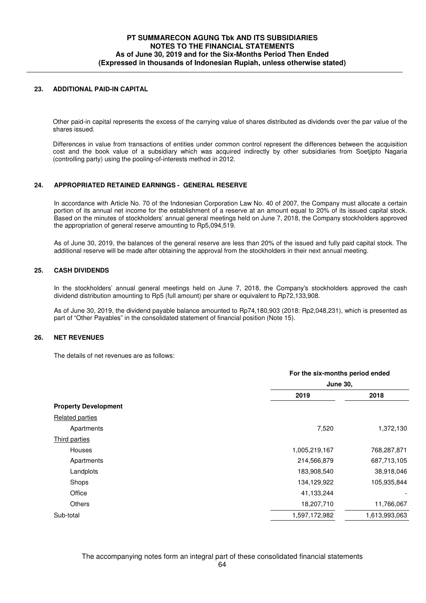## **23. ADDITIONAL PAID-IN CAPITAL**

Other paid-in capital represents the excess of the carrying value of shares distributed as dividends over the par value of the shares issued.

Differences in value from transactions of entities under common control represent the differences between the acquisition cost and the book value of a subsidiary which was acquired indirectly by other subsidiaries from Soetjipto Nagaria (controlling party) using the pooling-of-interests method in 2012.

## **24. APPROPRIATED RETAINED EARNINGS - GENERAL RESERVE**

In accordance with Article No. 70 of the Indonesian Corporation Law No. 40 of 2007, the Company must allocate a certain portion of its annual net income for the establishment of a reserve at an amount equal to 20% of its issued capital stock. Based on the minutes of stockholders' annual general meetings held on June 7, 2018, the Company stockholders approved the appropriation of general reserve amounting to Rp5,094,519.

 As of June 30, 2019, the balances of the general reserve are less than 20% of the issued and fully paid capital stock. The additional reserve will be made after obtaining the approval from the stockholders in their next annual meeting.

## **25. CASH DIVIDENDS**

In the stockholders' annual general meetings held on June 7, 2018, the Company's stockholders approved the cash dividend distribution amounting to Rp5 (full amount) per share or equivalent to Rp72,133,908.

As of June 30, 2019, the dividend payable balance amounted to Rp74,180,903 (2018: Rp2,048,231), which is presented as part of "Other Payables" in the consolidated statement of financial position (Note 15).

#### **26. NET REVENUES**

The details of net revenues are as follows:

|                             |               | For the six-months period ended<br><b>June 30,</b> |  |  |
|-----------------------------|---------------|----------------------------------------------------|--|--|
|                             |               |                                                    |  |  |
|                             | 2019          | 2018                                               |  |  |
| <b>Property Development</b> |               |                                                    |  |  |
| <b>Related parties</b>      |               |                                                    |  |  |
| Apartments                  | 7,520         | 1,372,130                                          |  |  |
| Third parties               |               |                                                    |  |  |
| Houses                      | 1,005,219,167 | 768,287,871                                        |  |  |
| Apartments                  | 214,566,879   | 687,713,105                                        |  |  |
| Landplots                   | 183,908,540   | 38,918,046                                         |  |  |
| Shops                       | 134,129,922   | 105,935,844                                        |  |  |
| Office                      | 41,133,244    |                                                    |  |  |
| <b>Others</b>               | 18,207,710    | 11,766,067                                         |  |  |
| Sub-total                   | 1,597,172,982 | 1,613,993,063                                      |  |  |
|                             |               |                                                    |  |  |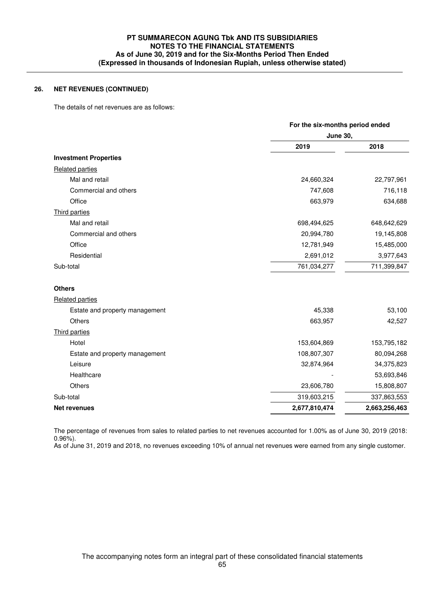## **26. NET REVENUES (CONTINUED)**

The details of net revenues are as follows:

|                                | For the six-months period ended |                 |  |  |
|--------------------------------|---------------------------------|-----------------|--|--|
|                                |                                 | <b>June 30,</b> |  |  |
|                                | 2019                            | 2018            |  |  |
| <b>Investment Properties</b>   |                                 |                 |  |  |
| <b>Related parties</b>         |                                 |                 |  |  |
| Mal and retail                 | 24,660,324                      | 22,797,961      |  |  |
| Commercial and others          | 747,608                         | 716,118         |  |  |
| Office                         | 663,979                         | 634,688         |  |  |
| Third parties                  |                                 |                 |  |  |
| Mal and retail                 | 698,494,625                     | 648,642,629     |  |  |
| Commercial and others          | 20,994,780                      | 19,145,808      |  |  |
| Office                         | 12,781,949                      | 15,485,000      |  |  |
| Residential                    | 2,691,012                       | 3,977,643       |  |  |
| Sub-total                      | 761,034,277                     | 711,399,847     |  |  |
| <b>Others</b>                  |                                 |                 |  |  |
| <b>Related parties</b>         |                                 |                 |  |  |
| Estate and property management | 45,338                          | 53,100          |  |  |
| Others                         | 663,957                         | 42,527          |  |  |
| Third parties                  |                                 |                 |  |  |
| Hotel                          | 153,604,869                     | 153,795,182     |  |  |
| Estate and property management | 108,807,307                     | 80,094,268      |  |  |
| Leisure                        | 32,874,964                      | 34,375,823      |  |  |
| Healthcare                     |                                 | 53,693,846      |  |  |
| Others                         | 23,606,780                      | 15,808,807      |  |  |
| Sub-total                      | 319,603,215                     | 337,863,553     |  |  |
| <b>Net revenues</b>            | 2,677,810,474                   | 2,663,256,463   |  |  |

 The percentage of revenues from sales to related parties to net revenues accounted for 1.00% as of June 30, 2019 (2018:  $0.96\%$ ).

As of June 31, 2019 and 2018, no revenues exceeding 10% of annual net revenues were earned from any single customer.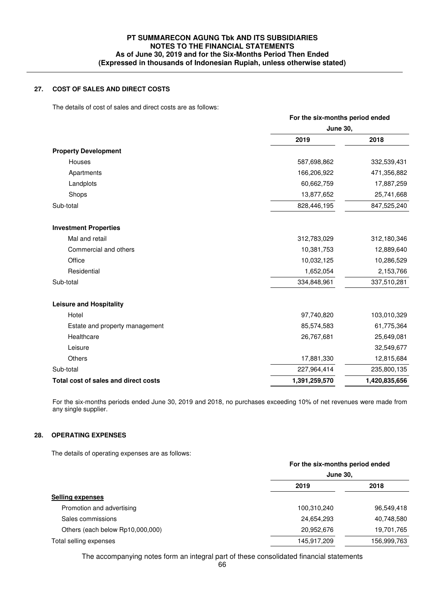## **27. COST OF SALES AND DIRECT COSTS**

The details of cost of sales and direct costs are as follows:

|                                      | For the six-months period ended<br><b>June 30,</b> |               |  |
|--------------------------------------|----------------------------------------------------|---------------|--|
|                                      |                                                    |               |  |
|                                      | 2019                                               | 2018          |  |
| <b>Property Development</b>          |                                                    |               |  |
| Houses                               | 587,698,862                                        | 332,539,431   |  |
| Apartments                           | 166,206,922                                        | 471,356,882   |  |
| Landplots                            | 60,662,759                                         | 17,887,259    |  |
| Shops                                | 13,877,652                                         | 25,741,668    |  |
| Sub-total                            | 828,446,195                                        | 847,525,240   |  |
| <b>Investment Properties</b>         |                                                    |               |  |
| Mal and retail                       | 312,783,029                                        | 312,180,346   |  |
| Commercial and others                | 10,381,753                                         | 12,889,640    |  |
| Office                               | 10,032,125                                         | 10,286,529    |  |
| Residential                          | 1,652,054                                          | 2,153,766     |  |
| Sub-total                            | 334,848,961                                        | 337,510,281   |  |
| <b>Leisure and Hospitality</b>       |                                                    |               |  |
| Hotel                                | 97,740,820                                         | 103,010,329   |  |
| Estate and property management       | 85,574,583                                         | 61,775,364    |  |
| Healthcare                           | 26,767,681                                         | 25,649,081    |  |
| Leisure                              |                                                    | 32,549,677    |  |
| Others                               | 17,881,330                                         | 12,815,684    |  |
| Sub-total                            | 227,964,414                                        | 235,800,135   |  |
| Total cost of sales and direct costs | 1,391,259,570                                      | 1,420,835,656 |  |

 For the six-months periods ended June 30, 2019 and 2018, no purchases exceeding 10% of net revenues were made from any single supplier.

## **28. OPERATING EXPENSES**

The details of operating expenses are as follows:

|                                  | For the six-months period ended<br><b>June 30,</b> |             |  |
|----------------------------------|----------------------------------------------------|-------------|--|
|                                  |                                                    |             |  |
|                                  | 2019                                               | 2018        |  |
| <b>Selling expenses</b>          |                                                    |             |  |
| Promotion and advertising        | 100,310,240                                        | 96,549,418  |  |
| Sales commissions                | 24,654,293                                         | 40,748,580  |  |
| Others (each below Rp10,000,000) | 20,952,676                                         | 19,701,765  |  |
| Total selling expenses           | 145,917,209                                        | 156,999,763 |  |
|                                  |                                                    |             |  |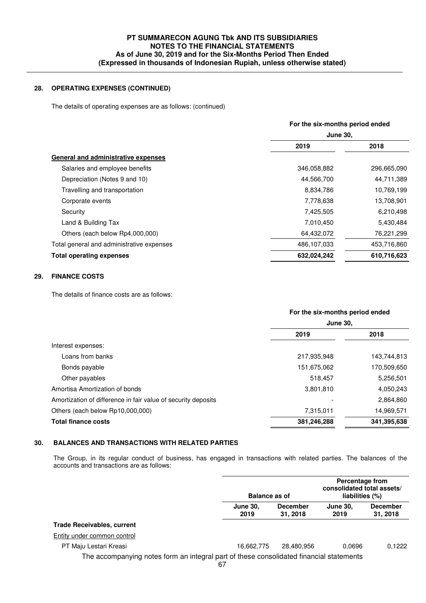## **28. OPERATING EXPENSES (CONTINUED)**

The details of operating expenses are as follows: (continued)

|                                           |                 | For the six-months period ended |  |  |
|-------------------------------------------|-----------------|---------------------------------|--|--|
|                                           | <b>June 30.</b> |                                 |  |  |
|                                           | 2019            | 2018                            |  |  |
| General and administrative expenses       |                 |                                 |  |  |
| Salaries and employee benefits            | 346,058,882     | 296,665,090                     |  |  |
| Depreciation (Notes 9 and 10)             | 44,566,700      | 44,711,389                      |  |  |
| Travelling and transportation             | 8,834,786       | 10,769,199                      |  |  |
| Corporate events                          | 7,778,638       | 13,708,901                      |  |  |
| Security                                  | 7,425,505       | 6,210,498                       |  |  |
| Land & Building Tax                       | 7,010,450       | 5,430,484                       |  |  |
| Others (each below Rp4,000,000)           | 64,432,072      | 76,221,299                      |  |  |
| Total general and administrative expenses | 486,107,033     | 453,716,860                     |  |  |
| <b>Total operating expenses</b>           | 632,024,242     | 610,716,623                     |  |  |
|                                           |                 |                                 |  |  |

## **29. FINANCE COSTS**

The details of finance costs are as follows:

|                                                               | For the six-months period ended |             |  |
|---------------------------------------------------------------|---------------------------------|-------------|--|
|                                                               | <b>June 30.</b>                 |             |  |
|                                                               | 2019                            | 2018        |  |
| Interest expenses:                                            |                                 |             |  |
| Loans from banks                                              | 217,935,948                     | 143,744,813 |  |
| Bonds payable                                                 | 151,675,062                     | 170,509,650 |  |
| Other payables                                                | 518,457                         | 5,256,501   |  |
| Amortisa Amortization of bonds                                | 3,801,810                       | 4,050,243   |  |
| Amortization of difference in fair value of security deposits |                                 | 2,864,860   |  |
| Others (each below Rp10,000,000)                              | 7,315,011                       | 14,969,571  |  |
| <b>Total finance costs</b>                                    | 381,246,288                     | 341,395,638 |  |
|                                                               |                                 |             |  |

## **30. BALANCES AND TRANSACTIONS WITH RELATED PARTIES**

The Group, in its regular conduct of business, has engaged in transactions with related parties. The balances of the accounts and transactions are as follows:

|                                                                                         | <b>Balance as of</b>    |                             | Percentage from<br>consolidated total assets/<br>liabilities (%) |                             |
|-----------------------------------------------------------------------------------------|-------------------------|-----------------------------|------------------------------------------------------------------|-----------------------------|
|                                                                                         | <b>June 30,</b><br>2019 | <b>December</b><br>31, 2018 | <b>June 30.</b><br>2019                                          | <b>December</b><br>31, 2018 |
| <b>Trade Receivables, current</b>                                                       |                         |                             |                                                                  |                             |
| Entity under common control                                                             |                         |                             |                                                                  |                             |
| PT Maju Lestari Kreasi                                                                  | 16.662.775              | 28,480,956                  | 0.0696                                                           | 0,1222                      |
| The accompanying notes form an integral part of these consolidated financial statements | 67                      |                             |                                                                  |                             |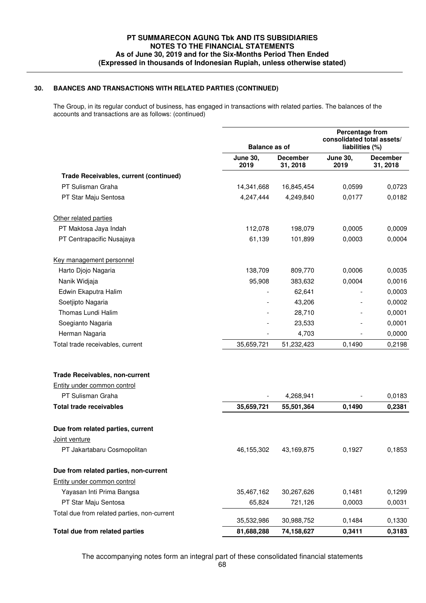## **30. BAANCES AND TRANSACTIONS WITH RELATED PARTIES (CONTINUED)**

The Group, in its regular conduct of business, has engaged in transactions with related parties. The balances of the accounts and transactions are as follows: (continued)

|                                             | <b>Balance as of</b>    |                             | Percentage from<br>consolidated total assets/<br>liabilities (%) |                             |
|---------------------------------------------|-------------------------|-----------------------------|------------------------------------------------------------------|-----------------------------|
|                                             | <b>June 30,</b><br>2019 | <b>December</b><br>31, 2018 | <b>June 30,</b><br>2019                                          | <b>December</b><br>31, 2018 |
| Trade Receivables, current (continued)      |                         |                             |                                                                  |                             |
| PT Sulisman Graha                           | 14,341,668              | 16,845,454                  | 0,0599                                                           | 0,0723                      |
| PT Star Maju Sentosa                        | 4,247,444               | 4,249,840                   | 0,0177                                                           | 0,0182                      |
| Other related parties                       |                         |                             |                                                                  |                             |
| PT Maktosa Jaya Indah                       | 112,078                 | 198,079                     | 0,0005                                                           | 0,0009                      |
| PT Centrapacific Nusajaya                   | 61,139                  | 101,899                     | 0,0003                                                           | 0,0004                      |
| Key management personnel                    |                         |                             |                                                                  |                             |
| Harto Djojo Nagaria                         | 138,709                 | 809,770                     | 0,0006                                                           | 0,0035                      |
| Nanik Widjaja                               | 95,908                  | 383,632                     | 0,0004                                                           | 0,0016                      |
| Edwin Ekaputra Halim                        |                         | 62,641                      |                                                                  | 0,0003                      |
| Soetjipto Nagaria                           |                         | 43,206                      |                                                                  | 0,0002                      |
| Thomas Lundi Halim                          |                         | 28,710                      |                                                                  | 0,0001                      |
| Soegianto Nagaria                           |                         | 23,533                      |                                                                  | 0,0001                      |
| Herman Nagaria                              |                         | 4,703                       |                                                                  | 0,0000                      |
| Total trade receivables, current            | 35,659,721              | 51,232,423                  | 0,1490                                                           | 0,2198                      |
| <b>Trade Receivables, non-current</b>       |                         |                             |                                                                  |                             |
| Entity under common control                 |                         |                             |                                                                  |                             |
| PT Sulisman Graha                           |                         | 4,268,941                   |                                                                  | 0,0183                      |
| <b>Total trade receivables</b>              | 35,659,721              | 55,501,364                  | 0,1490                                                           | 0,2381                      |
| Due from related parties, current           |                         |                             |                                                                  |                             |
| Joint venture                               |                         |                             |                                                                  |                             |
| PT Jakartabaru Cosmopolitan                 | 46,155,302              | 43,169,875                  | 0,1927                                                           | 0,1853                      |
| Due from related parties, non-current       |                         |                             |                                                                  |                             |
| Entity under common control                 |                         |                             |                                                                  |                             |
| Yayasan Inti Prima Bangsa                   | 35,467,162              | 30,267,626                  | 0,1481                                                           | 0,1299                      |
| PT Star Maju Sentosa                        | 65,824                  | 721,126                     | 0,0003                                                           | 0,0031                      |
| Total due from related parties, non-current | 35,532,986              | 30,988,752                  | 0,1484                                                           | 0,1330                      |
| Total due from related parties              | 81,688,288              | 74,158,627                  | 0,3411                                                           | 0,3183                      |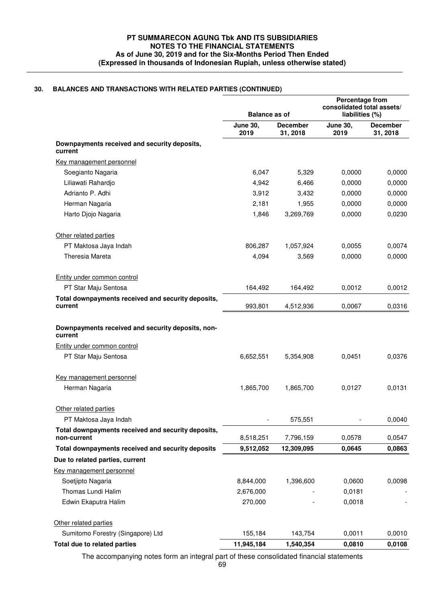## **30. BALANCES AND TRANSACTIONS WITH RELATED PARTIES (CONTINUED)**

|                                                                   | <b>Balance as of</b>    |                             | Percentage from<br>consolidated total assets/<br>liabilities (%) |                             |
|-------------------------------------------------------------------|-------------------------|-----------------------------|------------------------------------------------------------------|-----------------------------|
|                                                                   | <b>June 30,</b><br>2019 | <b>December</b><br>31, 2018 | <b>June 30,</b><br>2019                                          | <b>December</b><br>31, 2018 |
| Downpayments received and security deposits,<br>current           |                         |                             |                                                                  |                             |
| Key management personnel                                          |                         |                             |                                                                  |                             |
| Soegianto Nagaria                                                 | 6,047                   | 5,329                       | 0,0000                                                           | 0,0000                      |
| Liliawati Rahardjo                                                | 4,942                   | 6,466                       | 0,0000                                                           | 0,0000                      |
| Adrianto P. Adhi                                                  | 3,912                   | 3,432                       | 0,0000                                                           | 0,0000                      |
| Herman Nagaria                                                    | 2,181                   | 1,955                       | 0,0000                                                           | 0,0000                      |
| Harto Djojo Nagaria                                               | 1,846                   | 3,269,769                   | 0,0000                                                           | 0,0230                      |
| Other related parties                                             |                         |                             |                                                                  |                             |
| PT Maktosa Jaya Indah                                             | 806,287                 | 1,057,924                   | 0,0055                                                           | 0,0074                      |
| Theresia Mareta                                                   | 4,094                   | 3,569                       | 0,0000                                                           | 0,0000                      |
| Entity under common control                                       |                         |                             |                                                                  |                             |
| PT Star Maju Sentosa                                              | 164,492                 | 164,492                     | 0,0012                                                           | 0,0012                      |
| Total downpayments received and security deposits,<br>current     | 993,801                 | 4,512,936                   | 0,0067                                                           | 0,0316                      |
| current<br>Entity under common control                            |                         |                             |                                                                  |                             |
| PT Star Maju Sentosa                                              | 6,652,551               | 5,354,908                   | 0,0451                                                           | 0,0376                      |
| Key management personnel                                          |                         |                             |                                                                  |                             |
| Herman Nagaria                                                    | 1,865,700               | 1,865,700                   | 0,0127                                                           | 0,0131                      |
| Other related parties                                             |                         |                             |                                                                  |                             |
| PT Maktosa Jaya Indah                                             |                         | 575,551                     |                                                                  | 0,0040                      |
| Total downpayments received and security deposits,<br>non-current | 8,518,251               | 7,796,159                   | 0,0578                                                           | 0,0547                      |
| Total downpayments received and security deposits                 | 9,512,052               | 12,309,095                  | 0,0645                                                           | 0,0863                      |
| Due to related parties, current                                   |                         |                             |                                                                  |                             |
| Key management personnel                                          |                         |                             |                                                                  |                             |
| Soetjipto Nagaria                                                 | 8,844,000               | 1,396,600                   | 0,0600                                                           | 0,0098                      |
| Thomas Lundi Halim                                                | 2,676,000               |                             | 0,0181                                                           |                             |
| Edwin Ekaputra Halim                                              | 270,000                 |                             | 0,0018                                                           |                             |
| Other related parties                                             |                         |                             |                                                                  |                             |
| Sumitomo Forestry (Singapore) Ltd                                 | 155,184                 | 143,754                     | 0,0011                                                           | 0,0010                      |
| Total due to related parties                                      | 11,945,184              | 1,540,354                   | 0,0810                                                           | 0,0108                      |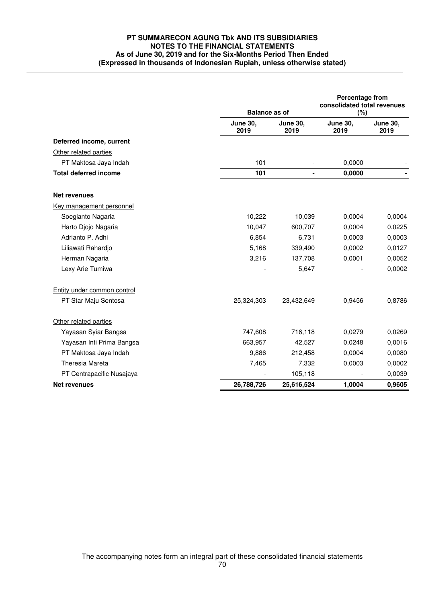|                              | <b>Balance as of</b>    |                         | Percentage from<br>consolidated total revenues<br>(%) |                         |
|------------------------------|-------------------------|-------------------------|-------------------------------------------------------|-------------------------|
|                              | <b>June 30,</b><br>2019 | <b>June 30,</b><br>2019 | <b>June 30,</b><br>2019                               | <b>June 30,</b><br>2019 |
| Deferred income, current     |                         |                         |                                                       |                         |
| Other related parties        |                         |                         |                                                       |                         |
| PT Maktosa Jaya Indah        | 101                     |                         | 0,0000                                                |                         |
| <b>Total deferred income</b> | 101                     | $\blacksquare$          | 0,0000                                                |                         |
| <b>Net revenues</b>          |                         |                         |                                                       |                         |
| Key management personnel     |                         |                         |                                                       |                         |
| Soegianto Nagaria            | 10,222                  | 10,039                  | 0,0004                                                | 0,0004                  |
| Harto Djojo Nagaria          | 10,047                  | 600,707                 | 0,0004                                                | 0,0225                  |
| Adrianto P. Adhi             | 6,854                   | 6,731                   | 0,0003                                                | 0,0003                  |
| Liliawati Rahardjo           | 5,168                   | 339,490                 | 0,0002                                                | 0,0127                  |
| Herman Nagaria               | 3,216                   | 137,708                 | 0,0001                                                | 0,0052                  |
| Lexy Arie Tumiwa             |                         | 5,647                   |                                                       | 0,0002                  |
| Entity under common control  |                         |                         |                                                       |                         |
| PT Star Maju Sentosa         | 25,324,303              | 23,432,649              | 0,9456                                                | 0,8786                  |
| Other related parties        |                         |                         |                                                       |                         |
| Yayasan Syiar Bangsa         | 747,608                 | 716,118                 | 0,0279                                                | 0,0269                  |
| Yayasan Inti Prima Bangsa    | 663,957                 | 42,527                  | 0,0248                                                | 0,0016                  |
| PT Maktosa Jaya Indah        | 9,886                   | 212,458                 | 0,0004                                                | 0,0080                  |
| Theresia Mareta              | 7,465                   | 7,332                   | 0,0003                                                | 0,0002                  |
| PT Centrapacific Nusajaya    |                         | 105,118                 |                                                       | 0,0039                  |
| <b>Net revenues</b>          | 26,788,726              | 25,616,524              | 1,0004                                                | 0,9605                  |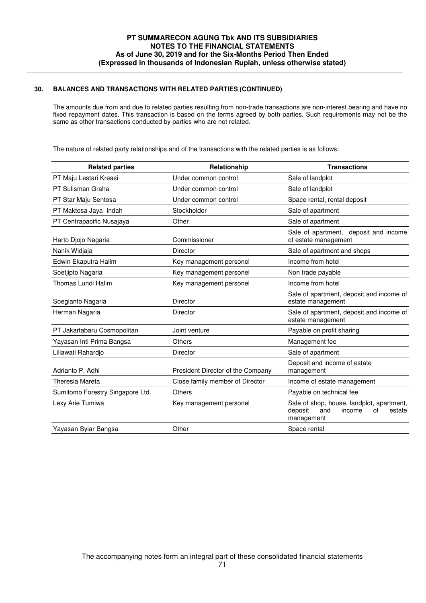# **30. BALANCES AND TRANSACTIONS WITH RELATED PARTIES (CONTINUED)**

 The amounts due from and due to related parties resulting from non-trade transactions are non-interest bearing and have no fixed repayment dates. This transaction is based on the terms agreed by both parties. Such requirements may not be the same as other transactions conducted by parties who are not related.

The nature of related party relationships and of the transactions with the related parties is as follows:

| <b>Related parties</b>           | Relationship                      | <b>Transactions</b>                                                                                 |  |  |
|----------------------------------|-----------------------------------|-----------------------------------------------------------------------------------------------------|--|--|
| PT Maju Lestari Kreasi           | Under common control              | Sale of landplot                                                                                    |  |  |
| PT Sulisman Graha                | Under common control              | Sale of landplot                                                                                    |  |  |
| PT Star Maju Sentosa             | Under common control              | Space rental, rental deposit                                                                        |  |  |
| PT Maktosa Jaya Indah            | Stockholder                       | Sale of apartment                                                                                   |  |  |
| PT Centrapacific Nusajaya        | Other                             | Sale of apartment                                                                                   |  |  |
| Harto Djojo Nagaria              | Commissioner                      | Sale of apartment, deposit and income<br>of estate management                                       |  |  |
| Nanik Widjaja                    | <b>Director</b>                   | Sale of apartment and shops                                                                         |  |  |
| Edwin Ekaputra Halim             | Key management personel           | Income from hotel                                                                                   |  |  |
| Soetjipto Nagaria                | Key management personel           | Non trade payable                                                                                   |  |  |
| Thomas Lundi Halim               | Key management personel           | Income from hotel                                                                                   |  |  |
| Soegianto Nagaria                | <b>Director</b>                   | Sale of apartment, deposit and income of<br>estate management                                       |  |  |
| Herman Nagaria                   | <b>Director</b>                   | Sale of apartment, deposit and income of<br>estate management                                       |  |  |
| PT Jakartabaru Cosmopolitan      | Joint venture                     | Payable on profit sharing                                                                           |  |  |
| Yayasan Inti Prima Bangsa        | Others                            | Management fee                                                                                      |  |  |
| Liliawati Rahardjo               | Director                          | Sale of apartment                                                                                   |  |  |
| Adrianto P. Adhi                 | President Director of the Company | Deposit and income of estate<br>management                                                          |  |  |
| <b>Theresia Mareta</b>           | Close family member of Director   | Income of estate management                                                                         |  |  |
| Sumitomo Forestry Singapore Ltd. | Others                            | Payable on technical fee                                                                            |  |  |
| Lexy Arie Tumiwa                 | Key management personel           | Sale of shop, house, landplot, apartment,<br>deposit<br>and<br>income<br>οf<br>estate<br>management |  |  |
| Yayasan Syiar Bangsa             | Other                             | Space rental                                                                                        |  |  |
|                                  |                                   |                                                                                                     |  |  |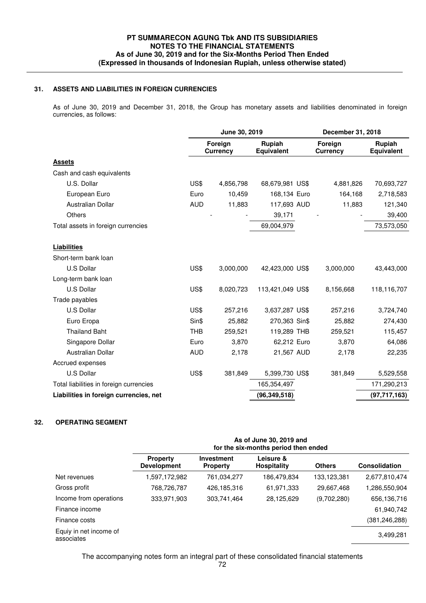### **31. ASSETS AND LIABILITIES IN FOREIGN CURRENCIES**

 As of June 30, 2019 and December 31, 2018, the Group has monetary assets and liabilities denominated in foreign currencies, as follows:

|                                         | June 30, 2019 |                            | December 31, 2018           |  |                            |                             |
|-----------------------------------------|---------------|----------------------------|-----------------------------|--|----------------------------|-----------------------------|
|                                         |               | Foreign<br><b>Currency</b> | Rupiah<br><b>Equivalent</b> |  | Foreign<br><b>Currency</b> | Rupiah<br><b>Equivalent</b> |
| <b>Assets</b>                           |               |                            |                             |  |                            |                             |
| Cash and cash equivalents               |               |                            |                             |  |                            |                             |
| U.S. Dollar                             | US\$          | 4,856,798                  | 68,679,981 US\$             |  | 4,881,826                  | 70,693,727                  |
| European Euro                           | Euro          | 10,459                     | 168,134 Euro                |  | 164,168                    | 2,718,583                   |
| <b>Australian Dollar</b>                | <b>AUD</b>    | 11,883                     | 117,693 AUD                 |  | 11,883                     | 121,340                     |
| <b>Others</b>                           |               |                            | 39,171                      |  |                            | 39,400                      |
| Total assets in foreign currencies      |               |                            | 69,004,979                  |  |                            | 73,573,050                  |
| <b>Liabilities</b>                      |               |                            |                             |  |                            |                             |
| Short-term bank loan                    |               |                            |                             |  |                            |                             |
| U.S Dollar                              | US\$          | 3,000,000                  | 42,423,000 US\$             |  | 3,000,000                  | 43,443,000                  |
| Long-term bank loan                     |               |                            |                             |  |                            |                             |
| U.S Dollar                              | US\$          | 8,020,723                  | 113,421,049 US\$            |  | 8,156,668                  | 118,116,707                 |
| Trade payables                          |               |                            |                             |  |                            |                             |
| U.S Dollar                              | US\$          | 257,216                    | 3,637,287 US\$              |  | 257,216                    | 3,724,740                   |
| Euro Eropa                              | Sin\$         | 25,882                     | 270,363 Sin\$               |  | 25,882                     | 274,430                     |
| <b>Thailand Baht</b>                    | <b>THB</b>    | 259,521                    | 119,289 THB                 |  | 259,521                    | 115,457                     |
| Singapore Dollar                        | Euro          | 3,870                      | 62,212 Euro                 |  | 3,870                      | 64,086                      |
| Australian Dollar                       | <b>AUD</b>    | 2,178                      | 21,567 AUD                  |  | 2,178                      | 22,235                      |
| Accrued expenses                        |               |                            |                             |  |                            |                             |
| U.S Dollar                              | US\$          | 381,849                    | 5,399,730 US\$              |  | 381,849                    | 5,529,558                   |
| Total liabilities in foreign currencies |               |                            | 165,354,497                 |  |                            | 171,290,213                 |
| Liabilities in foreign currencies, net  |               |                            | (96, 349, 518)              |  |                            | (97, 717, 163)              |

## **32. OPERATING SEGMENT**

|                                      | As of June 30, 2019 and<br>for the six-months period then ended |                                      |                                 |               |                      |
|--------------------------------------|-----------------------------------------------------------------|--------------------------------------|---------------------------------|---------------|----------------------|
|                                      | <b>Property</b><br><b>Development</b>                           | <b>Investment</b><br><b>Property</b> | Leisure &<br><b>Hospitality</b> | <b>Others</b> | <b>Consolidation</b> |
| Net revenues                         | 1,597,172,982                                                   | 761,034,277                          | 186,479,834                     | 133,123,381   | 2,677,810,474        |
| Gross profit                         | 768,726,787                                                     | 426,185,316                          | 61,971,333                      | 29,667,468    | 1,286,550,904        |
| Income from operations               | 333,971,903                                                     | 303,741,464                          | 28,125,629                      | (9,702,280)   | 656,136,716          |
| Finance income                       |                                                                 |                                      |                                 |               | 61,940,742           |
| Finance costs                        |                                                                 |                                      |                                 |               | (381, 246, 288)      |
| Equiy in net income of<br>associates |                                                                 |                                      |                                 |               | 3,499,281            |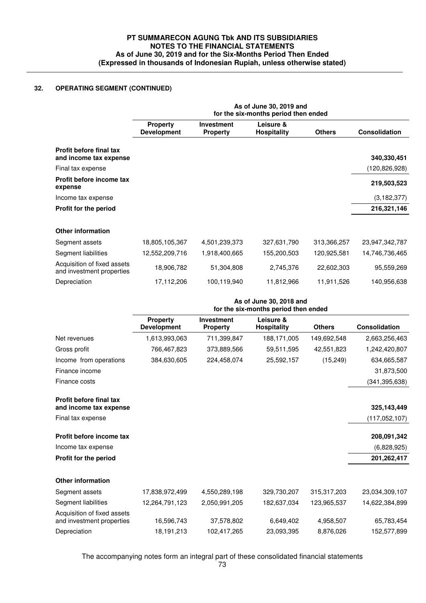# **PT SUMMARECON AGUNG Tbk AND ITS SUBSIDIARIES NOTES TO THE FINANCIAL STATEMENTS As of June 30, 2019 and for the Six-Months Period Then Ended (Expressed in thousands of Indonesian Rupiah, unless otherwise stated)**

# **32. OPERATING SEGMENT (CONTINUED)**

|                                                          | As of June 30, 2019 and<br>for the six-months period then ended |                               |                                 |               |                 |  |
|----------------------------------------------------------|-----------------------------------------------------------------|-------------------------------|---------------------------------|---------------|-----------------|--|
|                                                          | <b>Property</b><br><b>Development</b>                           | Investment<br><b>Property</b> | Leisure &<br><b>Hospitality</b> | <b>Others</b> | Consolidation   |  |
| Profit before final tax<br>and income tax expense        |                                                                 |                               |                                 |               | 340,330,451     |  |
| Final tax expense                                        |                                                                 |                               |                                 |               | (120, 826, 928) |  |
| Profit before income tax<br>expense                      |                                                                 |                               |                                 |               | 219,503,523     |  |
| Income tax expense                                       |                                                                 |                               |                                 |               | (3, 182, 377)   |  |
| Profit for the period                                    |                                                                 |                               |                                 |               | 216,321,146     |  |
| <b>Other information</b>                                 |                                                                 |                               |                                 |               |                 |  |
| Segment assets                                           | 18,805,105,367                                                  | 4,501,239,373                 | 327,631,790                     | 313,366,257   | 23,947,342,787  |  |
| Segment liabilities                                      | 12,552,209,716                                                  | 1,918,400,665                 | 155,200,503                     | 120,925,581   | 14,746,736,465  |  |
| Acquisition of fixed assets<br>and investment properties | 18,906,782                                                      | 51,304,808                    | 2,745,376                       | 22,602,303    | 95,559,269      |  |
| Depreciation                                             | 17,112,206                                                      | 100,119,940                   | 11,812,966                      | 11,911,526    | 140,956,638     |  |
|                                                          | As of June 30, 2018 and<br>for the six-months period then ended |                               |                                 |               |                 |  |
|                                                          | <b>Property</b><br><b>Development</b>                           | Investment<br><b>Property</b> | Leisure &<br><b>Hospitality</b> | <b>Others</b> | Consolidation   |  |
| Net revenues                                             | 1,613,993,063                                                   | 711,399,847                   | 188,171,005                     | 149,692,548   | 2,663,256,463   |  |
| Gross profit                                             | 766,467,823                                                     | 373,889,566                   | 59,511,595                      | 42,551,823    | 1,242,420,807   |  |
| Income from operations                                   | 384,630,605                                                     | 224,458,074                   | 25,592,157                      | (15, 249)     | 634,665,587     |  |
| Finance income                                           |                                                                 |                               |                                 |               | 31,873,500      |  |
| Finance costs                                            |                                                                 |                               |                                 |               | (341, 395, 638) |  |
| Profit before final tax<br>and income tax expense        |                                                                 |                               |                                 |               | 325, 143, 449   |  |
| Final tax expense                                        |                                                                 |                               |                                 |               | (117,052,107)   |  |
| Profit before income tax                                 |                                                                 |                               |                                 |               | 208,091,342     |  |
| Income tax expense                                       |                                                                 |                               |                                 |               | (6,828,925)     |  |
| Profit for the period                                    |                                                                 |                               |                                 |               | 201, 262, 417   |  |
| <b>Other information</b>                                 |                                                                 |                               |                                 |               |                 |  |
| Segment assets                                           | 17,838,972,499                                                  | 4,550,289,198                 | 329,730,207                     | 315,317,203   | 23,034,309,107  |  |
| Segment liabilities                                      | 12,264,791,123                                                  | 2,050,991,205                 | 182,637,034                     | 123,965,537   | 14,622,384,899  |  |
| Acquisition of fixed assets<br>and investment properties | 16,596,743                                                      |                               |                                 |               |                 |  |
|                                                          |                                                                 | 37,578,802                    | 6,649,402                       | 4,958,507     | 65,783,454      |  |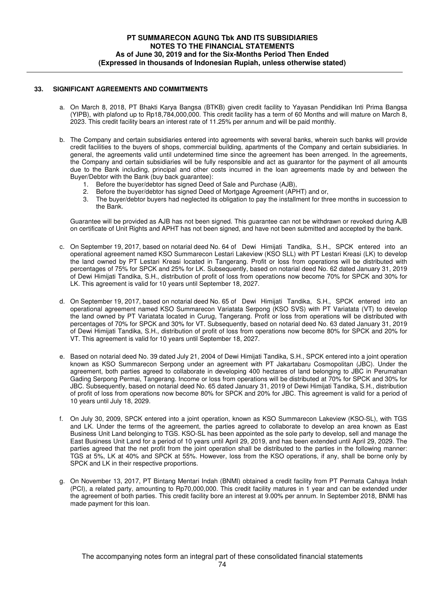#### **33. SIGNIFICANT AGREEMENTS AND COMMITMENTS**

- a. On March 8, 2018, PT Bhakti Karya Bangsa (BTKB) given credit facility to Yayasan Pendidikan Inti Prima Bangsa (YIPB), with plafond up to Rp18,784,000,000. This credit facility has a term of 60 Months and will mature on March 8, 2023. This credit facility bears an interest rate of 11.25% per annum and will be paid monthly.
- b. The Company and certain subsidiaries entered into agreements with several banks, wherein such banks will provide credit facilities to the buyers of shops, commercial building, apartments of the Company and certain subsidiaries. In general, the agreements valid until undetermined time since the agreement has been arrenged. In the agreements, the Company and certain subsidiaries will be fully responsible and act as guarantor for the payment of all amounts due to the Bank including, principal and other costs incurred in the loan agreements made by and between the Buyer/Debtor with the Bank (buy back guarantee):
	- 1. Before the buyer/debtor has signed Deed of Sale and Purchase (AJB),
	- 2. Before the buyer/debtor has signed Deed of Mortgage Agreement (APHT) and or,
	- 3. The buyer/debtor buyers had neglected its obligation to pay the installment for three months in succession to the Bank.

Guarantee will be provided as AJB has not been signed. This guarantee can not be withdrawn or revoked during AJB on certificate of Unit Rights and APHT has not been signed, and have not been submitted and accepted by the bank.

- c. On September 19, 2017, based on notarial deed No. 64 of Dewi Himijati Tandika, S.H., SPCK entered into an operational agreement named KSO Summarecon Lestari Lakeview (KSO SLL) with PT Lestari Kreasi (LK) to develop the land owned by PT Lestari Kreasi located in Tangerang. Profit or loss from operations will be distributed with percentages of 75% for SPCK and 25% for LK. Subsequently, based on notarial deed No. 62 dated January 31, 2019 of Dewi Himijati Tandika, S.H., distribution of profit of loss from operations now become 70% for SPCK and 30% for LK. This agreement is valid for 10 years until September 18, 2027.
- d. On September 19, 2017, based on notarial deed No. 65 of Dewi Himijati Tandika, S.H., SPCK entered into an operational agreement named KSO Summarecon Variatata Serpong (KSO SVS) with PT Variatata (VT) to develop the land owned by PT Variatata located in Curug, Tangerang. Profit or loss from operations will be distributed with percentages of 70% for SPCK and 30% for VT. Subsequently, based on notarial deed No. 63 dated January 31, 2019 of Dewi Himijati Tandika, S.H., distribution of profit of loss from operations now become 80% for SPCK and 20% for VT. This agreement is valid for 10 years until September 18, 2027.
	- e. Based on notarial deed No. 39 dated July 21, 2004 of Dewi Himijati Tandika, S.H., SPCK entered into a joint operation known as KSO Summarecon Serpong under an agreement with PT Jakartabaru Cosmopolitan (JBC). Under the agreement, both parties agreed to collaborate in developing 400 hectares of land belonging to JBC in Perumahan Gading Serpong Permai, Tangerang. Income or loss from operations will be distributed at 70% for SPCK and 30% for JBC. Subsequently, based on notarial deed No. 65 dated January 31, 2019 of Dewi Himijati Tandika, S.H., distribution of profit of loss from operations now become 80% for SPCK and 20% for JBC. This agreement is valid for a period of 10 years until July 18, 2029.
	- f. On July 30, 2009, SPCK entered into a joint operation, known as KSO Summarecon Lakeview (KSO-SL), with TGS and LK. Under the terms of the agreement, the parties agreed to collaborate to develop an area known as East Business Unit Land belonging to TGS. KSO-SL has been appointed as the sole party to develop, sell and manage the East Business Unit Land for a period of 10 years until April 29, 2019, and has been extended until April 29, 2029. The parties agreed that the net profit from the joint operation shall be distributed to the parties in the following manner: TGS at 5%, LK at 40% and SPCK at 55%. However, loss from the KSO operations, if any, shall be borne only by SPCK and LK in their respective proportions.
	- g. On November 13, 2017, PT Bintang Mentari Indah (BNMI) obtained a credit facility from PT Permata Cahaya Indah (PCI), a related party, amounting to Rp70,000,000. This credit facility matures in 1 year and can be extended under the agreement of both parties. This credit facility bore an interest at 9.00% per annum. In September 2018, BNMI has made payment for this loan.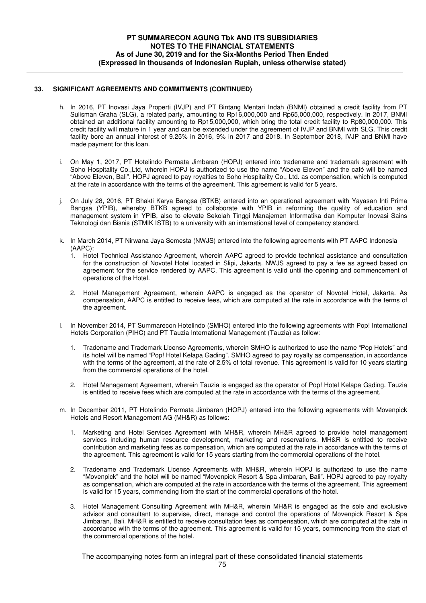#### **33. SIGNIFICANT AGREEMENTS AND COMMITMENTS (CONTINUED)**

- h. In 2016, PT Inovasi Jaya Properti (IVJP) and PT Bintang Mentari Indah (BNMI) obtained a credit facility from PT Sulisman Graha (SLG), a related party, amounting to Rp16,000,000 and Rp65,000,000, respectively. In 2017, BNMI obtained an additional facility amounting to Rp15,000,000, which bring the total credit facility to Rp80,000,000. This credit facility will mature in 1 year and can be extended under the agreement of IVJP and BNMI with SLG. This credit facility bore an annual interest of 9.25% in 2016, 9% in 2017 and 2018. In September 2018, IVJP and BNMI have made payment for this loan.
- i. On May 1, 2017, PT Hotelindo Permata Jimbaran (HOPJ) entered into tradename and trademark agreement with Soho Hospitality Co.,Ltd, wherein HOPJ is authorized to use the name "Above Eleven" and the café will be named "Above Eleven, Bali". HOPJ agreed to pay royalties to Soho Hospitality Co., Ltd. as compensation, which is computed at the rate in accordance with the terms of the agreement. This agreement is valid for 5 years.
- j. On July 28, 2016, PT Bhakti Karya Bangsa (BTKB) entered into an operational agreement with Yayasan Inti Prima Bangsa (YPIB), whereby BTKB agreed to collaborate with YPIB in reforming the quality of education and management system in YPIB, also to elevate Sekolah Tinggi Manajemen Informatika dan Komputer Inovasi Sains Teknologi dan Bisnis (STMIK ISTB) to a university with an international level of competency standard.
- k. In March 2014, PT Nirwana Jaya Semesta (NWJS) entered into the following agreements with PT AAPC Indonesia (AAPC):
	- 1. Hotel Technical Assistance Agreement, wherein AAPC agreed to provide technical assistance and consultation for the construction of Novotel Hotel located in Slipi, Jakarta. NWJS agreed to pay a fee as agreed based on agreement for the service rendered by AAPC. This agreement is valid until the opening and commencement of operations of the Hotel.
	- 2. Hotel Management Agreement, wherein AAPC is engaged as the operator of Novotel Hotel, Jakarta. As compensation, AAPC is entitled to receive fees, which are computed at the rate in accordance with the terms of the agreement.
- l. In November 2014, PT Summarecon Hotelindo (SMHO) entered into the following agreements with Pop! International Hotels Corporation (PIHC) and PT Tauzia International Management (Tauzia) as follow:
	- 1. Tradename and Trademark License Agreements, wherein SMHO is authorized to use the name "Pop Hotels" and its hotel will be named "Pop! Hotel Kelapa Gading". SMHO agreed to pay royalty as compensation, in accordance with the terms of the agreement, at the rate of 2.5% of total revenue. This agreement is valid for 10 years starting from the commercial operations of the hotel.
	- 2. Hotel Management Agreement, wherein Tauzia is engaged as the operator of Pop! Hotel Kelapa Gading. Tauzia is entitled to receive fees which are computed at the rate in accordance with the terms of the agreement.
- m. In December 2011, PT Hotelindo Permata Jimbaran (HOPJ) entered into the following agreements with Movenpick Hotels and Resort Management AG (MH&R) as follows:
	- 1. Marketing and Hotel Services Agreement with MH&R, wherein MH&R agreed to provide hotel management services including human resource development, marketing and reservations. MH&R is entitled to receive contribution and marketing fees as compensation, which are computed at the rate in accordance with the terms of the agreement. This agreement is valid for 15 years starting from the commercial operations of the hotel.
	- 2. Tradename and Trademark License Agreements with MH&R, wherein HOPJ is authorized to use the name "Movenpick" and the hotel will be named "Movenpick Resort & Spa Jimbaran, Bali". HOPJ agreed to pay royalty as compensation, which are computed at the rate in accordance with the terms of the agreement. This agreement is valid for 15 years, commencing from the start of the commercial operations of the hotel.
	- 3. Hotel Management Consulting Agreement with MH&R, wherein MH&R is engaged as the sole and exclusive advisor and consultant to supervise, direct, manage and control the operations of Movenpick Resort & Spa Jimbaran, Bali. MH&R is entitled to receive consultation fees as compensation, which are computed at the rate in accordance with the terms of the agreement. This agreement is valid for 15 years, commencing from the start of the commercial operations of the hotel.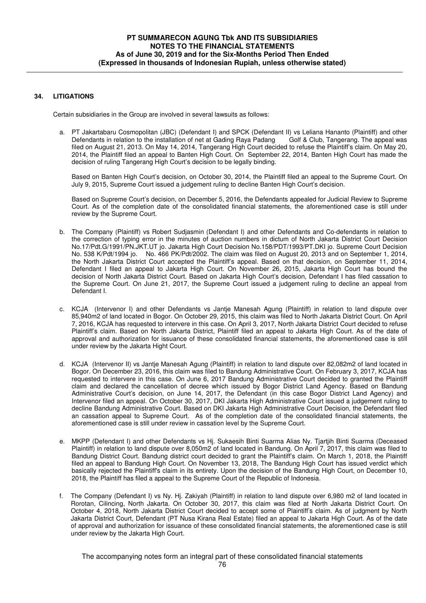### **34. LITIGATIONS**

Certain subsidiaries in the Group are involved in several lawsuits as follows:

 a. PT Jakartabaru Cosmopolitan (JBC) (Defendant I) and SPCK (Defendant II) vs Leliana Hananto (Plaintiff) and other Defendants in relation to the installation of net at Gading Raya Padang Golf & Club, Tangerang. The appeal was filed on August 21, 2013. On May 14, 2014, Tangerang High Court decided to refuse the Plaintiff's claim. On May 20, 2014, the Plaintiff filed an appeal to Banten High Court. On September 22, 2014, Banten High Court has made the decision of ruling Tangerang High Court's decision to be legally binding.

Based on Banten High Court's decision, on October 30, 2014, the Plaintiff filed an appeal to the Supreme Court. On July 9, 2015, Supreme Court issued a judgement ruling to decline Banten High Court's decision.

Based on Supreme Court's decision, on December 5, 2016, the Defendants appealed for Judicial Review to Supreme Court. As of the completion date of the consolidated financial statements, the aforementioned case is still under review by the Supreme Court.

- b. The Company (Plaintiff) vs Robert Sudjasmin (Defendant I) and other Defendants and Co-defendants in relation to the correction of typing error in the minutes of auction numbers in dictum of North Jakarta District Court Decision No.17/Pdt.G/1991/PN.JKT.UT jo. Jakarta High Court Decision No.158/PDT/1993/PT.DKI jo. Supreme Court Decision No. 538 K/Pdt/1994 jo. No. 466 PK/Pdt/2002. The claim was filed on August 20, 2013 and on September 1, 2014, the North Jakarta District Court accepted the Plaintiff's appeal. Based on that decision, on September 11, 2014, Defendant I filed an appeal to Jakarta High Court. On November 26, 2015, Jakarta High Court has bound the decision of North Jakarta District Court. Based on Jakarta High Court's decision, Defendant I has filed cassation to the Supreme Court. On June 21, 2017, the Supreme Court issued a judgement ruling to decline an appeal from Defendant I.
- c. KCJA (Intervenor I) and other Defendants vs Jantje Manesah Agung (Plaintiff) in relation to land dispute over 85,940m2 of land located in Bogor. On October 29, 2015, this claim was filed to North Jakarta District Court. On April 7, 2016, KCJA has requested to intervere in this case. On April 3, 2017, North Jakarta District Court decided to refuse Plaintiff's claim. Based on North Jakarta District, Plaintiff filed an appeal to Jakarta High Court. As of the date of approval and authorization for issuance of these consolidated financial statements, the aforementioned case is still under review by the Jakarta Hight Court.
- d. KCJA (Intervenor II) vs Jantje Manesah Agung (Plaintiff) in relation to land dispute over 82,082m2 of land located in Bogor. On December 23, 2016, this claim was filed to Bandung Administrative Court. On February 3, 2017, KCJA has requested to intervere in this case. On June 6, 2017 Bandung Administrative Court decided to granted the Plaintiff claim and declared the cancellation of decree which issued by Bogor District Land Agency. Based on Bandung Administrative Court's decision, on June 14, 2017, the Defendant (in this case Bogor District Land Agency) and Intervenor filed an appeal. On October 30, 2017, DKI Jakarta High Administrative Court issued a judgement ruling to decline Bandung Administrative Court. Based on DKI Jakarta High Administrative Court Decision, the Defendant filed an cassation appeal to Supreme Court. As of the completion date of the consolidated financial statements, the aforementioned case is still under review in cassation level by the Supreme Court.
- e. MKPP (Defendant I) and other Defendants vs Hj. Sukaesih Binti Suarma Alias Ny. Tjartjih Binti Suarma (Deceased Plaintiff) in relation to land dispute over 8,050m2 of land located in Bandung. On April 7, 2017, this claim was filed to Bandung District Court. Bandung district court decided to grant the Plaintiff's claim. On March 1, 2018, the Plaintiff filed an appeal to Bandung High Court. On November 13, 2018, The Bandung High Court has issued verdict which basically rejected the Plaintiff's claim in its entirety. Upon the decision of the Bandung High Court, on December 10, 2018, the Plaintiff has filed a appeal to the Supreme Court of the Republic of Indonesia.
- f. The Company (Defendant I) vs Ny. Hj. Zakiyah (Plaintiff) in relation to land dispute over 6,980 m2 of land located in Rorotan, Cilincing, North Jakarta. On October 30, 2017, this claim was filed at North Jakarta District Court. On October 4, 2018, North Jakarta District Court decided to accept some of Plaintiff's claim. As of judgment by North Jakarta District Court, Defendant (PT Nusa Kirana Real Estate) filed an appeal to Jakarta High Court. As of the date of approval and authorization for issuance of these consolidated financial statements, the aforementioned case is still under review by the Jakarta High Court.